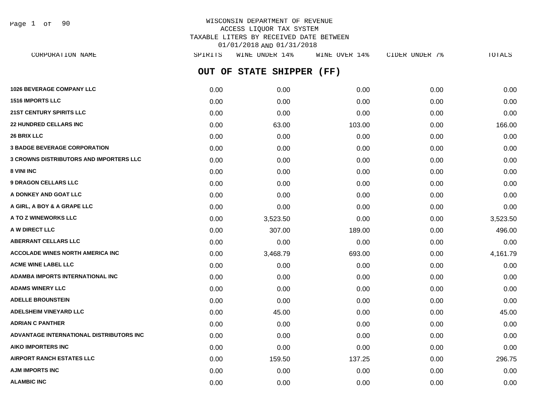Page 1 of 90

| CORPORATION NAME                               | SPIRITS | WINE UNDER 14%            | WINE OVER 14% | CIDER UNDER 7% | TOTALS   |
|------------------------------------------------|---------|---------------------------|---------------|----------------|----------|
|                                                |         | OUT OF STATE SHIPPER (FF) |               |                |          |
| <b>1026 BEVERAGE COMPANY LLC</b>               | 0.00    | 0.00                      | 0.00          | 0.00           | 0.00     |
| <b>1516 IMPORTS LLC</b>                        | 0.00    | 0.00                      | 0.00          | 0.00           | 0.00     |
| <b>21ST CENTURY SPIRITS LLC</b>                | 0.00    | 0.00                      | 0.00          | 0.00           | 0.00     |
| <b>22 HUNDRED CELLARS INC</b>                  | 0.00    | 63.00                     | 103.00        | 0.00           | 166.00   |
| <b>26 BRIX LLC</b>                             | 0.00    | 0.00                      | 0.00          | 0.00           | 0.00     |
| <b>3 BADGE BEVERAGE CORPORATION</b>            | 0.00    | 0.00                      | 0.00          | 0.00           | 0.00     |
| <b>3 CROWNS DISTRIBUTORS AND IMPORTERS LLC</b> | 0.00    | 0.00                      | 0.00          | 0.00           | 0.00     |
| 8 VINI INC                                     | 0.00    | 0.00                      | 0.00          | 0.00           | 0.00     |
| <b>9 DRAGON CELLARS LLC</b>                    | 0.00    | 0.00                      | 0.00          | 0.00           | 0.00     |
| A DONKEY AND GOAT LLC                          | 0.00    | 0.00                      | 0.00          | 0.00           | 0.00     |
| A GIRL, A BOY & A GRAPE LLC                    | 0.00    | 0.00                      | 0.00          | 0.00           | 0.00     |
| <b>A TO Z WINEWORKS LLC</b>                    | 0.00    | 3,523.50                  | 0.00          | 0.00           | 3,523.50 |
| A W DIRECT LLC                                 | 0.00    | 307.00                    | 189.00        | 0.00           | 496.00   |
| ABERRANT CELLARS LLC                           | 0.00    | 0.00                      | 0.00          | 0.00           | 0.00     |
| ACCOLADE WINES NORTH AMERICA INC               | 0.00    | 3,468.79                  | 693.00        | 0.00           | 4,161.79 |
| <b>ACME WINE LABEL LLC</b>                     | 0.00    | 0.00                      | 0.00          | 0.00           | 0.00     |
| ADAMBA IMPORTS INTERNATIONAL INC               | 0.00    | 0.00                      | 0.00          | 0.00           | 0.00     |
| <b>ADAMS WINERY LLC</b>                        | 0.00    | 0.00                      | 0.00          | 0.00           | 0.00     |
| <b>ADELLE BROUNSTEIN</b>                       | 0.00    | 0.00                      | 0.00          | 0.00           | 0.00     |
| <b>ADELSHEIM VINEYARD LLC</b>                  | 0.00    | 45.00                     | 0.00          | 0.00           | 45.00    |
| ADRIAN C PANTHER                               | 0.00    | 0.00                      | 0.00          | 0.00           | 0.00     |
| ADVANTAGE INTERNATIONAL DISTRIBUTORS INC       | 0.00    | 0.00                      | 0.00          | 0.00           | 0.00     |
| AIKO IMPORTERS INC                             | 0.00    | 0.00                      | 0.00          | 0.00           | 0.00     |
| AIRPORT RANCH ESTATES LLC                      | 0.00    | 159.50                    | 137.25        | 0.00           | 296.75   |
| AJM IMPORTS INC                                | 0.00    | 0.00                      | 0.00          | 0.00           | 0.00     |
| <b>ALAMBIC INC</b>                             | 0.00    | 0.00                      | 0.00          | 0.00           | 0.00     |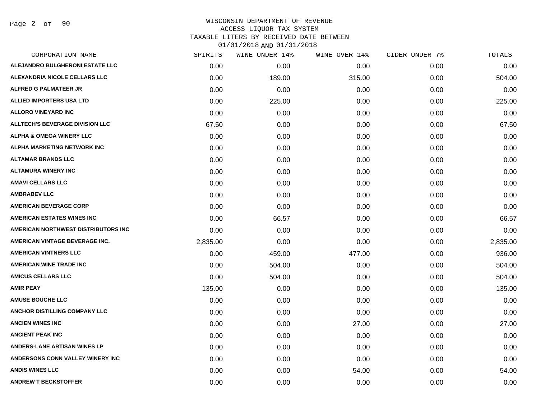Page 2 of 90

| CORPORATION NAME                       | SPIRITS  | <b>WINE UNDER 14%</b> | WINE OVER 14% | CIDER UNDER 7% | TOTALS   |
|----------------------------------------|----------|-----------------------|---------------|----------------|----------|
| ALEJANDRO BULGHERONI ESTATE LLC        | 0.00     | 0.00                  | 0.00          | 0.00           | 0.00     |
| ALEXANDRIA NICOLE CELLARS LLC          | 0.00     | 189.00                | 315.00        | 0.00           | 504.00   |
| <b>ALFRED G PALMATEER JR</b>           | 0.00     | 0.00                  | 0.00          | 0.00           | 0.00     |
| <b>ALLIED IMPORTERS USA LTD</b>        | 0.00     | 225.00                | 0.00          | 0.00           | 225.00   |
| <b>ALLORO VINEYARD INC</b>             | 0.00     | 0.00                  | 0.00          | 0.00           | 0.00     |
| <b>ALLTECH'S BEVERAGE DIVISION LLC</b> | 67.50    | 0.00                  | 0.00          | 0.00           | 67.50    |
| <b>ALPHA &amp; OMEGA WINERY LLC</b>    | 0.00     | 0.00                  | 0.00          | 0.00           | 0.00     |
| <b>ALPHA MARKETING NETWORK INC</b>     | 0.00     | 0.00                  | 0.00          | 0.00           | 0.00     |
| <b>ALTAMAR BRANDS LLC</b>              | 0.00     | 0.00                  | 0.00          | 0.00           | 0.00     |
| <b>ALTAMURA WINERY INC</b>             | 0.00     | 0.00                  | 0.00          | 0.00           | 0.00     |
| <b>AMAVI CELLARS LLC</b>               | 0.00     | 0.00                  | 0.00          | 0.00           | 0.00     |
| <b>AMBRABEV LLC</b>                    | 0.00     | 0.00                  | 0.00          | 0.00           | 0.00     |
| <b>AMERICAN BEVERAGE CORP</b>          | 0.00     | 0.00                  | 0.00          | 0.00           | 0.00     |
| AMERICAN ESTATES WINES INC             | 0.00     | 66.57                 | 0.00          | 0.00           | 66.57    |
| AMERICAN NORTHWEST DISTRIBUTORS INC    | 0.00     | 0.00                  | 0.00          | 0.00           | 0.00     |
| AMERICAN VINTAGE BEVERAGE INC.         | 2,835.00 | 0.00                  | 0.00          | 0.00           | 2,835.00 |
| <b>AMERICAN VINTNERS LLC</b>           | 0.00     | 459.00                | 477.00        | 0.00           | 936.00   |
| <b>AMERICAN WINE TRADE INC</b>         | 0.00     | 504.00                | 0.00          | 0.00           | 504.00   |
| <b>AMICUS CELLARS LLC</b>              | 0.00     | 504.00                | 0.00          | 0.00           | 504.00   |
| <b>AMIR PEAY</b>                       | 135.00   | 0.00                  | 0.00          | 0.00           | 135.00   |
| <b>AMUSE BOUCHE LLC</b>                | 0.00     | 0.00                  | 0.00          | 0.00           | 0.00     |
| <b>ANCHOR DISTILLING COMPANY LLC</b>   | 0.00     | 0.00                  | 0.00          | 0.00           | 0.00     |
| <b>ANCIEN WINES INC</b>                | 0.00     | 0.00                  | 27.00         | 0.00           | 27.00    |
| <b>ANCIENT PEAK INC</b>                | 0.00     | 0.00                  | 0.00          | 0.00           | 0.00     |
| ANDERS-LANE ARTISAN WINES LP           | 0.00     | 0.00                  | 0.00          | 0.00           | 0.00     |
| ANDERSONS CONN VALLEY WINERY INC       | 0.00     | 0.00                  | 0.00          | 0.00           | 0.00     |
| <b>ANDIS WINES LLC</b>                 | 0.00     | 0.00                  | 54.00         | 0.00           | 54.00    |
| <b>ANDREW T BECKSTOFFER</b>            | 0.00     | 0.00                  | 0.00          | 0.00           | 0.00     |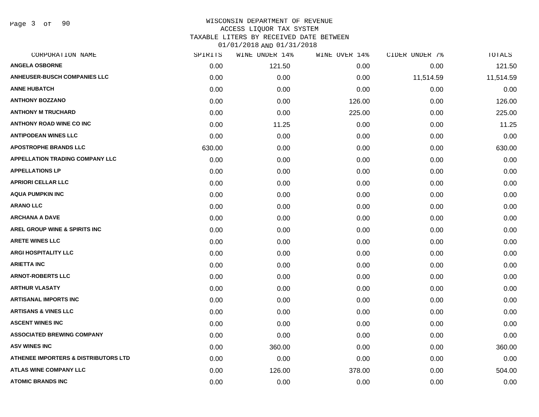Page 3 of 90

| CORPORATION NAME                                | SPIRITS | WINE UNDER 14% | WINE OVER 14% | CIDER UNDER 7% | TOTALS    |
|-------------------------------------------------|---------|----------------|---------------|----------------|-----------|
| <b>ANGELA OSBORNE</b>                           | 0.00    | 121.50         | 0.00          | 0.00           | 121.50    |
| <b>ANHEUSER-BUSCH COMPANIES LLC</b>             | 0.00    | 0.00           | 0.00          | 11,514.59      | 11,514.59 |
| <b>ANNE HUBATCH</b>                             | 0.00    | 0.00           | 0.00          | 0.00           | 0.00      |
| <b>ANTHONY BOZZANO</b>                          | 0.00    | 0.00           | 126.00        | 0.00           | 126.00    |
| <b>ANTHONY M TRUCHARD</b>                       | 0.00    | 0.00           | 225.00        | 0.00           | 225.00    |
| <b>ANTHONY ROAD WINE CO INC</b>                 | 0.00    | 11.25          | 0.00          | 0.00           | 11.25     |
| <b>ANTIPODEAN WINES LLC</b>                     | 0.00    | 0.00           | 0.00          | 0.00           | 0.00      |
| <b>APOSTROPHE BRANDS LLC</b>                    | 630.00  | 0.00           | 0.00          | 0.00           | 630.00    |
| <b>APPELLATION TRADING COMPANY LLC</b>          | 0.00    | 0.00           | 0.00          | 0.00           | 0.00      |
| <b>APPELLATIONS LP</b>                          | 0.00    | 0.00           | 0.00          | 0.00           | 0.00      |
| <b>APRIORI CELLAR LLC</b>                       | 0.00    | 0.00           | 0.00          | 0.00           | 0.00      |
| <b>AQUA PUMPKIN INC</b>                         | 0.00    | 0.00           | 0.00          | 0.00           | 0.00      |
| <b>ARANO LLC</b>                                | 0.00    | 0.00           | 0.00          | 0.00           | 0.00      |
| <b>ARCHANA A DAVE</b>                           | 0.00    | 0.00           | 0.00          | 0.00           | 0.00      |
| <b>AREL GROUP WINE &amp; SPIRITS INC</b>        | 0.00    | 0.00           | 0.00          | 0.00           | 0.00      |
| <b>ARETE WINES LLC</b>                          | 0.00    | 0.00           | 0.00          | 0.00           | 0.00      |
| <b>ARGI HOSPITALITY LLC</b>                     | 0.00    | 0.00           | 0.00          | 0.00           | 0.00      |
| <b>ARIETTA INC</b>                              | 0.00    | 0.00           | 0.00          | 0.00           | 0.00      |
| <b>ARNOT-ROBERTS LLC</b>                        | 0.00    | 0.00           | 0.00          | 0.00           | 0.00      |
| <b>ARTHUR VLASATY</b>                           | 0.00    | 0.00           | 0.00          | 0.00           | 0.00      |
| <b>ARTISANAL IMPORTS INC</b>                    | 0.00    | 0.00           | 0.00          | 0.00           | 0.00      |
| <b>ARTISANS &amp; VINES LLC</b>                 | 0.00    | 0.00           | 0.00          | 0.00           | 0.00      |
| <b>ASCENT WINES INC</b>                         | 0.00    | 0.00           | 0.00          | 0.00           | 0.00      |
| <b>ASSOCIATED BREWING COMPANY</b>               | 0.00    | 0.00           | 0.00          | 0.00           | 0.00      |
| <b>ASV WINES INC</b>                            | 0.00    | 360.00         | 0.00          | 0.00           | 360.00    |
| <b>ATHENEE IMPORTERS &amp; DISTRIBUTORS LTD</b> | 0.00    | 0.00           | 0.00          | 0.00           | 0.00      |
| <b>ATLAS WINE COMPANY LLC</b>                   | 0.00    | 126.00         | 378.00        | 0.00           | 504.00    |
| <b>ATOMIC BRANDS INC</b>                        | 0.00    | 0.00           | 0.00          | 0.00           | 0.00      |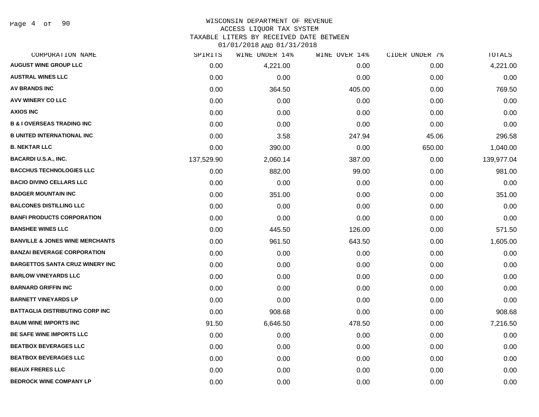Page 4 of 90

#### WISCONSIN DEPARTMENT OF REVENUE ACCESS LIQUOR TAX SYSTEM

TAXABLE LITERS BY RECEIVED DATE BETWEEN 01/01/2018 AND 01/31/2018

|  | 1T\NT\7NT& YUD AT\?T\7NT{ |  |  |
|--|---------------------------|--|--|
|  |                           |  |  |

| CORPORATION NAME                           | SPIRITS    | WINE UNDER 14% | WINE OVER 14% | CIDER UNDER 7% | TOTALS     |
|--------------------------------------------|------------|----------------|---------------|----------------|------------|
| <b>AUGUST WINE GROUP LLC</b>               | 0.00       | 4,221.00       | 0.00          | 0.00           | 4,221.00   |
| <b>AUSTRAL WINES LLC</b>                   | 0.00       | 0.00           | 0.00          | 0.00           | 0.00       |
| <b>AV BRANDS INC</b>                       | 0.00       | 364.50         | 405.00        | 0.00           | 769.50     |
| AVV WINERY CO LLC                          | 0.00       | 0.00           | 0.00          | 0.00           | 0.00       |
| <b>AXIOS INC</b>                           | 0.00       | 0.00           | 0.00          | 0.00           | 0.00       |
| <b>B &amp; I OVERSEAS TRADING INC</b>      | 0.00       | 0.00           | 0.00          | 0.00           | 0.00       |
| <b>B UNITED INTERNATIONAL INC</b>          | 0.00       | 3.58           | 247.94        | 45.06          | 296.58     |
| <b>B. NEKTAR LLC</b>                       | 0.00       | 390.00         | 0.00          | 650.00         | 1,040.00   |
| <b>BACARDI U.S.A., INC.</b>                | 137,529.90 | 2,060.14       | 387.00        | 0.00           | 139,977.04 |
| <b>BACCHUS TECHNOLOGIES LLC</b>            | 0.00       | 882.00         | 99.00         | 0.00           | 981.00     |
| <b>BACIO DIVINO CELLARS LLC</b>            | 0.00       | 0.00           | 0.00          | 0.00           | 0.00       |
| <b>BADGER MOUNTAIN INC</b>                 | 0.00       | 351.00         | 0.00          | 0.00           | 351.00     |
| <b>BALCONES DISTILLING LLC</b>             | 0.00       | 0.00           | 0.00          | 0.00           | 0.00       |
| <b>BANFI PRODUCTS CORPORATION</b>          | 0.00       | 0.00           | 0.00          | 0.00           | 0.00       |
| <b>BANSHEE WINES LLC</b>                   | 0.00       | 445.50         | 126.00        | 0.00           | 571.50     |
| <b>BANVILLE &amp; JONES WINE MERCHANTS</b> | 0.00       | 961.50         | 643.50        | 0.00           | 1,605.00   |
| <b>BANZAI BEVERAGE CORPORATION</b>         | 0.00       | 0.00           | 0.00          | 0.00           | 0.00       |
| <b>BARGETTOS SANTA CRUZ WINERY INC</b>     | 0.00       | 0.00           | 0.00          | 0.00           | 0.00       |
| <b>BARLOW VINEYARDS LLC</b>                | 0.00       | 0.00           | 0.00          | 0.00           | 0.00       |
| <b>BARNARD GRIFFIN INC</b>                 | 0.00       | 0.00           | 0.00          | 0.00           | 0.00       |
| <b>BARNETT VINEYARDS LP</b>                | 0.00       | 0.00           | 0.00          | 0.00           | 0.00       |
| <b>BATTAGLIA DISTRIBUTING CORP INC</b>     | 0.00       | 908.68         | 0.00          | 0.00           | 908.68     |
| <b>BAUM WINE IMPORTS INC</b>               | 91.50      | 6,646.50       | 478.50        | 0.00           | 7,216.50   |
| <b>BE SAFE WINE IMPORTS LLC</b>            | 0.00       | 0.00           | 0.00          | 0.00           | 0.00       |
| <b>BEATBOX BEVERAGES LLC</b>               | 0.00       | 0.00           | 0.00          | 0.00           | 0.00       |
| <b>BEATBOX BEVERAGES LLC</b>               | 0.00       | 0.00           | 0.00          | 0.00           | 0.00       |
| <b>BEAUX FRERES LLC</b>                    | 0.00       | 0.00           | 0.00          | 0.00           | 0.00       |
| <b>BEDROCK WINE COMPANY LP</b>             | 0.00       | 0.00           | 0.00          | 0.00           | 0.00       |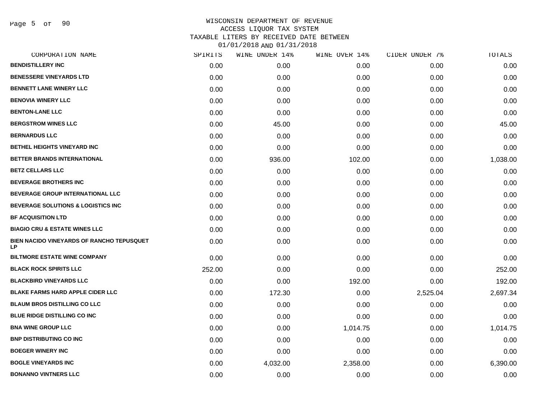Page 5 of 90

| CORPORATION NAME                                              | SPIRITS | WINE UNDER 14% | WINE OVER 14% | CIDER UNDER 7% | TOTALS   |
|---------------------------------------------------------------|---------|----------------|---------------|----------------|----------|
| <b>BENDISTILLERY INC</b>                                      | 0.00    | 0.00           | 0.00          | 0.00           | 0.00     |
| <b>BENESSERE VINEYARDS LTD</b>                                | 0.00    | 0.00           | 0.00          | 0.00           | 0.00     |
| <b>BENNETT LANE WINERY LLC</b>                                | 0.00    | 0.00           | 0.00          | 0.00           | 0.00     |
| <b>BENOVIA WINERY LLC</b>                                     | 0.00    | 0.00           | 0.00          | 0.00           | 0.00     |
| <b>BENTON-LANE LLC</b>                                        | 0.00    | 0.00           | 0.00          | 0.00           | 0.00     |
| <b>BERGSTROM WINES LLC</b>                                    | 0.00    | 45.00          | 0.00          | 0.00           | 45.00    |
| <b>BERNARDUS LLC</b>                                          | 0.00    | 0.00           | 0.00          | 0.00           | 0.00     |
| <b>BETHEL HEIGHTS VINEYARD INC</b>                            | 0.00    | 0.00           | 0.00          | 0.00           | 0.00     |
| BETTER BRANDS INTERNATIONAL                                   | 0.00    | 936.00         | 102.00        | 0.00           | 1,038.00 |
| <b>BETZ CELLARS LLC</b>                                       | 0.00    | 0.00           | 0.00          | 0.00           | 0.00     |
| <b>BEVERAGE BROTHERS INC</b>                                  | 0.00    | 0.00           | 0.00          | 0.00           | 0.00     |
| BEVERAGE GROUP INTERNATIONAL LLC                              | 0.00    | 0.00           | 0.00          | 0.00           | 0.00     |
| <b>BEVERAGE SOLUTIONS &amp; LOGISTICS INC</b>                 | 0.00    | 0.00           | 0.00          | 0.00           | 0.00     |
| <b>BF ACQUISITION LTD</b>                                     | 0.00    | 0.00           | 0.00          | 0.00           | 0.00     |
| <b>BIAGIO CRU &amp; ESTATE WINES LLC</b>                      | 0.00    | 0.00           | 0.00          | 0.00           | 0.00     |
| <b>BIEN NACIDO VINEYARDS OF RANCHO TEPUSQUET</b><br><b>LP</b> | 0.00    | 0.00           | 0.00          | 0.00           | 0.00     |
| <b>BILTMORE ESTATE WINE COMPANY</b>                           | 0.00    | 0.00           | 0.00          | 0.00           | 0.00     |
| <b>BLACK ROCK SPIRITS LLC</b>                                 | 252.00  | 0.00           | 0.00          | 0.00           | 252.00   |
| <b>BLACKBIRD VINEYARDS LLC</b>                                | 0.00    | 0.00           | 192.00        | 0.00           | 192.00   |
| <b>BLAKE FARMS HARD APPLE CIDER LLC</b>                       | 0.00    | 172.30         | 0.00          | 2,525.04       | 2,697.34 |
| <b>BLAUM BROS DISTILLING CO LLC</b>                           | 0.00    | 0.00           | 0.00          | 0.00           | 0.00     |
| <b>BLUE RIDGE DISTILLING CO INC</b>                           | 0.00    | 0.00           | 0.00          | 0.00           | 0.00     |
| <b>BNA WINE GROUP LLC</b>                                     | 0.00    | 0.00           | 1,014.75      | 0.00           | 1,014.75 |
| <b>BNP DISTRIBUTING CO INC.</b>                               | 0.00    | 0.00           | 0.00          | 0.00           | 0.00     |
| <b>BOEGER WINERY INC</b>                                      | 0.00    | 0.00           | 0.00          | 0.00           | 0.00     |
| <b>BOGLE VINEYARDS INC</b>                                    | 0.00    | 4,032.00       | 2,358.00      | 0.00           | 6,390.00 |
| <b>BONANNO VINTNERS LLC</b>                                   | 0.00    | 0.00           | 0.00          | 0.00           | 0.00     |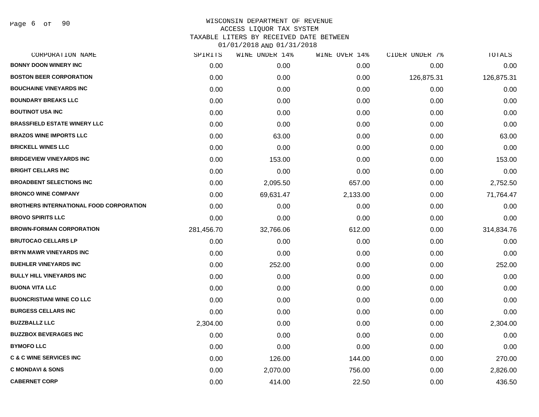Page 6 of 90

| CORPORATION NAME                               | SPIRITS    | WINE UNDER 14% | WINE OVER 14% | CIDER UNDER 7% | TOTALS     |
|------------------------------------------------|------------|----------------|---------------|----------------|------------|
| <b>BONNY DOON WINERY INC</b>                   | 0.00       | 0.00           | 0.00          | 0.00           | 0.00       |
| <b>BOSTON BEER CORPORATION</b>                 | 0.00       | 0.00           | 0.00          | 126,875.31     | 126,875.31 |
| <b>BOUCHAINE VINEYARDS INC</b>                 | 0.00       | 0.00           | 0.00          | 0.00           | 0.00       |
| <b>BOUNDARY BREAKS LLC</b>                     | 0.00       | 0.00           | 0.00          | 0.00           | 0.00       |
| <b>BOUTINOT USA INC</b>                        | 0.00       | 0.00           | 0.00          | 0.00           | 0.00       |
| <b>BRASSFIELD ESTATE WINERY LLC</b>            | 0.00       | 0.00           | 0.00          | 0.00           | 0.00       |
| <b>BRAZOS WINE IMPORTS LLC</b>                 | 0.00       | 63.00          | 0.00          | 0.00           | 63.00      |
| <b>BRICKELL WINES LLC</b>                      | 0.00       | 0.00           | 0.00          | 0.00           | 0.00       |
| <b>BRIDGEVIEW VINEYARDS INC</b>                | 0.00       | 153.00         | 0.00          | 0.00           | 153.00     |
| <b>BRIGHT CELLARS INC</b>                      | 0.00       | 0.00           | 0.00          | 0.00           | 0.00       |
| <b>BROADBENT SELECTIONS INC</b>                | 0.00       | 2,095.50       | 657.00        | 0.00           | 2,752.50   |
| <b>BRONCO WINE COMPANY</b>                     | 0.00       | 69,631.47      | 2,133.00      | 0.00           | 71,764.47  |
| <b>BROTHERS INTERNATIONAL FOOD CORPORATION</b> | 0.00       | 0.00           | 0.00          | 0.00           | 0.00       |
| <b>BROVO SPIRITS LLC</b>                       | 0.00       | 0.00           | 0.00          | 0.00           | 0.00       |
| <b>BROWN-FORMAN CORPORATION</b>                | 281,456.70 | 32,766.06      | 612.00        | 0.00           | 314,834.76 |
| <b>BRUTOCAO CELLARS LP</b>                     | 0.00       | 0.00           | 0.00          | 0.00           | 0.00       |
| <b>BRYN MAWR VINEYARDS INC</b>                 | 0.00       | 0.00           | 0.00          | 0.00           | 0.00       |
| <b>BUEHLER VINEYARDS INC</b>                   | 0.00       | 252.00         | 0.00          | 0.00           | 252.00     |
| <b>BULLY HILL VINEYARDS INC</b>                | 0.00       | 0.00           | 0.00          | 0.00           | 0.00       |
| <b>BUONA VITA LLC</b>                          | 0.00       | 0.00           | 0.00          | 0.00           | 0.00       |
| <b>BUONCRISTIANI WINE CO LLC</b>               | 0.00       | 0.00           | 0.00          | 0.00           | 0.00       |
| <b>BURGESS CELLARS INC</b>                     | 0.00       | 0.00           | 0.00          | 0.00           | 0.00       |
| <b>BUZZBALLZ LLC</b>                           | 2,304.00   | 0.00           | 0.00          | 0.00           | 2,304.00   |
| <b>BUZZBOX BEVERAGES INC</b>                   | 0.00       | 0.00           | 0.00          | 0.00           | 0.00       |
| <b>BYMOFO LLC</b>                              | 0.00       | 0.00           | 0.00          | 0.00           | 0.00       |
| <b>C &amp; C WINE SERVICES INC</b>             | 0.00       | 126.00         | 144.00        | 0.00           | 270.00     |
| <b>C MONDAVI &amp; SONS</b>                    | 0.00       | 2,070.00       | 756.00        | 0.00           | 2,826.00   |
| <b>CABERNET CORP</b>                           | 0.00       | 414.00         | 22.50         | 0.00           | 436.50     |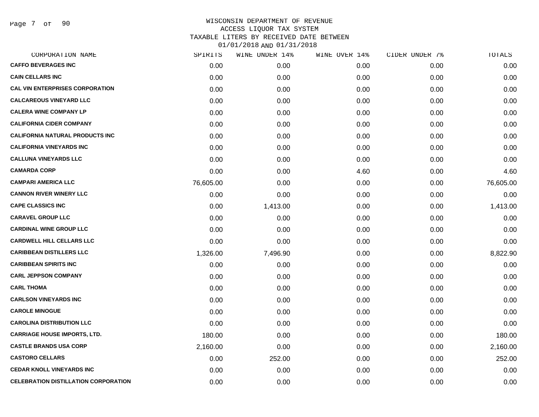Page 7 of 90

| CORPORATION NAME                            | SPIRITS   | WINE UNDER 14% | WINE OVER 14% | CIDER UNDER 7% | TOTALS    |
|---------------------------------------------|-----------|----------------|---------------|----------------|-----------|
| <b>CAFFO BEVERAGES INC</b>                  | 0.00      | 0.00           | 0.00          | 0.00           | 0.00      |
| <b>CAIN CELLARS INC</b>                     | 0.00      | 0.00           | 0.00          | 0.00           | 0.00      |
| <b>CAL VIN ENTERPRISES CORPORATION</b>      | 0.00      | 0.00           | 0.00          | 0.00           | 0.00      |
| <b>CALCAREOUS VINEYARD LLC</b>              | 0.00      | 0.00           | 0.00          | 0.00           | 0.00      |
| <b>CALERA WINE COMPANY LP</b>               | 0.00      | 0.00           | 0.00          | 0.00           | 0.00      |
| <b>CALIFORNIA CIDER COMPANY</b>             | 0.00      | 0.00           | 0.00          | 0.00           | 0.00      |
| <b>CALIFORNIA NATURAL PRODUCTS INC</b>      | 0.00      | 0.00           | 0.00          | 0.00           | 0.00      |
| <b>CALIFORNIA VINEYARDS INC</b>             | 0.00      | 0.00           | 0.00          | 0.00           | 0.00      |
| <b>CALLUNA VINEYARDS LLC</b>                | 0.00      | 0.00           | 0.00          | 0.00           | 0.00      |
| <b>CAMARDA CORP</b>                         | 0.00      | 0.00           | 4.60          | 0.00           | 4.60      |
| <b>CAMPARI AMERICA LLC</b>                  | 76,605.00 | 0.00           | 0.00          | 0.00           | 76,605.00 |
| <b>CANNON RIVER WINERY LLC</b>              | 0.00      | 0.00           | 0.00          | 0.00           | 0.00      |
| <b>CAPE CLASSICS INC</b>                    | 0.00      | 1,413.00       | 0.00          | 0.00           | 1,413.00  |
| <b>CARAVEL GROUP LLC</b>                    | 0.00      | 0.00           | 0.00          | 0.00           | 0.00      |
| <b>CARDINAL WINE GROUP LLC</b>              | 0.00      | 0.00           | 0.00          | 0.00           | 0.00      |
| <b>CARDWELL HILL CELLARS LLC</b>            | 0.00      | 0.00           | 0.00          | 0.00           | 0.00      |
| <b>CARIBBEAN DISTILLERS LLC</b>             | 1,326.00  | 7,496.90       | 0.00          | 0.00           | 8,822.90  |
| <b>CARIBBEAN SPIRITS INC</b>                | 0.00      | 0.00           | 0.00          | 0.00           | 0.00      |
| <b>CARL JEPPSON COMPANY</b>                 | 0.00      | 0.00           | 0.00          | 0.00           | 0.00      |
| <b>CARL THOMA</b>                           | 0.00      | 0.00           | 0.00          | 0.00           | 0.00      |
| <b>CARLSON VINEYARDS INC</b>                | 0.00      | 0.00           | 0.00          | 0.00           | 0.00      |
| <b>CAROLE MINOGUE</b>                       | 0.00      | 0.00           | 0.00          | 0.00           | 0.00      |
| <b>CAROLINA DISTRIBUTION LLC</b>            | 0.00      | 0.00           | 0.00          | 0.00           | 0.00      |
| <b>CARRIAGE HOUSE IMPORTS, LTD.</b>         | 180.00    | 0.00           | 0.00          | 0.00           | 180.00    |
| <b>CASTLE BRANDS USA CORP</b>               | 2,160.00  | 0.00           | 0.00          | 0.00           | 2,160.00  |
| <b>CASTORO CELLARS</b>                      | 0.00      | 252.00         | 0.00          | 0.00           | 252.00    |
| <b>CEDAR KNOLL VINEYARDS INC</b>            | 0.00      | 0.00           | 0.00          | 0.00           | 0.00      |
| <b>CELEBRATION DISTILLATION CORPORATION</b> | 0.00      | 0.00           | 0.00          | 0.00           | 0.00      |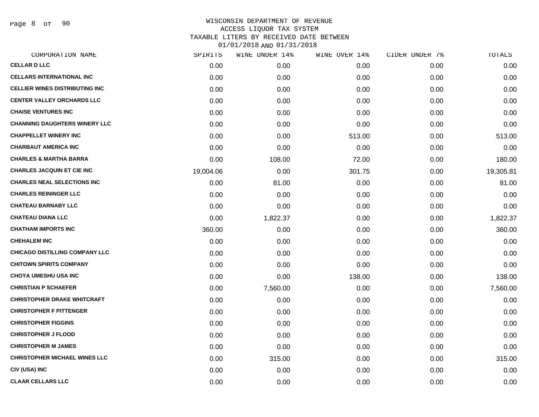Page 8 of 90

| CORPORATION NAME                      | SPIRITS   | WINE UNDER 14% | WINE OVER 14% | CIDER UNDER 7% | TOTALS    |
|---------------------------------------|-----------|----------------|---------------|----------------|-----------|
| <b>CELLAR D LLC</b>                   | 0.00      | 0.00           | 0.00          | 0.00           | 0.00      |
| <b>CELLARS INTERNATIONAL INC</b>      | 0.00      | 0.00           | 0.00          | 0.00           | 0.00      |
| <b>CELLIER WINES DISTRIBUTING INC</b> | 0.00      | 0.00           | 0.00          | 0.00           | 0.00      |
| <b>CENTER VALLEY ORCHARDS LLC</b>     | 0.00      | 0.00           | 0.00          | 0.00           | 0.00      |
| <b>CHAISE VENTURES INC</b>            | 0.00      | 0.00           | 0.00          | 0.00           | 0.00      |
| <b>CHANNING DAUGHTERS WINERY LLC</b>  | 0.00      | 0.00           | 0.00          | 0.00           | 0.00      |
| <b>CHAPPELLET WINERY INC</b>          | 0.00      | 0.00           | 513.00        | 0.00           | 513.00    |
| <b>CHARBAUT AMERICA INC</b>           | 0.00      | 0.00           | 0.00          | 0.00           | 0.00      |
| <b>CHARLES &amp; MARTHA BARRA</b>     | 0.00      | 108.00         | 72.00         | 0.00           | 180.00    |
| <b>CHARLES JACQUIN ET CIE INC</b>     | 19,004.06 | 0.00           | 301.75        | 0.00           | 19,305.81 |
| <b>CHARLES NEAL SELECTIONS INC</b>    | 0.00      | 81.00          | 0.00          | 0.00           | 81.00     |
| <b>CHARLES REININGER LLC</b>          | 0.00      | 0.00           | 0.00          | 0.00           | 0.00      |
| <b>CHATEAU BARNABY LLC</b>            | 0.00      | 0.00           | 0.00          | 0.00           | 0.00      |
| <b>CHATEAU DIANA LLC</b>              | 0.00      | 1,822.37       | 0.00          | 0.00           | 1,822.37  |
| <b>CHATHAM IMPORTS INC</b>            | 360.00    | 0.00           | 0.00          | 0.00           | 360.00    |
| <b>CHEHALEM INC</b>                   | 0.00      | 0.00           | 0.00          | 0.00           | 0.00      |
| <b>CHICAGO DISTILLING COMPANY LLC</b> | 0.00      | 0.00           | 0.00          | 0.00           | 0.00      |
| <b>CHITOWN SPIRITS COMPANY</b>        | 0.00      | 0.00           | 0.00          | 0.00           | 0.00      |
| <b>CHOYA UMESHU USA INC</b>           | 0.00      | 0.00           | 138.00        | 0.00           | 138.00    |
| <b>CHRISTIAN P SCHAEFER</b>           | 0.00      | 7,560.00       | 0.00          | 0.00           | 7,560.00  |
| <b>CHRISTOPHER DRAKE WHITCRAFT</b>    | 0.00      | 0.00           | 0.00          | 0.00           | 0.00      |
| <b>CHRISTOPHER F PITTENGER</b>        | 0.00      | 0.00           | 0.00          | 0.00           | 0.00      |
| <b>CHRISTOPHER FIGGINS</b>            | 0.00      | 0.00           | 0.00          | 0.00           | 0.00      |
| <b>CHRISTOPHER J FLOOD</b>            | 0.00      | 0.00           | 0.00          | 0.00           | 0.00      |
| <b>CHRISTOPHER M JAMES</b>            | 0.00      | 0.00           | 0.00          | 0.00           | 0.00      |
| <b>CHRISTOPHER MICHAEL WINES LLC</b>  | 0.00      | 315.00         | 0.00          | 0.00           | 315.00    |
| CIV (USA) INC                         | 0.00      | 0.00           | 0.00          | 0.00           | 0.00      |
| <b>CLAAR CELLARS LLC</b>              | 0.00      | 0.00           | 0.00          | 0.00           | 0.00      |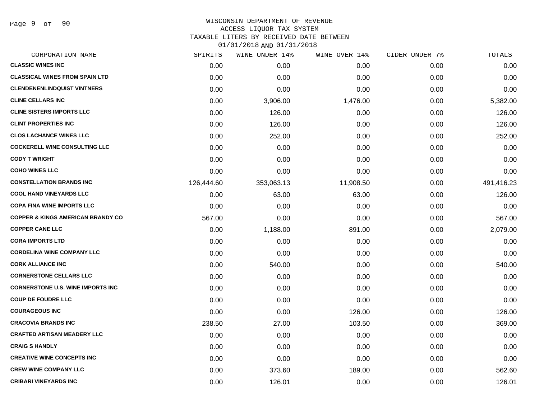Page 9 of 90

### WISCONSIN DEPARTMENT OF REVENUE ACCESS LIQUOR TAX SYSTEM TAXABLE LITERS BY RECEIVED DATE BETWEEN

| CORPORATION NAME                             | SPIRITS    | WINE UNDER 14% | WINE OVER 14% | CIDER UNDER 7% | TOTALS     |
|----------------------------------------------|------------|----------------|---------------|----------------|------------|
| <b>CLASSIC WINES INC</b>                     | 0.00       | 0.00           | 0.00          | 0.00           | 0.00       |
| <b>CLASSICAL WINES FROM SPAIN LTD</b>        | 0.00       | 0.00           | 0.00          | 0.00           | 0.00       |
| <b>CLENDENENLINDQUIST VINTNERS</b>           | 0.00       | 0.00           | 0.00          | 0.00           | 0.00       |
| <b>CLINE CELLARS INC</b>                     | 0.00       | 3,906.00       | 1,476.00      | 0.00           | 5,382.00   |
| <b>CLINE SISTERS IMPORTS LLC</b>             | 0.00       | 126.00         | 0.00          | 0.00           | 126.00     |
| <b>CLINT PROPERTIES INC</b>                  | 0.00       | 126.00         | 0.00          | 0.00           | 126.00     |
| <b>CLOS LACHANCE WINES LLC</b>               | 0.00       | 252.00         | 0.00          | 0.00           | 252.00     |
| <b>COCKERELL WINE CONSULTING LLC</b>         | 0.00       | 0.00           | 0.00          | 0.00           | 0.00       |
| <b>CODY T WRIGHT</b>                         | 0.00       | 0.00           | 0.00          | 0.00           | 0.00       |
| <b>COHO WINES LLC</b>                        | 0.00       | 0.00           | 0.00          | 0.00           | 0.00       |
| <b>CONSTELLATION BRANDS INC</b>              | 126,444.60 | 353,063.13     | 11,908.50     | 0.00           | 491,416.23 |
| <b>COOL HAND VINEYARDS LLC</b>               | 0.00       | 63.00          | 63.00         | 0.00           | 126.00     |
| <b>COPA FINA WINE IMPORTS LLC</b>            | 0.00       | 0.00           | 0.00          | 0.00           | 0.00       |
| <b>COPPER &amp; KINGS AMERICAN BRANDY CO</b> | 567.00     | 0.00           | 0.00          | 0.00           | 567.00     |
| <b>COPPER CANE LLC</b>                       | 0.00       | 1,188.00       | 891.00        | 0.00           | 2,079.00   |
| <b>CORA IMPORTS LTD</b>                      | 0.00       | 0.00           | 0.00          | 0.00           | 0.00       |
| <b>CORDELINA WINE COMPANY LLC</b>            | 0.00       | 0.00           | 0.00          | 0.00           | 0.00       |
| <b>CORK ALLIANCE INC</b>                     | 0.00       | 540.00         | 0.00          | 0.00           | 540.00     |
| <b>CORNERSTONE CELLARS LLC</b>               | 0.00       | 0.00           | 0.00          | 0.00           | 0.00       |
| <b>CORNERSTONE U.S. WINE IMPORTS INC</b>     | 0.00       | 0.00           | 0.00          | 0.00           | 0.00       |
| <b>COUP DE FOUDRE LLC</b>                    | 0.00       | 0.00           | 0.00          | 0.00           | 0.00       |
| <b>COURAGEOUS INC</b>                        | 0.00       | 0.00           | 126.00        | 0.00           | 126.00     |
| <b>CRACOVIA BRANDS INC</b>                   | 238.50     | 27.00          | 103.50        | 0.00           | 369.00     |
| <b>CRAFTED ARTISAN MEADERY LLC</b>           | 0.00       | 0.00           | 0.00          | 0.00           | 0.00       |
| <b>CRAIG S HANDLY</b>                        | 0.00       | 0.00           | 0.00          | 0.00           | 0.00       |
| <b>CREATIVE WINE CONCEPTS INC</b>            | 0.00       | 0.00           | 0.00          | 0.00           | 0.00       |
| <b>CREW WINE COMPANY LLC</b>                 | 0.00       | 373.60         | 189.00        | 0.00           | 562.60     |
| <b>CRIBARI VINEYARDS INC</b>                 | 0.00       | 126.01         | 0.00          | 0.00           | 126.01     |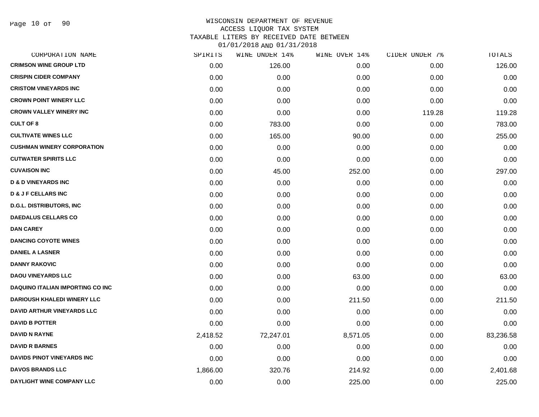| CORPORATION NAME                        | SPIRITS  | WINE UNDER 14% | WINE OVER 14% | CIDER UNDER 7% | <b>TOTALS</b> |
|-----------------------------------------|----------|----------------|---------------|----------------|---------------|
| <b>CRIMSON WINE GROUP LTD</b>           | 0.00     | 126.00         | 0.00          | 0.00           | 126.00        |
| <b>CRISPIN CIDER COMPANY</b>            | 0.00     | 0.00           | 0.00          | 0.00           | 0.00          |
| <b>CRISTOM VINEYARDS INC</b>            | 0.00     | 0.00           | 0.00          | 0.00           | 0.00          |
| <b>CROWN POINT WINERY LLC</b>           | 0.00     | 0.00           | 0.00          | 0.00           | 0.00          |
| <b>CROWN VALLEY WINERY INC</b>          | 0.00     | 0.00           | 0.00          | 119.28         | 119.28        |
| <b>CULT OF 8</b>                        | 0.00     | 783.00         | 0.00          | 0.00           | 783.00        |
| <b>CULTIVATE WINES LLC</b>              | 0.00     | 165.00         | 90.00         | 0.00           | 255.00        |
| <b>CUSHMAN WINERY CORPORATION</b>       | 0.00     | 0.00           | 0.00          | 0.00           | 0.00          |
| <b>CUTWATER SPIRITS LLC</b>             | 0.00     | 0.00           | 0.00          | 0.00           | 0.00          |
| <b>CUVAISON INC</b>                     | 0.00     | 45.00          | 252.00        | 0.00           | 297.00        |
| <b>D &amp; D VINEYARDS INC</b>          | 0.00     | 0.00           | 0.00          | 0.00           | 0.00          |
| <b>D &amp; J F CELLARS INC</b>          | 0.00     | 0.00           | 0.00          | 0.00           | 0.00          |
| <b>D.G.L. DISTRIBUTORS, INC</b>         | 0.00     | 0.00           | 0.00          | 0.00           | 0.00          |
| <b>DAEDALUS CELLARS CO</b>              | 0.00     | 0.00           | 0.00          | 0.00           | 0.00          |
| <b>DAN CAREY</b>                        | 0.00     | 0.00           | 0.00          | 0.00           | 0.00          |
| <b>DANCING COYOTE WINES</b>             | 0.00     | 0.00           | 0.00          | 0.00           | 0.00          |
| <b>DANIEL A LASNER</b>                  | 0.00     | 0.00           | 0.00          | 0.00           | 0.00          |
| <b>DANNY RAKOVIC</b>                    | 0.00     | 0.00           | 0.00          | 0.00           | 0.00          |
| <b>DAOU VINEYARDS LLC</b>               | 0.00     | 0.00           | 63.00         | 0.00           | 63.00         |
| <b>DAQUINO ITALIAN IMPORTING CO INC</b> | 0.00     | 0.00           | 0.00          | 0.00           | 0.00          |
| <b>DARIOUSH KHALEDI WINERY LLC</b>      | 0.00     | 0.00           | 211.50        | 0.00           | 211.50        |
| <b>DAVID ARTHUR VINEYARDS LLC</b>       | 0.00     | 0.00           | 0.00          | 0.00           | 0.00          |
| <b>DAVID B POTTER</b>                   | 0.00     | 0.00           | 0.00          | 0.00           | 0.00          |
| <b>DAVID N RAYNE</b>                    | 2,418.52 | 72,247.01      | 8,571.05      | 0.00           | 83,236.58     |
| <b>DAVID R BARNES</b>                   | 0.00     | 0.00           | 0.00          | 0.00           | 0.00          |
| <b>DAVIDS PINOT VINEYARDS INC</b>       | 0.00     | 0.00           | 0.00          | 0.00           | 0.00          |
| <b>DAVOS BRANDS LLC</b>                 | 1,866.00 | 320.76         | 214.92        | 0.00           | 2,401.68      |
| DAYLIGHT WINE COMPANY LLC               | 0.00     | 0.00           | 225.00        | 0.00           | 225.00        |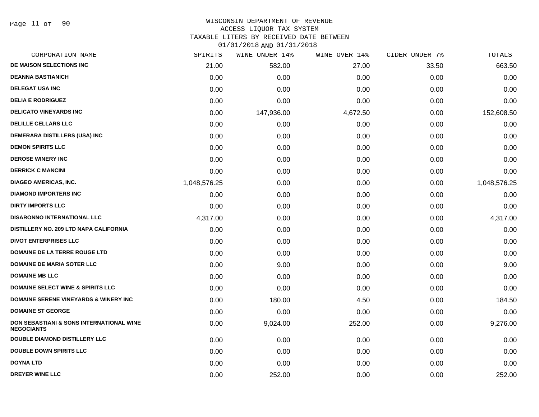#### WISCONSIN DEPARTMENT OF REVENUE ACCESS LIQUOR TAX SYSTEM

TAXABLE LITERS BY RECEIVED DATE BETWEEN

| CORPORATION NAME                                              | SPIRITS      | WINE UNDER 14% | WINE OVER 14% | CIDER UNDER 7% | TOTALS       |
|---------------------------------------------------------------|--------------|----------------|---------------|----------------|--------------|
| DE MAISON SELECTIONS INC                                      | 21.00        | 582.00         | 27.00         | 33.50          | 663.50       |
| <b>DEANNA BASTIANICH</b>                                      | 0.00         | 0.00           | 0.00          | 0.00           | 0.00         |
| <b>DELEGAT USA INC</b>                                        | 0.00         | 0.00           | 0.00          | 0.00           | 0.00         |
| <b>DELIA E RODRIGUEZ</b>                                      | 0.00         | 0.00           | 0.00          | 0.00           | 0.00         |
| <b>DELICATO VINEYARDS INC</b>                                 | 0.00         | 147,936.00     | 4,672.50      | 0.00           | 152,608.50   |
| <b>DELILLE CELLARS LLC</b>                                    | 0.00         | 0.00           | 0.00          | 0.00           | 0.00         |
| <b>DEMERARA DISTILLERS (USA) INC</b>                          | 0.00         | 0.00           | 0.00          | 0.00           | 0.00         |
| <b>DEMON SPIRITS LLC</b>                                      | 0.00         | 0.00           | 0.00          | 0.00           | 0.00         |
| <b>DEROSE WINERY INC</b>                                      | 0.00         | 0.00           | 0.00          | 0.00           | 0.00         |
| <b>DERRICK C MANCINI</b>                                      | 0.00         | 0.00           | 0.00          | 0.00           | 0.00         |
| <b>DIAGEO AMERICAS, INC.</b>                                  | 1,048,576.25 | 0.00           | 0.00          | 0.00           | 1,048,576.25 |
| <b>DIAMOND IMPORTERS INC</b>                                  | 0.00         | 0.00           | 0.00          | 0.00           | 0.00         |
| <b>DIRTY IMPORTS LLC</b>                                      | 0.00         | 0.00           | 0.00          | 0.00           | 0.00         |
| <b>DISARONNO INTERNATIONAL LLC</b>                            | 4,317.00     | 0.00           | 0.00          | 0.00           | 4,317.00     |
| <b>DISTILLERY NO. 209 LTD NAPA CALIFORNIA</b>                 | 0.00         | 0.00           | 0.00          | 0.00           | 0.00         |
| <b>DIVOT ENTERPRISES LLC</b>                                  | 0.00         | 0.00           | 0.00          | 0.00           | 0.00         |
| <b>DOMAINE DE LA TERRE ROUGE LTD</b>                          | 0.00         | 0.00           | 0.00          | 0.00           | 0.00         |
| <b>DOMAINE DE MARIA SOTER LLC</b>                             | 0.00         | 9.00           | 0.00          | 0.00           | 9.00         |
| <b>DOMAINE MB LLC</b>                                         | 0.00         | 0.00           | 0.00          | 0.00           | 0.00         |
| <b>DOMAINE SELECT WINE &amp; SPIRITS LLC</b>                  | 0.00         | 0.00           | 0.00          | 0.00           | 0.00         |
| <b>DOMAINE SERENE VINEYARDS &amp; WINERY INC</b>              | 0.00         | 180.00         | 4.50          | 0.00           | 184.50       |
| <b>DOMAINE ST GEORGE</b>                                      | 0.00         | 0.00           | 0.00          | 0.00           | 0.00         |
| DON SEBASTIANI & SONS INTERNATIONAL WINE<br><b>NEGOCIANTS</b> | 0.00         | 9,024.00       | 252.00        | 0.00           | 9,276.00     |
| <b>DOUBLE DIAMOND DISTILLERY LLC</b>                          | 0.00         | 0.00           | 0.00          | 0.00           | 0.00         |
| <b>DOUBLE DOWN SPIRITS LLC</b>                                | 0.00         | 0.00           | 0.00          | 0.00           | 0.00         |
| <b>DOYNA LTD</b>                                              | 0.00         | 0.00           | 0.00          | 0.00           | 0.00         |
| <b>DREYER WINE LLC</b>                                        | 0.00         | 252.00         | 0.00          | 0.00           | 252.00       |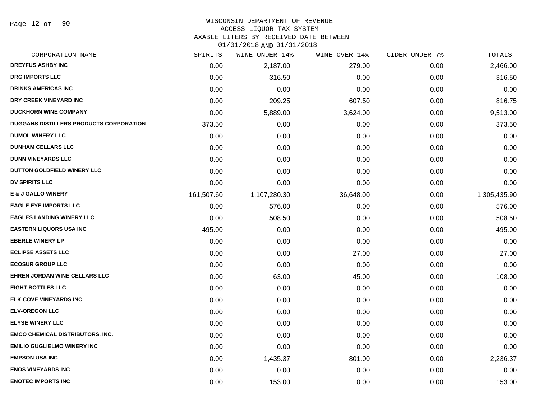Page 12 of 90

# WISCONSIN DEPARTMENT OF REVENUE

## ACCESS LIQUOR TAX SYSTEM

TAXABLE LITERS BY RECEIVED DATE BETWEEN

| CORPORATION NAME                               | SPIRITS    | WINE UNDER 14% | WINE OVER 14% | CIDER UNDER 7% | TOTALS       |
|------------------------------------------------|------------|----------------|---------------|----------------|--------------|
| <b>DREYFUS ASHBY INC</b>                       | 0.00       | 2,187.00       | 279.00        | 0.00           | 2,466.00     |
| <b>DRG IMPORTS LLC</b>                         | 0.00       | 316.50         | 0.00          | 0.00           | 316.50       |
| <b>DRINKS AMERICAS INC</b>                     | 0.00       | 0.00           | 0.00          | 0.00           | 0.00         |
| DRY CREEK VINEYARD INC                         | 0.00       | 209.25         | 607.50        | 0.00           | 816.75       |
| <b>DUCKHORN WINE COMPANY</b>                   | 0.00       | 5,889.00       | 3,624.00      | 0.00           | 9,513.00     |
| <b>DUGGANS DISTILLERS PRODUCTS CORPORATION</b> | 373.50     | 0.00           | 0.00          | 0.00           | 373.50       |
| <b>DUMOL WINERY LLC</b>                        | 0.00       | 0.00           | 0.00          | 0.00           | 0.00         |
| <b>DUNHAM CELLARS LLC</b>                      | 0.00       | 0.00           | 0.00          | 0.00           | 0.00         |
| <b>DUNN VINEYARDS LLC</b>                      | 0.00       | 0.00           | 0.00          | 0.00           | 0.00         |
| DUTTON GOLDFIELD WINERY LLC                    | 0.00       | 0.00           | 0.00          | 0.00           | 0.00         |
| <b>DV SPIRITS LLC</b>                          | 0.00       | 0.00           | 0.00          | 0.00           | 0.00         |
| <b>E &amp; J GALLO WINERY</b>                  | 161,507.60 | 1,107,280.30   | 36,648.00     | 0.00           | 1,305,435.90 |
| <b>EAGLE EYE IMPORTS LLC</b>                   | 0.00       | 576.00         | 0.00          | 0.00           | 576.00       |
| <b>EAGLES LANDING WINERY LLC</b>               | 0.00       | 508.50         | 0.00          | 0.00           | 508.50       |
| <b>EASTERN LIQUORS USA INC</b>                 | 495.00     | 0.00           | 0.00          | 0.00           | 495.00       |
| <b>EBERLE WINERY LP</b>                        | 0.00       | 0.00           | 0.00          | 0.00           | 0.00         |
| <b>ECLIPSE ASSETS LLC</b>                      | 0.00       | 0.00           | 27.00         | 0.00           | 27.00        |
| <b>ECOSUR GROUP LLC</b>                        | 0.00       | 0.00           | 0.00          | 0.00           | 0.00         |
| <b>EHREN JORDAN WINE CELLARS LLC</b>           | 0.00       | 63.00          | 45.00         | 0.00           | 108.00       |
| <b>EIGHT BOTTLES LLC</b>                       | 0.00       | 0.00           | 0.00          | 0.00           | 0.00         |
| ELK COVE VINEYARDS INC                         | 0.00       | 0.00           | 0.00          | 0.00           | 0.00         |
| <b>ELV-OREGON LLC</b>                          | 0.00       | 0.00           | 0.00          | 0.00           | 0.00         |
| <b>ELYSE WINERY LLC</b>                        | 0.00       | 0.00           | 0.00          | 0.00           | 0.00         |
| <b>EMCO CHEMICAL DISTRIBUTORS, INC.</b>        | 0.00       | 0.00           | 0.00          | 0.00           | 0.00         |
| <b>EMILIO GUGLIELMO WINERY INC</b>             | 0.00       | 0.00           | 0.00          | 0.00           | 0.00         |
| <b>EMPSON USA INC</b>                          | 0.00       | 1,435.37       | 801.00        | 0.00           | 2,236.37     |
| <b>ENOS VINEYARDS INC</b>                      | 0.00       | 0.00           | 0.00          | 0.00           | 0.00         |
| <b>ENOTEC IMPORTS INC</b>                      | 0.00       | 153.00         | 0.00          | 0.00           | 153.00       |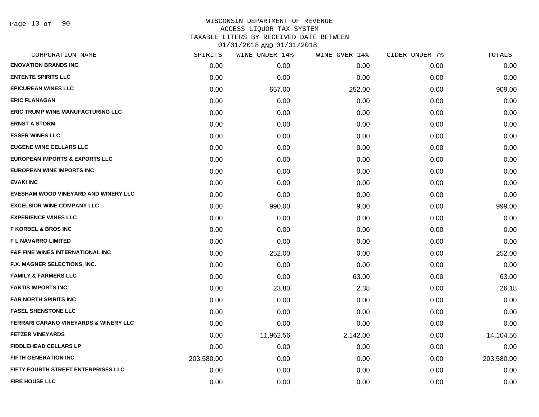## WISCONSIN DEPARTMENT OF REVENUE ACCESS LIQUOR TAX SYSTEM TAXABLE LITERS BY RECEIVED DATE BETWEEN

| CORPORATION NAME                                 | SPIRITS    | WINE UNDER 14% | WINE OVER 14% | CIDER UNDER 7% | TOTALS     |
|--------------------------------------------------|------------|----------------|---------------|----------------|------------|
| <b>ENOVATION BRANDS INC</b>                      | 0.00       | 0.00           | 0.00          | 0.00           | 0.00       |
| <b>ENTENTE SPIRITS LLC</b>                       | 0.00       | 0.00           | 0.00          | 0.00           | 0.00       |
| <b>EPICUREAN WINES LLC</b>                       | 0.00       | 657.00         | 252.00        | 0.00           | 909.00     |
| <b>ERIC FLANAGAN</b>                             | 0.00       | 0.00           | 0.00          | 0.00           | 0.00       |
| <b>ERIC TRUMP WINE MANUFACTURING LLC</b>         | 0.00       | 0.00           | 0.00          | 0.00           | 0.00       |
| <b>ERNST A STORM</b>                             | 0.00       | 0.00           | 0.00          | 0.00           | 0.00       |
| <b>ESSER WINES LLC</b>                           | 0.00       | 0.00           | 0.00          | 0.00           | 0.00       |
| <b>EUGENE WINE CELLARS LLC</b>                   | 0.00       | 0.00           | 0.00          | 0.00           | 0.00       |
| <b>EUROPEAN IMPORTS &amp; EXPORTS LLC</b>        | 0.00       | 0.00           | 0.00          | 0.00           | 0.00       |
| EUROPEAN WINE IMPORTS INC                        | 0.00       | 0.00           | 0.00          | 0.00           | 0.00       |
| <b>EVAKI INC</b>                                 | 0.00       | 0.00           | 0.00          | 0.00           | 0.00       |
| EVESHAM WOOD VINEYARD AND WINERY LLC             | 0.00       | 0.00           | 0.00          | 0.00           | 0.00       |
| <b>EXCELSIOR WINE COMPANY LLC</b>                | 0.00       | 990.00         | 9.00          | 0.00           | 999.00     |
| <b>EXPERIENCE WINES LLC</b>                      | 0.00       | 0.00           | 0.00          | 0.00           | 0.00       |
| <b>F KORBEL &amp; BROS INC</b>                   | 0.00       | 0.00           | 0.00          | 0.00           | 0.00       |
| <b>FL NAVARRO LIMITED</b>                        | 0.00       | 0.00           | 0.00          | 0.00           | 0.00       |
| <b>F&amp;F FINE WINES INTERNATIONAL INC</b>      | 0.00       | 252.00         | 0.00          | 0.00           | 252.00     |
| F.X. MAGNER SELECTIONS, INC.                     | 0.00       | 0.00           | 0.00          | 0.00           | 0.00       |
| <b>FAMILY &amp; FARMERS LLC</b>                  | 0.00       | 0.00           | 63.00         | 0.00           | 63.00      |
| <b>FANTIS IMPORTS INC</b>                        | 0.00       | 23.80          | 2.38          | 0.00           | 26.18      |
| <b>FAR NORTH SPIRITS INC</b>                     | 0.00       | 0.00           | 0.00          | 0.00           | 0.00       |
| <b>FASEL SHENSTONE LLC</b>                       | 0.00       | 0.00           | 0.00          | 0.00           | 0.00       |
| <b>FERRARI CARANO VINEYARDS &amp; WINERY LLC</b> | 0.00       | 0.00           | 0.00          | 0.00           | 0.00       |
| <b>FETZER VINEYARDS</b>                          | 0.00       | 11,962.56      | 2,142.00      | 0.00           | 14,104.56  |
| <b>FIDDLEHEAD CELLARS LP</b>                     | 0.00       | 0.00           | 0.00          | 0.00           | 0.00       |
| <b>FIFTH GENERATION INC</b>                      | 203,580.00 | 0.00           | 0.00          | 0.00           | 203,580.00 |
| FIFTY FOURTH STREET ENTERPRISES LLC              | 0.00       | 0.00           | 0.00          | 0.00           | 0.00       |
| <b>FIRE HOUSE LLC</b>                            | 0.00       | 0.00           | 0.00          | 0.00           | 0.00       |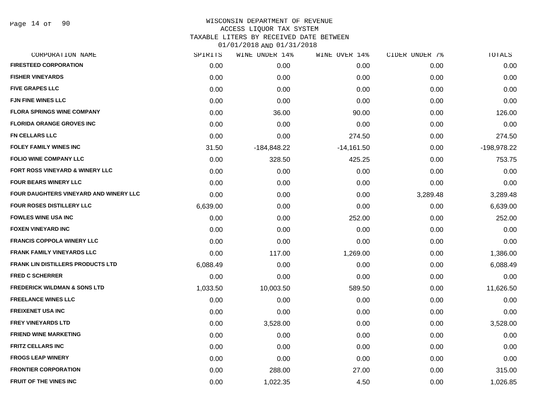#### WISCONSIN DEPARTMENT OF REVENUE ACCESS LIQUOR TAX SYSTEM TAXABLE LITERS BY RECEIVED DATE BETWEEN

| CORPORATION NAME                         | SPIRITS  | WINE UNDER 14% | WINE OVER 14% | CIDER UNDER 7% | TOTALS      |
|------------------------------------------|----------|----------------|---------------|----------------|-------------|
| <b>FIRESTEED CORPORATION</b>             | 0.00     | 0.00           | 0.00          | 0.00           | 0.00        |
| <b>FISHER VINEYARDS</b>                  | 0.00     | 0.00           | 0.00          | 0.00           | 0.00        |
| <b>FIVE GRAPES LLC</b>                   | 0.00     | 0.00           | 0.00          | 0.00           | 0.00        |
| <b>FJN FINE WINES LLC</b>                | 0.00     | 0.00           | 0.00          | 0.00           | 0.00        |
| <b>FLORA SPRINGS WINE COMPANY</b>        | 0.00     | 36.00          | 90.00         | 0.00           | 126.00      |
| <b>FLORIDA ORANGE GROVES INC</b>         | 0.00     | 0.00           | 0.00          | 0.00           | 0.00        |
| <b>FN CELLARS LLC</b>                    | 0.00     | 0.00           | 274.50        | 0.00           | 274.50      |
| <b>FOLEY FAMILY WINES INC</b>            | 31.50    | $-184,848.22$  | $-14,161.50$  | 0.00           | -198,978.22 |
| <b>FOLIO WINE COMPANY LLC</b>            | 0.00     | 328.50         | 425.25        | 0.00           | 753.75      |
| FORT ROSS VINEYARD & WINERY LLC          | 0.00     | 0.00           | 0.00          | 0.00           | 0.00        |
| <b>FOUR BEARS WINERY LLC</b>             | 0.00     | 0.00           | 0.00          | 0.00           | 0.00        |
| FOUR DAUGHTERS VINEYARD AND WINERY LLC   | 0.00     | 0.00           | 0.00          | 3,289.48       | 3,289.48    |
| <b>FOUR ROSES DISTILLERY LLC</b>         | 6,639.00 | 0.00           | 0.00          | 0.00           | 6,639.00    |
| <b>FOWLES WINE USA INC</b>               | 0.00     | 0.00           | 252.00        | 0.00           | 252.00      |
| <b>FOXEN VINEYARD INC</b>                | 0.00     | 0.00           | 0.00          | 0.00           | 0.00        |
| <b>FRANCIS COPPOLA WINERY LLC</b>        | 0.00     | 0.00           | 0.00          | 0.00           | 0.00        |
| <b>FRANK FAMILY VINEYARDS LLC</b>        | 0.00     | 117.00         | 1,269.00      | 0.00           | 1,386.00    |
| <b>FRANK LIN DISTILLERS PRODUCTS LTD</b> | 6,088.49 | 0.00           | 0.00          | 0.00           | 6,088.49    |
| <b>FRED C SCHERRER</b>                   | 0.00     | 0.00           | 0.00          | 0.00           | 0.00        |
| <b>FREDERICK WILDMAN &amp; SONS LTD</b>  | 1,033.50 | 10,003.50      | 589.50        | 0.00           | 11,626.50   |
| <b>FREELANCE WINES LLC</b>               | 0.00     | 0.00           | 0.00          | 0.00           | 0.00        |
| <b>FREIXENET USA INC</b>                 | 0.00     | 0.00           | 0.00          | 0.00           | 0.00        |
| <b>FREY VINEYARDS LTD</b>                | 0.00     | 3,528.00       | 0.00          | 0.00           | 3,528.00    |
| <b>FRIEND WINE MARKETING</b>             | 0.00     | 0.00           | 0.00          | 0.00           | 0.00        |
| <b>FRITZ CELLARS INC</b>                 | 0.00     | 0.00           | 0.00          | 0.00           | 0.00        |
| <b>FROGS LEAP WINERY</b>                 | 0.00     | 0.00           | 0.00          | 0.00           | 0.00        |
| <b>FRONTIER CORPORATION</b>              | 0.00     | 288.00         | 27.00         | 0.00           | 315.00      |
| <b>FRUIT OF THE VINES INC</b>            | 0.00     | 1,022.35       | 4.50          | 0.00           | 1,026.85    |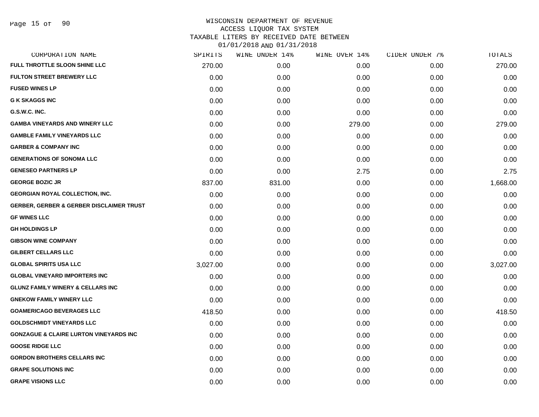| CORPORATION NAME                                    | SPIRITS  | WINE UNDER 14% | WINE OVER 14% | CIDER UNDER 7% | TOTALS   |
|-----------------------------------------------------|----------|----------------|---------------|----------------|----------|
| FULL THROTTLE SLOON SHINE LLC                       | 270.00   | 0.00           | 0.00          | 0.00           | 270.00   |
| <b>FULTON STREET BREWERY LLC</b>                    | 0.00     | 0.00           | 0.00          | 0.00           | 0.00     |
| <b>FUSED WINES LP</b>                               | 0.00     | 0.00           | 0.00          | 0.00           | 0.00     |
| <b>G K SKAGGS INC</b>                               | 0.00     | 0.00           | 0.00          | 0.00           | 0.00     |
| G.S.W.C. INC.                                       | 0.00     | 0.00           | 0.00          | 0.00           | 0.00     |
| <b>GAMBA VINEYARDS AND WINERY LLC</b>               | 0.00     | 0.00           | 279.00        | 0.00           | 279.00   |
| <b>GAMBLE FAMILY VINEYARDS LLC</b>                  | 0.00     | 0.00           | 0.00          | 0.00           | 0.00     |
| <b>GARBER &amp; COMPANY INC</b>                     | 0.00     | 0.00           | 0.00          | 0.00           | 0.00     |
| <b>GENERATIONS OF SONOMA LLC</b>                    | 0.00     | 0.00           | 0.00          | 0.00           | 0.00     |
| <b>GENESEO PARTNERS LP</b>                          | 0.00     | 0.00           | 2.75          | 0.00           | 2.75     |
| <b>GEORGE BOZIC JR</b>                              | 837.00   | 831.00         | 0.00          | 0.00           | 1,668.00 |
| GEORGIAN ROYAL COLLECTION, INC.                     | 0.00     | 0.00           | 0.00          | 0.00           | 0.00     |
| <b>GERBER, GERBER &amp; GERBER DISCLAIMER TRUST</b> | 0.00     | 0.00           | 0.00          | 0.00           | 0.00     |
| <b>GF WINES LLC</b>                                 | 0.00     | 0.00           | 0.00          | 0.00           | 0.00     |
| <b>GH HOLDINGS LP</b>                               | 0.00     | 0.00           | 0.00          | 0.00           | 0.00     |
| <b>GIBSON WINE COMPANY</b>                          | 0.00     | 0.00           | 0.00          | 0.00           | 0.00     |
| <b>GILBERT CELLARS LLC</b>                          | 0.00     | 0.00           | 0.00          | 0.00           | 0.00     |
| <b>GLOBAL SPIRITS USA LLC</b>                       | 3,027.00 | 0.00           | 0.00          | 0.00           | 3,027.00 |
| <b>GLOBAL VINEYARD IMPORTERS INC</b>                | 0.00     | 0.00           | 0.00          | 0.00           | 0.00     |
| <b>GLUNZ FAMILY WINERY &amp; CELLARS INC</b>        | 0.00     | 0.00           | 0.00          | 0.00           | 0.00     |
| <b>GNEKOW FAMILY WINERY LLC</b>                     | 0.00     | 0.00           | 0.00          | 0.00           | 0.00     |
| <b>GOAMERICAGO BEVERAGES LLC</b>                    | 418.50   | 0.00           | 0.00          | 0.00           | 418.50   |
| <b>GOLDSCHMIDT VINEYARDS LLC</b>                    | 0.00     | 0.00           | 0.00          | 0.00           | 0.00     |
| <b>GONZAGUE &amp; CLAIRE LURTON VINEYARDS INC</b>   | 0.00     | 0.00           | 0.00          | 0.00           | 0.00     |
| <b>GOOSE RIDGE LLC</b>                              | 0.00     | 0.00           | 0.00          | 0.00           | 0.00     |
| <b>GORDON BROTHERS CELLARS INC</b>                  | 0.00     | 0.00           | 0.00          | 0.00           | 0.00     |
| <b>GRAPE SOLUTIONS INC</b>                          | 0.00     | 0.00           | 0.00          | 0.00           | 0.00     |
| <b>GRAPE VISIONS LLC</b>                            | 0.00     | 0.00           | 0.00          | 0.00           | 0.00     |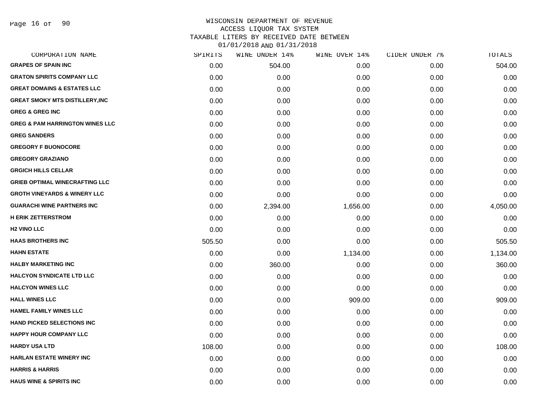Page 16 of 90

### WISCONSIN DEPARTMENT OF REVENUE ACCESS LIQUOR TAX SYSTEM TAXABLE LITERS BY RECEIVED DATE BETWEEN

| CORPORATION NAME                           | SPIRITS | WINE UNDER 14% | WINE OVER 14% | CIDER UNDER 7% | TOTALS   |
|--------------------------------------------|---------|----------------|---------------|----------------|----------|
| <b>GRAPES OF SPAIN INC</b>                 | 0.00    | 504.00         | 0.00          | 0.00           | 504.00   |
| <b>GRATON SPIRITS COMPANY LLC</b>          | 0.00    | 0.00           | 0.00          | 0.00           | 0.00     |
| <b>GREAT DOMAINS &amp; ESTATES LLC</b>     | 0.00    | 0.00           | 0.00          | 0.00           | 0.00     |
| <b>GREAT SMOKY MTS DISTILLERY, INC</b>     | 0.00    | 0.00           | 0.00          | 0.00           | 0.00     |
| <b>GREG &amp; GREG INC</b>                 | 0.00    | 0.00           | 0.00          | 0.00           | 0.00     |
| <b>GREG &amp; PAM HARRINGTON WINES LLC</b> | 0.00    | 0.00           | 0.00          | 0.00           | 0.00     |
| <b>GREG SANDERS</b>                        | 0.00    | 0.00           | 0.00          | 0.00           | 0.00     |
| <b>GREGORY F BUONOCORE</b>                 | 0.00    | 0.00           | 0.00          | 0.00           | 0.00     |
| <b>GREGORY GRAZIANO</b>                    | 0.00    | 0.00           | 0.00          | 0.00           | 0.00     |
| <b>GRGICH HILLS CELLAR</b>                 | 0.00    | 0.00           | 0.00          | 0.00           | 0.00     |
| <b>GRIEB OPTIMAL WINECRAFTING LLC</b>      | 0.00    | 0.00           | 0.00          | 0.00           | 0.00     |
| <b>GROTH VINEYARDS &amp; WINERY LLC</b>    | 0.00    | 0.00           | 0.00          | 0.00           | 0.00     |
| <b>GUARACHI WINE PARTNERS INC</b>          | 0.00    | 2,394.00       | 1,656.00      | 0.00           | 4,050.00 |
| <b>H ERIK ZETTERSTROM</b>                  | 0.00    | 0.00           | 0.00          | 0.00           | 0.00     |
| <b>H2 VINO LLC</b>                         | 0.00    | 0.00           | 0.00          | 0.00           | 0.00     |
| <b>HAAS BROTHERS INC</b>                   | 505.50  | 0.00           | 0.00          | 0.00           | 505.50   |
| <b>HAHN ESTATE</b>                         | 0.00    | 0.00           | 1,134.00      | 0.00           | 1,134.00 |
| <b>HALBY MARKETING INC</b>                 | 0.00    | 360.00         | 0.00          | 0.00           | 360.00   |
| <b>HALCYON SYNDICATE LTD LLC</b>           | 0.00    | 0.00           | 0.00          | 0.00           | 0.00     |
| <b>HALCYON WINES LLC</b>                   | 0.00    | 0.00           | 0.00          | 0.00           | 0.00     |
| <b>HALL WINES LLC</b>                      | 0.00    | 0.00           | 909.00        | 0.00           | 909.00   |
| <b>HAMEL FAMILY WINES LLC</b>              | 0.00    | 0.00           | 0.00          | 0.00           | 0.00     |
| <b>HAND PICKED SELECTIONS INC</b>          | 0.00    | 0.00           | 0.00          | 0.00           | 0.00     |
| <b>HAPPY HOUR COMPANY LLC</b>              | 0.00    | 0.00           | 0.00          | 0.00           | 0.00     |
| <b>HARDY USA LTD</b>                       | 108.00  | 0.00           | 0.00          | 0.00           | 108.00   |
| <b>HARLAN ESTATE WINERY INC</b>            | 0.00    | 0.00           | 0.00          | 0.00           | 0.00     |
| <b>HARRIS &amp; HARRIS</b>                 | 0.00    | 0.00           | 0.00          | 0.00           | 0.00     |
| <b>HAUS WINE &amp; SPIRITS INC</b>         | 0.00    | 0.00           | 0.00          | 0.00           | 0.00     |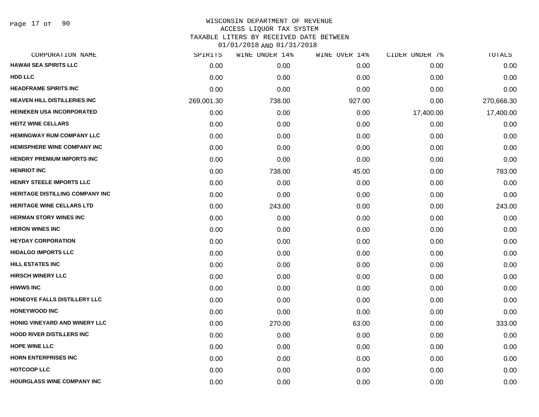Page 17 of 90

| CORPORATION NAME                       | SPIRITS    | WINE UNDER 14% | WINE OVER 14% | CIDER UNDER 7% | TOTALS     |
|----------------------------------------|------------|----------------|---------------|----------------|------------|
| <b>HAWAII SEA SPIRITS LLC</b>          | 0.00       | 0.00           | 0.00          | 0.00           | 0.00       |
| <b>HDD LLC</b>                         | 0.00       | 0.00           | 0.00          | 0.00           | 0.00       |
| <b>HEADFRAME SPIRITS INC</b>           | 0.00       | 0.00           | 0.00          | 0.00           | 0.00       |
| <b>HEAVEN HILL DISTILLERIES INC</b>    | 269,001.30 | 738.00         | 927.00        | 0.00           | 270,666.30 |
| <b>HEINEKEN USA INCORPORATED</b>       | 0.00       | 0.00           | 0.00          | 17,400.00      | 17,400.00  |
| <b>HEITZ WINE CELLARS</b>              | 0.00       | 0.00           | 0.00          | 0.00           | 0.00       |
| <b>HEMINGWAY RUM COMPANY LLC</b>       | 0.00       | 0.00           | 0.00          | 0.00           | 0.00       |
| <b>HEMISPHERE WINE COMPANY INC</b>     | 0.00       | 0.00           | 0.00          | 0.00           | 0.00       |
| <b>HENDRY PREMIUM IMPORTS INC</b>      | 0.00       | 0.00           | 0.00          | 0.00           | 0.00       |
| <b>HENRIOT INC</b>                     | 0.00       | 738.00         | 45.00         | 0.00           | 783.00     |
| <b>HENRY STEELE IMPORTS LLC</b>        | 0.00       | 0.00           | 0.00          | 0.00           | 0.00       |
| <b>HERITAGE DISTILLING COMPANY INC</b> | 0.00       | 0.00           | 0.00          | 0.00           | 0.00       |
| <b>HERITAGE WINE CELLARS LTD</b>       | 0.00       | 243.00         | 0.00          | 0.00           | 243.00     |
| <b>HERMAN STORY WINES INC</b>          | 0.00       | 0.00           | 0.00          | 0.00           | 0.00       |
| <b>HERON WINES INC</b>                 | 0.00       | 0.00           | 0.00          | 0.00           | 0.00       |
| <b>HEYDAY CORPORATION</b>              | 0.00       | 0.00           | 0.00          | 0.00           | 0.00       |
| <b>HIDALGO IMPORTS LLC</b>             | 0.00       | 0.00           | 0.00          | 0.00           | 0.00       |
| <b>HILL ESTATES INC</b>                | 0.00       | 0.00           | 0.00          | 0.00           | 0.00       |
| <b>HIRSCH WINERY LLC</b>               | 0.00       | 0.00           | 0.00          | 0.00           | 0.00       |
| <b>HIWWS INC</b>                       | 0.00       | 0.00           | 0.00          | 0.00           | 0.00       |
| HONEOYE FALLS DISTILLERY LLC           | 0.00       | 0.00           | 0.00          | 0.00           | 0.00       |
| <b>HONEYWOOD INC</b>                   | 0.00       | 0.00           | 0.00          | 0.00           | 0.00       |
| HONIG VINEYARD AND WINERY LLC          | 0.00       | 270.00         | 63.00         | 0.00           | 333.00     |
| <b>HOOD RIVER DISTILLERS INC</b>       | 0.00       | 0.00           | 0.00          | 0.00           | 0.00       |
| <b>HOPE WINE LLC</b>                   | 0.00       | 0.00           | 0.00          | 0.00           | 0.00       |
| <b>HORN ENTERPRISES INC</b>            | 0.00       | 0.00           | 0.00          | 0.00           | 0.00       |
| <b>HOTCOOP LLC</b>                     | 0.00       | 0.00           | 0.00          | 0.00           | 0.00       |
| HOURGLASS WINE COMPANY INC             | 0.00       | 0.00           | 0.00          | 0.00           | 0.00       |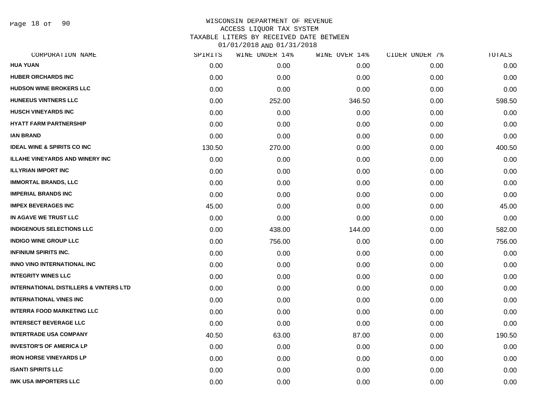Page 18 of 90

| CORPORATION NAME                                  | SPIRITS | WINE UNDER 14% | WINE OVER 14% | CIDER UNDER 7% | TOTALS |
|---------------------------------------------------|---------|----------------|---------------|----------------|--------|
| HUA YUAN                                          | 0.00    | 0.00           | 0.00          | 0.00           | 0.00   |
| <b>HUBER ORCHARDS INC</b>                         | 0.00    | 0.00           | 0.00          | 0.00           | 0.00   |
| <b>HUDSON WINE BROKERS LLC</b>                    | 0.00    | 0.00           | 0.00          | 0.00           | 0.00   |
| <b>HUNEEUS VINTNERS LLC</b>                       | 0.00    | 252.00         | 346.50        | 0.00           | 598.50 |
| <b>HUSCH VINEYARDS INC</b>                        | 0.00    | 0.00           | 0.00          | 0.00           | 0.00   |
| <b>HYATT FARM PARTNERSHIP</b>                     | 0.00    | 0.00           | 0.00          | 0.00           | 0.00   |
| <b>IAN BRAND</b>                                  | 0.00    | 0.00           | 0.00          | 0.00           | 0.00   |
| <b>IDEAL WINE &amp; SPIRITS CO INC</b>            | 130.50  | 270.00         | 0.00          | 0.00           | 400.50 |
| <b>ILLAHE VINEYARDS AND WINERY INC</b>            | 0.00    | 0.00           | 0.00          | 0.00           | 0.00   |
| <b>ILLYRIAN IMPORT INC</b>                        | 0.00    | 0.00           | 0.00          | 0.00           | 0.00   |
| <b>IMMORTAL BRANDS, LLC</b>                       | 0.00    | 0.00           | 0.00          | 0.00           | 0.00   |
| <b>IMPERIAL BRANDS INC</b>                        | 0.00    | 0.00           | 0.00          | 0.00           | 0.00   |
| <b>IMPEX BEVERAGES INC</b>                        | 45.00   | 0.00           | 0.00          | 0.00           | 45.00  |
| IN AGAVE WE TRUST LLC                             | 0.00    | 0.00           | 0.00          | 0.00           | 0.00   |
| <b>INDIGENOUS SELECTIONS LLC</b>                  | 0.00    | 438.00         | 144.00        | 0.00           | 582.00 |
| <b>INDIGO WINE GROUP LLC</b>                      | 0.00    | 756.00         | 0.00          | 0.00           | 756.00 |
| <b>INFINIUM SPIRITS INC.</b>                      | 0.00    | 0.00           | 0.00          | 0.00           | 0.00   |
| <b>INNO VINO INTERNATIONAL INC</b>                | 0.00    | 0.00           | 0.00          | 0.00           | 0.00   |
| <b>INTEGRITY WINES LLC</b>                        | 0.00    | 0.00           | 0.00          | 0.00           | 0.00   |
| <b>INTERNATIONAL DISTILLERS &amp; VINTERS LTD</b> | 0.00    | 0.00           | 0.00          | 0.00           | 0.00   |
| <b>INTERNATIONAL VINES INC</b>                    | 0.00    | 0.00           | 0.00          | 0.00           | 0.00   |
| <b>INTERRA FOOD MARKETING LLC</b>                 | 0.00    | 0.00           | 0.00          | 0.00           | 0.00   |
| <b>INTERSECT BEVERAGE LLC</b>                     | 0.00    | 0.00           | 0.00          | 0.00           | 0.00   |
| <b>INTERTRADE USA COMPANY</b>                     | 40.50   | 63.00          | 87.00         | 0.00           | 190.50 |
| <b>INVESTOR'S OF AMERICA LP</b>                   | 0.00    | 0.00           | 0.00          | 0.00           | 0.00   |
| <b>IRON HORSE VINEYARDS LP</b>                    | 0.00    | 0.00           | 0.00          | 0.00           | 0.00   |
| <b>ISANTI SPIRITS LLC</b>                         | 0.00    | 0.00           | 0.00          | 0.00           | 0.00   |
| <b>IWK USA IMPORTERS LLC</b>                      | 0.00    | 0.00           | 0.00          | 0.00           | 0.00   |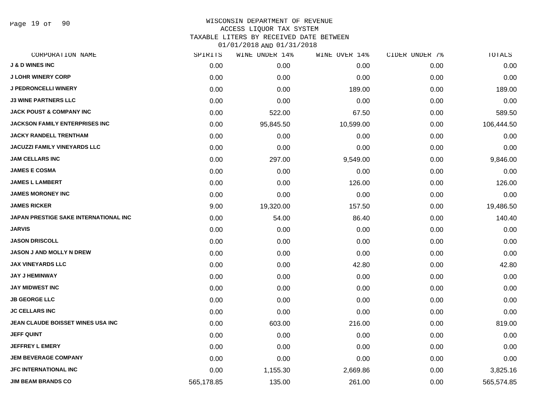Page 19 of 90

# WISCONSIN DEPARTMENT OF REVENUE ACCESS LIQUOR TAX SYSTEM TAXABLE LITERS BY RECEIVED DATE BETWEEN

| CORPORATION NAME                      | SPIRITS    | WINE UNDER 14% | WINE OVER 14% | CIDER UNDER 7% | TOTALS     |
|---------------------------------------|------------|----------------|---------------|----------------|------------|
| <b>J &amp; D WINES INC</b>            | 0.00       | 0.00           | 0.00          | 0.00           | 0.00       |
| <b>J LOHR WINERY CORP</b>             | 0.00       | 0.00           | 0.00          | 0.00           | 0.00       |
| <b>J PEDRONCELLI WINERY</b>           | 0.00       | 0.00           | 189.00        | 0.00           | 189.00     |
| <b>J3 WINE PARTNERS LLC</b>           | 0.00       | 0.00           | 0.00          | 0.00           | 0.00       |
| <b>JACK POUST &amp; COMPANY INC</b>   | 0.00       | 522.00         | 67.50         | 0.00           | 589.50     |
| <b>JACKSON FAMILY ENTERPRISES INC</b> | 0.00       | 95,845.50      | 10,599.00     | 0.00           | 106,444.50 |
| <b>JACKY RANDELL TRENTHAM</b>         | 0.00       | 0.00           | 0.00          | 0.00           | 0.00       |
| <b>JACUZZI FAMILY VINEYARDS LLC</b>   | 0.00       | 0.00           | 0.00          | 0.00           | 0.00       |
| <b>JAM CELLARS INC</b>                | 0.00       | 297.00         | 9,549.00      | 0.00           | 9,846.00   |
| <b>JAMES E COSMA</b>                  | 0.00       | 0.00           | 0.00          | 0.00           | 0.00       |
| <b>JAMES L LAMBERT</b>                | 0.00       | 0.00           | 126.00        | 0.00           | 126.00     |
| <b>JAMES MORONEY INC</b>              | 0.00       | 0.00           | 0.00          | 0.00           | 0.00       |
| <b>JAMES RICKER</b>                   | 9.00       | 19,320.00      | 157.50        | 0.00           | 19,486.50  |
| JAPAN PRESTIGE SAKE INTERNATIONAL INC | 0.00       | 54.00          | 86.40         | 0.00           | 140.40     |
| <b>JARVIS</b>                         | 0.00       | 0.00           | 0.00          | 0.00           | 0.00       |
| <b>JASON DRISCOLL</b>                 | 0.00       | 0.00           | 0.00          | 0.00           | 0.00       |
| <b>JASON J AND MOLLY N DREW</b>       | 0.00       | 0.00           | 0.00          | 0.00           | 0.00       |
| <b>JAX VINEYARDS LLC</b>              | 0.00       | 0.00           | 42.80         | 0.00           | 42.80      |
| <b>JAY J HEMINWAY</b>                 | 0.00       | 0.00           | 0.00          | 0.00           | 0.00       |
| <b>JAY MIDWEST INC</b>                | 0.00       | 0.00           | 0.00          | 0.00           | 0.00       |
| <b>JB GEORGE LLC</b>                  | 0.00       | 0.00           | 0.00          | 0.00           | 0.00       |
| <b>JC CELLARS INC</b>                 | 0.00       | 0.00           | 0.00          | 0.00           | 0.00       |
| JEAN CLAUDE BOISSET WINES USA INC     | 0.00       | 603.00         | 216.00        | 0.00           | 819.00     |
| <b>JEFF QUINT</b>                     | 0.00       | 0.00           | 0.00          | 0.00           | 0.00       |
| <b>JEFFREY L EMERY</b>                | 0.00       | 0.00           | 0.00          | 0.00           | 0.00       |
| <b>JEM BEVERAGE COMPANY</b>           | 0.00       | 0.00           | 0.00          | 0.00           | 0.00       |
| <b>JFC INTERNATIONAL INC</b>          | 0.00       | 1,155.30       | 2,669.86      | 0.00           | 3,825.16   |
| <b>JIM BEAM BRANDS CO</b>             | 565,178.85 | 135.00         | 261.00        | 0.00           | 565,574.85 |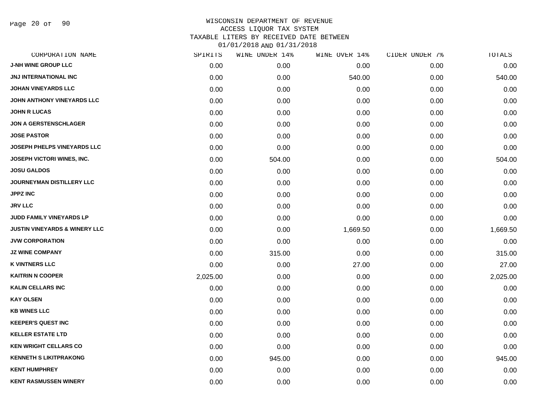Page 20 of 90

| CORPORATION NAME                         | SPIRITS  | WINE UNDER 14% | WINE OVER 14% | CIDER UNDER 7% | TOTALS   |
|------------------------------------------|----------|----------------|---------------|----------------|----------|
| <b>J-NH WINE GROUP LLC</b>               | 0.00     | 0.00           | 0.00          | 0.00           | 0.00     |
| JNJ INTERNATIONAL INC                    | 0.00     | 0.00           | 540.00        | 0.00           | 540.00   |
| <b>JOHAN VINEYARDS LLC</b>               | 0.00     | 0.00           | 0.00          | 0.00           | 0.00     |
| JOHN ANTHONY VINEYARDS LLC               | 0.00     | 0.00           | 0.00          | 0.00           | 0.00     |
| <b>JOHN R LUCAS</b>                      | 0.00     | 0.00           | 0.00          | 0.00           | 0.00     |
| <b>JON A GERSTENSCHLAGER</b>             | 0.00     | 0.00           | 0.00          | 0.00           | 0.00     |
| <b>JOSE PASTOR</b>                       | 0.00     | 0.00           | 0.00          | 0.00           | 0.00     |
| <b>JOSEPH PHELPS VINEYARDS LLC</b>       | 0.00     | 0.00           | 0.00          | 0.00           | 0.00     |
| JOSEPH VICTORI WINES, INC.               | 0.00     | 504.00         | 0.00          | 0.00           | 504.00   |
| <b>JOSU GALDOS</b>                       | 0.00     | 0.00           | 0.00          | 0.00           | 0.00     |
| <b>JOURNEYMAN DISTILLERY LLC</b>         | 0.00     | 0.00           | 0.00          | 0.00           | 0.00     |
| <b>JPPZ INC</b>                          | 0.00     | 0.00           | 0.00          | 0.00           | 0.00     |
| <b>JRV LLC</b>                           | 0.00     | 0.00           | 0.00          | 0.00           | 0.00     |
| JUDD FAMILY VINEYARDS LP                 | 0.00     | 0.00           | 0.00          | 0.00           | 0.00     |
| <b>JUSTIN VINEYARDS &amp; WINERY LLC</b> | 0.00     | 0.00           | 1,669.50      | 0.00           | 1,669.50 |
| <b>JVW CORPORATION</b>                   | 0.00     | 0.00           | 0.00          | 0.00           | 0.00     |
| <b>JZ WINE COMPANY</b>                   | 0.00     | 315.00         | 0.00          | 0.00           | 315.00   |
| <b>K VINTNERS LLC</b>                    | 0.00     | 0.00           | 27.00         | 0.00           | 27.00    |
| <b>KAITRIN N COOPER</b>                  | 2,025.00 | 0.00           | 0.00          | 0.00           | 2,025.00 |
| <b>KALIN CELLARS INC</b>                 | 0.00     | 0.00           | 0.00          | 0.00           | 0.00     |
| <b>KAY OLSEN</b>                         | 0.00     | 0.00           | 0.00          | 0.00           | 0.00     |
| <b>KB WINES LLC</b>                      | 0.00     | 0.00           | 0.00          | 0.00           | 0.00     |
| <b>KEEPER'S QUEST INC</b>                | 0.00     | 0.00           | 0.00          | 0.00           | 0.00     |
| <b>KELLER ESTATE LTD</b>                 | 0.00     | 0.00           | 0.00          | 0.00           | 0.00     |
| <b>KEN WRIGHT CELLARS CO</b>             | 0.00     | 0.00           | 0.00          | 0.00           | 0.00     |
| <b>KENNETH S LIKITPRAKONG</b>            | 0.00     | 945.00         | 0.00          | 0.00           | 945.00   |
| <b>KENT HUMPHREY</b>                     | 0.00     | 0.00           | 0.00          | 0.00           | 0.00     |
| <b>KENT RASMUSSEN WINERY</b>             | 0.00     | 0.00           | 0.00          | 0.00           | 0.00     |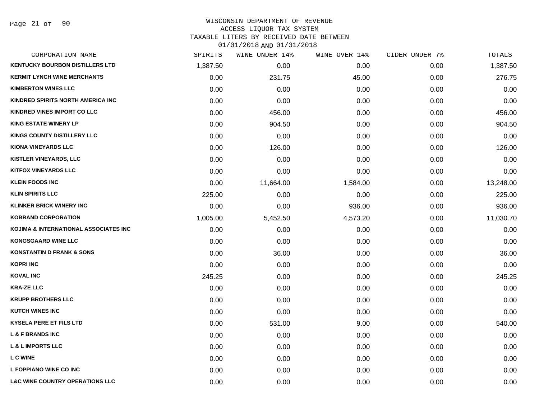## WISCONSIN DEPARTMENT OF REVENUE ACCESS LIQUOR TAX SYSTEM TAXABLE LITERS BY RECEIVED DATE BETWEEN

| CORPORATION NAME                           | SPIRITS  | WINE UNDER 14% | WINE OVER 14% | CIDER UNDER 7% | TOTALS    |
|--------------------------------------------|----------|----------------|---------------|----------------|-----------|
| <b>KENTUCKY BOURBON DISTILLERS LTD</b>     | 1,387.50 | 0.00           | 0.00          | 0.00           | 1,387.50  |
| <b>KERMIT LYNCH WINE MERCHANTS</b>         | 0.00     | 231.75         | 45.00         | 0.00           | 276.75    |
| <b>KIMBERTON WINES LLC</b>                 | 0.00     | 0.00           | 0.00          | 0.00           | 0.00      |
| KINDRED SPIRITS NORTH AMERICA INC          | 0.00     | 0.00           | 0.00          | 0.00           | 0.00      |
| <b>KINDRED VINES IMPORT CO LLC</b>         | 0.00     | 456.00         | 0.00          | 0.00           | 456.00    |
| <b>KING ESTATE WINERY LP</b>               | 0.00     | 904.50         | 0.00          | 0.00           | 904.50    |
| KINGS COUNTY DISTILLERY LLC                | 0.00     | 0.00           | 0.00          | 0.00           | 0.00      |
| <b>KIONA VINEYARDS LLC</b>                 | 0.00     | 126.00         | 0.00          | 0.00           | 126.00    |
| KISTLER VINEYARDS, LLC                     | 0.00     | 0.00           | 0.00          | 0.00           | 0.00      |
| <b>KITFOX VINEYARDS LLC</b>                | 0.00     | 0.00           | 0.00          | 0.00           | 0.00      |
| <b>KLEIN FOODS INC</b>                     | 0.00     | 11,664.00      | 1,584.00      | 0.00           | 13,248.00 |
| <b>KLIN SPIRITS LLC</b>                    | 225.00   | 0.00           | 0.00          | 0.00           | 225.00    |
| <b>KLINKER BRICK WINERY INC</b>            | 0.00     | 0.00           | 936.00        | 0.00           | 936.00    |
| <b>KOBRAND CORPORATION</b>                 | 1,005.00 | 5,452.50       | 4,573.20      | 0.00           | 11,030.70 |
| KOJIMA & INTERNATIONAL ASSOCIATES INC      | 0.00     | 0.00           | 0.00          | 0.00           | 0.00      |
| <b>KONGSGAARD WINE LLC</b>                 | 0.00     | 0.00           | 0.00          | 0.00           | 0.00      |
| <b>KONSTANTIN D FRANK &amp; SONS</b>       | 0.00     | 36.00          | 0.00          | 0.00           | 36.00     |
| <b>KOPRI INC</b>                           | 0.00     | 0.00           | 0.00          | 0.00           | 0.00      |
| <b>KOVAL INC</b>                           | 245.25   | 0.00           | 0.00          | 0.00           | 245.25    |
| <b>KRA-ZE LLC</b>                          | 0.00     | 0.00           | 0.00          | 0.00           | 0.00      |
| <b>KRUPP BROTHERS LLC</b>                  | 0.00     | 0.00           | 0.00          | 0.00           | 0.00      |
| <b>KUTCH WINES INC</b>                     | 0.00     | 0.00           | 0.00          | 0.00           | 0.00      |
| <b>KYSELA PERE ET FILS LTD</b>             | 0.00     | 531.00         | 9.00          | 0.00           | 540.00    |
| <b>L &amp; F BRANDS INC</b>                | 0.00     | 0.00           | 0.00          | 0.00           | 0.00      |
| <b>L &amp; L IMPORTS LLC</b>               | 0.00     | 0.00           | 0.00          | 0.00           | 0.00      |
| L C WINE                                   | 0.00     | 0.00           | 0.00          | 0.00           | 0.00      |
| L FOPPIANO WINE CO INC                     | 0.00     | 0.00           | 0.00          | 0.00           | 0.00      |
| <b>L&amp;C WINE COUNTRY OPERATIONS LLC</b> | 0.00     | 0.00           | 0.00          | 0.00           | 0.00      |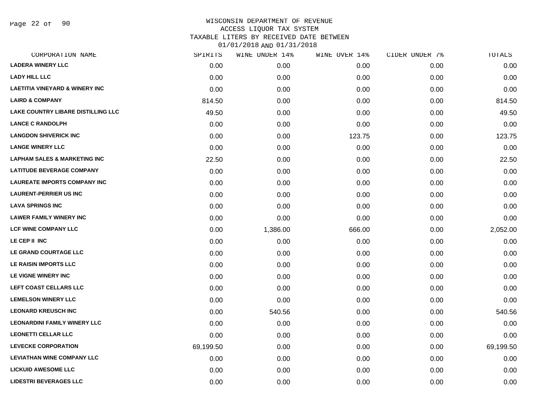Page 22 of 90

| SPIRITS   | WINE UNDER 14% | WINE OVER 14% | CIDER UNDER 7% | TOTALS    |
|-----------|----------------|---------------|----------------|-----------|
| 0.00      | 0.00           | 0.00          | 0.00           | 0.00      |
| 0.00      | 0.00           | 0.00          | 0.00           | 0.00      |
| 0.00      | 0.00           | 0.00          | 0.00           | 0.00      |
| 814.50    | 0.00           | 0.00          | 0.00           | 814.50    |
| 49.50     | 0.00           | 0.00          | 0.00           | 49.50     |
| 0.00      | 0.00           | 0.00          | 0.00           | 0.00      |
| 0.00      | 0.00           | 123.75        | 0.00           | 123.75    |
| 0.00      | 0.00           | 0.00          | 0.00           | 0.00      |
| 22.50     | 0.00           | 0.00          | 0.00           | 22.50     |
| 0.00      | 0.00           | 0.00          | 0.00           | 0.00      |
| 0.00      | 0.00           | 0.00          | 0.00           | 0.00      |
| 0.00      | 0.00           | 0.00          | 0.00           | 0.00      |
| 0.00      | 0.00           | 0.00          | 0.00           | 0.00      |
| 0.00      | 0.00           | 0.00          | 0.00           | 0.00      |
| 0.00      | 1,386.00       | 666.00        | 0.00           | 2,052.00  |
| 0.00      | 0.00           | 0.00          | 0.00           | 0.00      |
| 0.00      | 0.00           | 0.00          | 0.00           | 0.00      |
| 0.00      | 0.00           | 0.00          | 0.00           | 0.00      |
| 0.00      | 0.00           | 0.00          | 0.00           | 0.00      |
| 0.00      | 0.00           | 0.00          | 0.00           | 0.00      |
| 0.00      | 0.00           | 0.00          | 0.00           | 0.00      |
| 0.00      | 540.56         | 0.00          | 0.00           | 540.56    |
| 0.00      | 0.00           | 0.00          | 0.00           | 0.00      |
| 0.00      | 0.00           | 0.00          | 0.00           | 0.00      |
| 69,199.50 | 0.00           | 0.00          | 0.00           | 69,199.50 |
| 0.00      | 0.00           | 0.00          | 0.00           | 0.00      |
| 0.00      | 0.00           | 0.00          | 0.00           | 0.00      |
| 0.00      | 0.00           | 0.00          | 0.00           | 0.00      |
|           |                |               |                |           |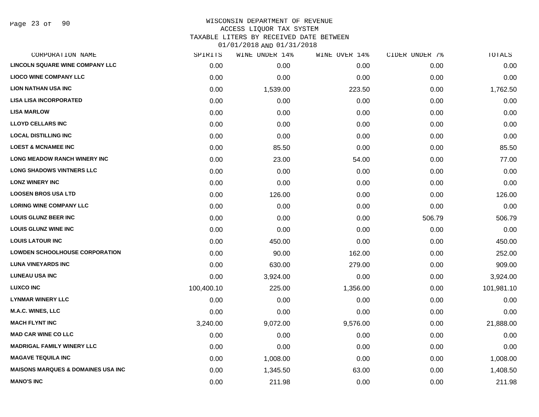Page 23 of 90

## WISCONSIN DEPARTMENT OF REVENUE ACCESS LIQUOR TAX SYSTEM TAXABLE LITERS BY RECEIVED DATE BETWEEN

| CORPORATION NAME                              | SPIRITS    | WINE UNDER 14% | WINE OVER 14% | CIDER UNDER 7% | TOTALS     |
|-----------------------------------------------|------------|----------------|---------------|----------------|------------|
| <b>LINCOLN SQUARE WINE COMPANY LLC</b>        | 0.00       | 0.00           | 0.00          | 0.00           | 0.00       |
| <b>LIOCO WINE COMPANY LLC</b>                 | 0.00       | 0.00           | 0.00          | 0.00           | 0.00       |
| <b>LION NATHAN USA INC</b>                    | 0.00       | 1,539.00       | 223.50        | 0.00           | 1,762.50   |
| <b>LISA LISA INCORPORATED</b>                 | 0.00       | 0.00           | 0.00          | 0.00           | 0.00       |
| <b>LISA MARLOW</b>                            | 0.00       | 0.00           | 0.00          | 0.00           | 0.00       |
| <b>LLOYD CELLARS INC</b>                      | 0.00       | 0.00           | 0.00          | 0.00           | 0.00       |
| <b>LOCAL DISTILLING INC</b>                   | 0.00       | 0.00           | 0.00          | 0.00           | 0.00       |
| <b>LOEST &amp; MCNAMEE INC</b>                | 0.00       | 85.50          | 0.00          | 0.00           | 85.50      |
| LONG MEADOW RANCH WINERY INC                  | 0.00       | 23.00          | 54.00         | 0.00           | 77.00      |
| <b>LONG SHADOWS VINTNERS LLC</b>              | 0.00       | 0.00           | 0.00          | 0.00           | 0.00       |
| <b>LONZ WINERY INC</b>                        | 0.00       | 0.00           | 0.00          | 0.00           | 0.00       |
| <b>LOOSEN BROS USA LTD</b>                    | 0.00       | 126.00         | 0.00          | 0.00           | 126.00     |
| <b>LORING WINE COMPANY LLC</b>                | 0.00       | 0.00           | 0.00          | 0.00           | 0.00       |
| <b>LOUIS GLUNZ BEER INC</b>                   | 0.00       | 0.00           | 0.00          | 506.79         | 506.79     |
| <b>LOUIS GLUNZ WINE INC</b>                   | 0.00       | 0.00           | 0.00          | 0.00           | 0.00       |
| <b>LOUIS LATOUR INC</b>                       | 0.00       | 450.00         | 0.00          | 0.00           | 450.00     |
| <b>LOWDEN SCHOOLHOUSE CORPORATION</b>         | 0.00       | 90.00          | 162.00        | 0.00           | 252.00     |
| <b>LUNA VINEYARDS INC</b>                     | 0.00       | 630.00         | 279.00        | 0.00           | 909.00     |
| <b>LUNEAU USA INC</b>                         | 0.00       | 3,924.00       | 0.00          | 0.00           | 3,924.00   |
| <b>LUXCO INC</b>                              | 100,400.10 | 225.00         | 1,356.00      | 0.00           | 101,981.10 |
| <b>LYNMAR WINERY LLC</b>                      | 0.00       | 0.00           | 0.00          | 0.00           | 0.00       |
| <b>M.A.C. WINES, LLC</b>                      | 0.00       | 0.00           | 0.00          | 0.00           | 0.00       |
| <b>MACH FLYNT INC</b>                         | 3,240.00   | 9,072.00       | 9,576.00      | 0.00           | 21,888.00  |
| <b>MAD CAR WINE CO LLC</b>                    | 0.00       | 0.00           | 0.00          | 0.00           | 0.00       |
| <b>MADRIGAL FAMILY WINERY LLC</b>             | 0.00       | 0.00           | 0.00          | 0.00           | 0.00       |
| <b>MAGAVE TEQUILA INC</b>                     | 0.00       | 1,008.00       | 0.00          | 0.00           | 1,008.00   |
| <b>MAISONS MARQUES &amp; DOMAINES USA INC</b> | 0.00       | 1,345.50       | 63.00         | 0.00           | 1,408.50   |
| <b>MANO'S INC</b>                             | 0.00       | 211.98         | 0.00          | 0.00           | 211.98     |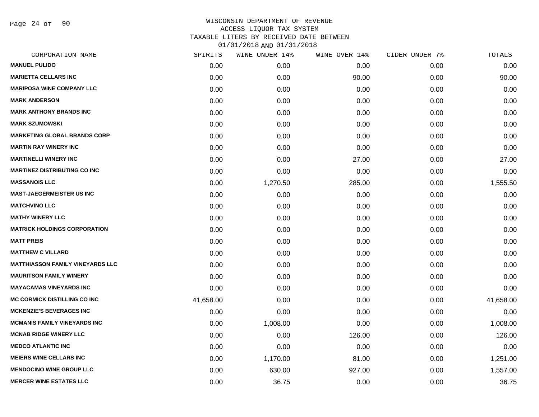Page 24 of 90

| SPIRITS   | WINE UNDER 14% | WINE OVER 14% | CIDER UNDER 7% | TOTALS    |
|-----------|----------------|---------------|----------------|-----------|
| 0.00      | 0.00           | 0.00          | 0.00           | 0.00      |
| 0.00      | 0.00           | 90.00         | 0.00           | 90.00     |
| 0.00      | 0.00           | 0.00          | 0.00           | 0.00      |
| 0.00      | 0.00           | 0.00          | 0.00           | 0.00      |
| 0.00      | 0.00           | 0.00          | 0.00           | 0.00      |
| 0.00      | 0.00           | 0.00          | 0.00           | 0.00      |
| 0.00      | 0.00           | 0.00          | 0.00           | 0.00      |
| 0.00      | 0.00           | 0.00          | 0.00           | 0.00      |
| 0.00      | 0.00           | 27.00         | 0.00           | 27.00     |
| 0.00      | 0.00           | 0.00          | 0.00           | 0.00      |
| 0.00      | 1,270.50       | 285.00        | 0.00           | 1,555.50  |
| 0.00      | 0.00           | 0.00          | 0.00           | 0.00      |
| 0.00      | 0.00           | 0.00          | 0.00           | 0.00      |
| 0.00      | 0.00           | 0.00          | 0.00           | 0.00      |
| 0.00      | 0.00           | 0.00          | 0.00           | 0.00      |
| 0.00      | 0.00           | 0.00          | 0.00           | 0.00      |
| 0.00      | 0.00           | 0.00          | 0.00           | 0.00      |
| 0.00      | 0.00           | 0.00          | 0.00           | 0.00      |
| 0.00      | 0.00           | 0.00          | 0.00           | 0.00      |
| 0.00      | 0.00           | 0.00          | 0.00           | 0.00      |
| 41,658.00 | 0.00           | 0.00          | 0.00           | 41,658.00 |
| 0.00      | 0.00           | 0.00          | 0.00           | 0.00      |
| 0.00      | 1,008.00       | 0.00          | 0.00           | 1,008.00  |
| 0.00      | 0.00           | 126.00        | 0.00           | 126.00    |
| 0.00      | 0.00           | 0.00          | 0.00           | 0.00      |
| 0.00      | 1,170.00       | 81.00         | 0.00           | 1,251.00  |
| 0.00      | 630.00         | 927.00        | 0.00           | 1,557.00  |
| 0.00      | 36.75          | 0.00          | 0.00           | 36.75     |
|           |                |               |                |           |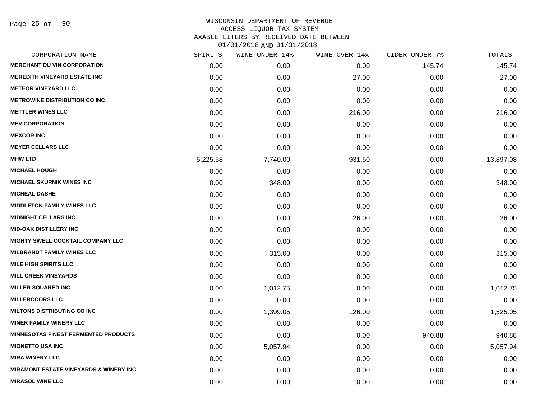| CORPORATION NAME                                  | SPIRITS  | WINE UNDER 14% | WINE OVER 14% | CIDER UNDER 7% | TOTALS    |
|---------------------------------------------------|----------|----------------|---------------|----------------|-----------|
| <b>MERCHANT DU VIN CORPORATION</b>                | 0.00     | 0.00           | 0.00          | 145.74         | 145.74    |
| <b>MEREDITH VINEYARD ESTATE INC</b>               | 0.00     | 0.00           | 27.00         | 0.00           | 27.00     |
| <b>METEOR VINEYARD LLC</b>                        | 0.00     | 0.00           | 0.00          | 0.00           | 0.00      |
| <b>METROWINE DISTRIBUTION CO INC</b>              | 0.00     | 0.00           | 0.00          | 0.00           | 0.00      |
| <b>METTLER WINES LLC</b>                          | 0.00     | 0.00           | 216.00        | 0.00           | 216.00    |
| <b>MEV CORPORATION</b>                            | 0.00     | 0.00           | 0.00          | 0.00           | 0.00      |
| <b>MEXCOR INC</b>                                 | 0.00     | 0.00           | 0.00          | 0.00           | 0.00      |
| <b>MEYER CELLARS LLC</b>                          | 0.00     | 0.00           | 0.00          | 0.00           | 0.00      |
| <b>MHW LTD</b>                                    | 5,225.58 | 7,740.00       | 931.50        | 0.00           | 13,897.08 |
| <b>MICHAEL HOUGH</b>                              | 0.00     | 0.00           | 0.00          | 0.00           | 0.00      |
| <b>MICHAEL SKURNIK WINES INC</b>                  | 0.00     | 348.00         | 0.00          | 0.00           | 348.00    |
| <b>MICHEAL DASHE</b>                              | 0.00     | 0.00           | 0.00          | 0.00           | 0.00      |
| <b>MIDDLETON FAMILY WINES LLC</b>                 | 0.00     | 0.00           | 0.00          | 0.00           | 0.00      |
| <b>MIDNIGHT CELLARS INC</b>                       | 0.00     | 0.00           | 126.00        | 0.00           | 126.00    |
| <b>MID-OAK DISTILLERY INC</b>                     | 0.00     | 0.00           | 0.00          | 0.00           | 0.00      |
| <b>MIGHTY SWELL COCKTAIL COMPANY LLC</b>          | 0.00     | 0.00           | 0.00          | 0.00           | 0.00      |
| <b>MILBRANDT FAMILY WINES LLC</b>                 | 0.00     | 315.00         | 0.00          | 0.00           | 315.00    |
| <b>MILE HIGH SPIRITS LLC</b>                      | 0.00     | 0.00           | 0.00          | 0.00           | 0.00      |
| <b>MILL CREEK VINEYARDS</b>                       | 0.00     | 0.00           | 0.00          | 0.00           | 0.00      |
| <b>MILLER SQUARED INC</b>                         | 0.00     | 1,012.75       | 0.00          | 0.00           | 1,012.75  |
| <b>MILLERCOORS LLC</b>                            | 0.00     | 0.00           | 0.00          | 0.00           | 0.00      |
| <b>MILTONS DISTRIBUTING CO INC</b>                | 0.00     | 1,399.05       | 126.00        | 0.00           | 1,525.05  |
| <b>MINER FAMILY WINERY LLC</b>                    | 0.00     | 0.00           | 0.00          | 0.00           | 0.00      |
| <b>MINNESOTAS FINEST FERMENTED PRODUCTS</b>       | 0.00     | 0.00           | 0.00          | 940.88         | 940.88    |
| <b>MIONETTO USA INC</b>                           | 0.00     | 5,057.94       | 0.00          | 0.00           | 5,057.94  |
| <b>MIRA WINERY LLC</b>                            | 0.00     | 0.00           | 0.00          | 0.00           | 0.00      |
| <b>MIRAMONT ESTATE VINEYARDS &amp; WINERY INC</b> | 0.00     | 0.00           | 0.00          | 0.00           | 0.00      |
| <b>MIRASOL WINE LLC</b>                           | 0.00     | 0.00           | 0.00          | 0.00           | 0.00      |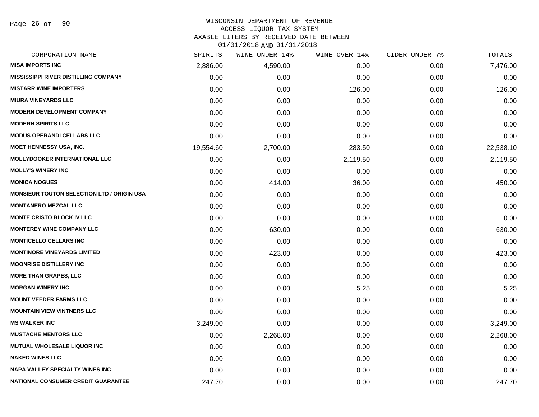Page 26 of 90

## WISCONSIN DEPARTMENT OF REVENUE

#### ACCESS LIQUOR TAX SYSTEM

TAXABLE LITERS BY RECEIVED DATE BETWEEN

| CORPORATION NAME                                  | SPIRITS   | WINE UNDER 14% | WINE OVER 14% | CIDER UNDER 7% | TOTALS    |
|---------------------------------------------------|-----------|----------------|---------------|----------------|-----------|
| <b>MISA IMPORTS INC</b>                           | 2,886.00  | 4,590.00       | 0.00          | 0.00           | 7,476.00  |
| <b>MISSISSIPPI RIVER DISTILLING COMPANY</b>       | 0.00      | 0.00           | 0.00          | 0.00           | 0.00      |
| <b>MISTARR WINE IMPORTERS</b>                     | 0.00      | 0.00           | 126.00        | 0.00           | 126.00    |
| <b>MIURA VINEYARDS LLC</b>                        | 0.00      | 0.00           | 0.00          | 0.00           | 0.00      |
| <b>MODERN DEVELOPMENT COMPANY</b>                 | 0.00      | 0.00           | 0.00          | 0.00           | 0.00      |
| <b>MODERN SPIRITS LLC</b>                         | 0.00      | 0.00           | 0.00          | 0.00           | 0.00      |
| <b>MODUS OPERANDI CELLARS LLC</b>                 | 0.00      | 0.00           | 0.00          | 0.00           | 0.00      |
| <b>MOET HENNESSY USA, INC.</b>                    | 19,554.60 | 2,700.00       | 283.50        | 0.00           | 22,538.10 |
| <b>MOLLYDOOKER INTERNATIONAL LLC</b>              | 0.00      | 0.00           | 2,119.50      | 0.00           | 2,119.50  |
| <b>MOLLY'S WINERY INC</b>                         | 0.00      | 0.00           | 0.00          | 0.00           | 0.00      |
| <b>MONICA NOGUES</b>                              | 0.00      | 414.00         | 36.00         | 0.00           | 450.00    |
| <b>MONSIEUR TOUTON SELECTION LTD / ORIGIN USA</b> | 0.00      | 0.00           | 0.00          | 0.00           | 0.00      |
| <b>MONTANERO MEZCAL LLC</b>                       | 0.00      | 0.00           | 0.00          | 0.00           | 0.00      |
| <b>MONTE CRISTO BLOCK IV LLC</b>                  | 0.00      | 0.00           | 0.00          | 0.00           | 0.00      |
| <b>MONTEREY WINE COMPANY LLC</b>                  | 0.00      | 630.00         | 0.00          | 0.00           | 630.00    |
| <b>MONTICELLO CELLARS INC</b>                     | 0.00      | 0.00           | 0.00          | 0.00           | 0.00      |
| <b>MONTINORE VINEYARDS LIMITED</b>                | 0.00      | 423.00         | 0.00          | 0.00           | 423.00    |
| <b>MOONRISE DISTILLERY INC</b>                    | 0.00      | 0.00           | 0.00          | 0.00           | 0.00      |
| <b>MORE THAN GRAPES, LLC</b>                      | 0.00      | 0.00           | 0.00          | 0.00           | 0.00      |
| <b>MORGAN WINERY INC</b>                          | 0.00      | 0.00           | 5.25          | 0.00           | 5.25      |
| <b>MOUNT VEEDER FARMS LLC</b>                     | 0.00      | 0.00           | 0.00          | 0.00           | 0.00      |
| <b>MOUNTAIN VIEW VINTNERS LLC</b>                 | 0.00      | 0.00           | 0.00          | 0.00           | 0.00      |
| <b>MS WALKER INC</b>                              | 3,249.00  | 0.00           | 0.00          | 0.00           | 3,249.00  |
| <b>MUSTACHE MENTORS LLC</b>                       | 0.00      | 2,268.00       | 0.00          | 0.00           | 2,268.00  |
| <b>MUTUAL WHOLESALE LIQUOR INC</b>                | 0.00      | 0.00           | 0.00          | 0.00           | 0.00      |
| <b>NAKED WINES LLC</b>                            | 0.00      | 0.00           | 0.00          | 0.00           | 0.00      |
| <b>NAPA VALLEY SPECIALTY WINES INC</b>            | 0.00      | 0.00           | 0.00          | 0.00           | 0.00      |
| <b>NATIONAL CONSUMER CREDIT GUARANTEE</b>         | 247.70    | 0.00           | 0.00          | 0.00           | 247.70    |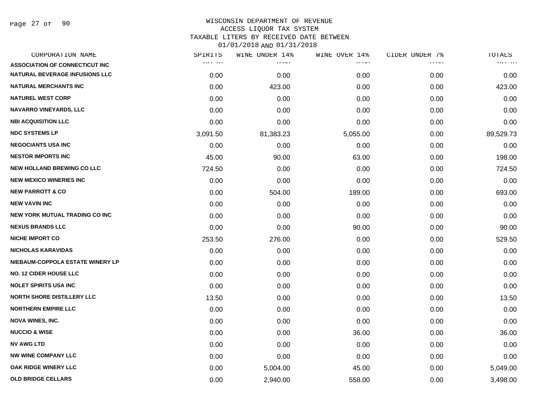Page 27 of 90

| CORPORATION NAME                       | SPIRITS  | WINE UNDER 14% | WINE OVER 14% | CIDER UNDER 7% | TOTALS    |
|----------------------------------------|----------|----------------|---------------|----------------|-----------|
| <b>ASSOCIATION OF CONNECTICUT INC.</b> | 747.711  | .              | .             | .              | ,,,,,,,   |
| <b>NATURAL BEVERAGE INFUSIONS LLC</b>  | 0.00     | 0.00           | 0.00          | 0.00           | 0.00      |
| <b>NATURAL MERCHANTS INC</b>           | 0.00     | 423.00         | 0.00          | 0.00           | 423.00    |
| <b>NATUREL WEST CORP</b>               | 0.00     | 0.00           | 0.00          | 0.00           | 0.00      |
| <b>NAVARRO VINEYARDS, LLC</b>          | 0.00     | 0.00           | 0.00          | 0.00           | 0.00      |
| <b>NBI ACQUISITION LLC</b>             | 0.00     | 0.00           | 0.00          | 0.00           | 0.00      |
| <b>NDC SYSTEMS LP</b>                  | 3,091.50 | 81,383.23      | 5,055.00      | 0.00           | 89,529.73 |
| <b>NEGOCIANTS USA INC</b>              | 0.00     | 0.00           | 0.00          | 0.00           | 0.00      |
| <b>NESTOR IMPORTS INC</b>              | 45.00    | 90.00          | 63.00         | 0.00           | 198.00    |
| <b>NEW HOLLAND BREWING CO LLC</b>      | 724.50   | 0.00           | 0.00          | 0.00           | 724.50    |
| <b>NEW MEXICO WINERIES INC</b>         | 0.00     | 0.00           | 0.00          | 0.00           | 0.00      |
| <b>NEW PARROTT &amp; CO</b>            | 0.00     | 504.00         | 189.00        | 0.00           | 693.00    |
| <b>NEW VAVIN INC</b>                   | 0.00     | 0.00           | 0.00          | 0.00           | 0.00      |
| <b>NEW YORK MUTUAL TRADING CO INC</b>  | 0.00     | 0.00           | 0.00          | 0.00           | 0.00      |
| <b>NEXUS BRANDS LLC</b>                | 0.00     | 0.00           | 90.00         | 0.00           | 90.00     |
| <b>NICHE IMPORT CO</b>                 | 253.50   | 276.00         | 0.00          | 0.00           | 529.50    |
| <b>NICHOLAS KARAVIDAS</b>              | 0.00     | 0.00           | 0.00          | 0.00           | 0.00      |
| NIEBAUM-COPPOLA ESTATE WINERY LP       | 0.00     | 0.00           | 0.00          | 0.00           | 0.00      |
| <b>NO. 12 CIDER HOUSE LLC</b>          | 0.00     | 0.00           | 0.00          | 0.00           | 0.00      |
| <b>NOLET SPIRITS USA INC</b>           | 0.00     | 0.00           | 0.00          | 0.00           | 0.00      |
| <b>NORTH SHORE DISTILLERY LLC</b>      | 13.50    | 0.00           | 0.00          | 0.00           | 13.50     |
| <b>NORTHERN EMPIRE LLC</b>             | 0.00     | 0.00           | 0.00          | 0.00           | 0.00      |
| <b>NOVA WINES, INC.</b>                | 0.00     | 0.00           | 0.00          | 0.00           | 0.00      |
| <b>NUCCIO &amp; WISE</b>               | 0.00     | 0.00           | 36.00         | 0.00           | 36.00     |
| <b>NV AWG LTD</b>                      | 0.00     | 0.00           | 0.00          | 0.00           | 0.00      |
| NW WINE COMPANY LLC                    | 0.00     | 0.00           | 0.00          | 0.00           | 0.00      |
| OAK RIDGE WINERY LLC                   | 0.00     | 5,004.00       | 45.00         | 0.00           | 5,049.00  |
| <b>OLD BRIDGE CELLARS</b>              | 0.00     | 2,940.00       | 558.00        | 0.00           | 3,498.00  |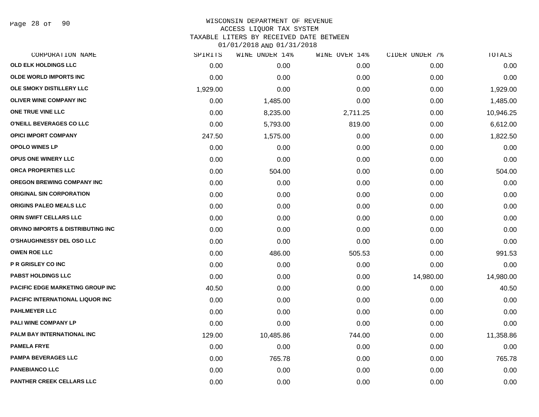Page 28 of 90

## WISCONSIN DEPARTMENT OF REVENUE ACCESS LIQUOR TAX SYSTEM TAXABLE LITERS BY RECEIVED DATE BETWEEN

| CORPORATION NAME                        | SPIRITS  | WINE UNDER 14% | WINE OVER 14% | CIDER UNDER 7% | TOTALS    |
|-----------------------------------------|----------|----------------|---------------|----------------|-----------|
| OLD ELK HOLDINGS LLC                    | 0.00     | 0.00           | 0.00          | 0.00           | 0.00      |
| <b>OLDE WORLD IMPORTS INC</b>           | 0.00     | 0.00           | 0.00          | 0.00           | 0.00      |
| OLE SMOKY DISTILLERY LLC                | 1,929.00 | 0.00           | 0.00          | 0.00           | 1,929.00  |
| <b>OLIVER WINE COMPANY INC</b>          | 0.00     | 1,485.00       | 0.00          | 0.00           | 1,485.00  |
| ONE TRUE VINE LLC                       | 0.00     | 8,235.00       | 2,711.25      | 0.00           | 10,946.25 |
| O'NEILL BEVERAGES CO LLC                | 0.00     | 5,793.00       | 819.00        | 0.00           | 6,612.00  |
| <b>OPICI IMPORT COMPANY</b>             | 247.50   | 1,575.00       | 0.00          | 0.00           | 1,822.50  |
| <b>OPOLO WINES LP</b>                   | 0.00     | 0.00           | 0.00          | 0.00           | 0.00      |
| <b>OPUS ONE WINERY LLC</b>              | 0.00     | 0.00           | 0.00          | 0.00           | 0.00      |
| ORCA PROPERTIES LLC                     | 0.00     | 504.00         | 0.00          | 0.00           | 504.00    |
| <b>OREGON BREWING COMPANY INC</b>       | 0.00     | 0.00           | 0.00          | 0.00           | 0.00      |
| <b>ORIGINAL SIN CORPORATION</b>         | 0.00     | 0.00           | 0.00          | 0.00           | 0.00      |
| <b>ORIGINS PALEO MEALS LLC</b>          | 0.00     | 0.00           | 0.00          | 0.00           | 0.00      |
| ORIN SWIFT CELLARS LLC                  | 0.00     | 0.00           | 0.00          | 0.00           | 0.00      |
| ORVINO IMPORTS & DISTRIBUTING INC       | 0.00     | 0.00           | 0.00          | 0.00           | 0.00      |
| <b>O'SHAUGHNESSY DEL OSO LLC</b>        | 0.00     | 0.00           | 0.00          | 0.00           | 0.00      |
| <b>OWEN ROE LLC</b>                     | 0.00     | 486.00         | 505.53        | 0.00           | 991.53    |
| P R GRISLEY CO INC                      | 0.00     | 0.00           | 0.00          | 0.00           | 0.00      |
| <b>PABST HOLDINGS LLC</b>               | 0.00     | 0.00           | 0.00          | 14,980.00      | 14,980.00 |
| <b>PACIFIC EDGE MARKETING GROUP INC</b> | 40.50    | 0.00           | 0.00          | 0.00           | 40.50     |
| PACIFIC INTERNATIONAL LIQUOR INC        | 0.00     | 0.00           | 0.00          | 0.00           | 0.00      |
| <b>PAHLMEYER LLC</b>                    | 0.00     | 0.00           | 0.00          | 0.00           | 0.00      |
| PALI WINE COMPANY LP                    | 0.00     | 0.00           | 0.00          | 0.00           | 0.00      |
| <b>PALM BAY INTERNATIONAL INC</b>       | 129.00   | 10,485.86      | 744.00        | 0.00           | 11,358.86 |
| <b>PAMELA FRYE</b>                      | 0.00     | 0.00           | 0.00          | 0.00           | 0.00      |
| <b>PAMPA BEVERAGES LLC</b>              | 0.00     | 765.78         | 0.00          | 0.00           | 765.78    |
| <b>PANEBIANCO LLC</b>                   | 0.00     | 0.00           | 0.00          | 0.00           | 0.00      |
| <b>PANTHER CREEK CELLARS LLC</b>        | 0.00     | 0.00           | 0.00          | 0.00           | 0.00      |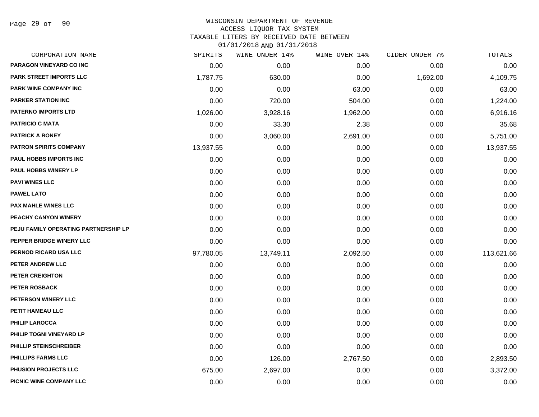Page 29 of 90

## WISCONSIN DEPARTMENT OF REVENUE ACCESS LIQUOR TAX SYSTEM

TAXABLE LITERS BY RECEIVED DATE BETWEEN

| CORPORATION NAME                     | SPIRITS   | WINE UNDER 14% | WINE OVER 14% | CIDER UNDER 7% | TOTALS     |
|--------------------------------------|-----------|----------------|---------------|----------------|------------|
| PARAGON VINEYARD CO INC              | 0.00      | 0.00           | 0.00          | 0.00           | 0.00       |
| <b>PARK STREET IMPORTS LLC</b>       | 1,787.75  | 630.00         | 0.00          | 1,692.00       | 4,109.75   |
| <b>PARK WINE COMPANY INC</b>         | 0.00      | 0.00           | 63.00         | 0.00           | 63.00      |
| <b>PARKER STATION INC</b>            | 0.00      | 720.00         | 504.00        | 0.00           | 1,224.00   |
| <b>PATERNO IMPORTS LTD</b>           | 1,026.00  | 3,928.16       | 1,962.00      | 0.00           | 6,916.16   |
| <b>PATRICIO C MATA</b>               | 0.00      | 33.30          | 2.38          | 0.00           | 35.68      |
| <b>PATRICK A RONEY</b>               | 0.00      | 3,060.00       | 2,691.00      | 0.00           | 5,751.00   |
| <b>PATRON SPIRITS COMPANY</b>        | 13,937.55 | 0.00           | 0.00          | 0.00           | 13,937.55  |
| PAUL HOBBS IMPORTS INC               | 0.00      | 0.00           | 0.00          | 0.00           | 0.00       |
| PAUL HOBBS WINERY LP                 | 0.00      | 0.00           | 0.00          | 0.00           | 0.00       |
| <b>PAVI WINES LLC</b>                | 0.00      | 0.00           | 0.00          | 0.00           | 0.00       |
| <b>PAWEL LATO</b>                    | 0.00      | 0.00           | 0.00          | 0.00           | 0.00       |
| <b>PAX MAHLE WINES LLC</b>           | 0.00      | 0.00           | 0.00          | 0.00           | 0.00       |
| <b>PEACHY CANYON WINERY</b>          | 0.00      | 0.00           | 0.00          | 0.00           | 0.00       |
| PEJU FAMILY OPERATING PARTNERSHIP LP | 0.00      | 0.00           | 0.00          | 0.00           | 0.00       |
| PEPPER BRIDGE WINERY LLC             | 0.00      | 0.00           | 0.00          | 0.00           | 0.00       |
| PERNOD RICARD USA LLC                | 97,780.05 | 13,749.11      | 2,092.50      | 0.00           | 113,621.66 |
| PETER ANDREW LLC                     | 0.00      | 0.00           | 0.00          | 0.00           | 0.00       |
| <b>PETER CREIGHTON</b>               | 0.00      | 0.00           | 0.00          | 0.00           | 0.00       |
| <b>PETER ROSBACK</b>                 | 0.00      | 0.00           | 0.00          | 0.00           | 0.00       |
| PETERSON WINERY LLC                  | 0.00      | 0.00           | 0.00          | 0.00           | 0.00       |
| PETIT HAMEAU LLC                     | 0.00      | 0.00           | 0.00          | 0.00           | 0.00       |
| <b>PHILIP LAROCCA</b>                | 0.00      | 0.00           | 0.00          | 0.00           | 0.00       |
| PHILIP TOGNI VINEYARD LP             | 0.00      | 0.00           | 0.00          | 0.00           | 0.00       |
| PHILLIP STEINSCHREIBER               | 0.00      | 0.00           | 0.00          | 0.00           | 0.00       |
| <b>PHILLIPS FARMS LLC</b>            | 0.00      | 126.00         | 2,767.50      | 0.00           | 2,893.50   |
| PHUSION PROJECTS LLC                 | 675.00    | 2,697.00       | 0.00          | 0.00           | 3,372.00   |
| PICNIC WINE COMPANY LLC              | 0.00      | 0.00           | 0.00          | 0.00           | 0.00       |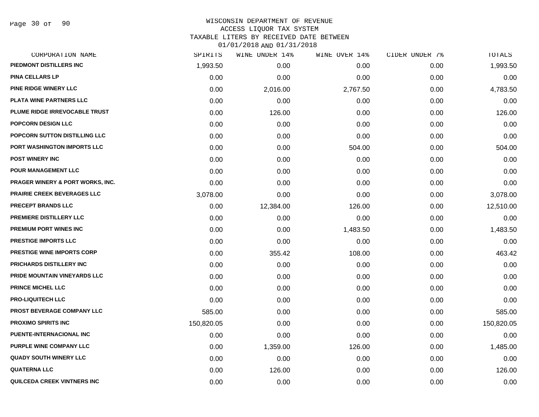## WISCONSIN DEPARTMENT OF REVENUE ACCESS LIQUOR TAX SYSTEM

TAXABLE LITERS BY RECEIVED DATE BETWEEN

| CORPORATION NAME                            | SPIRITS    | WINE UNDER 14% | WINE OVER 14% | CIDER UNDER 7% | TOTALS     |
|---------------------------------------------|------------|----------------|---------------|----------------|------------|
| PIEDMONT DISTILLERS INC                     | 1,993.50   | 0.00           | 0.00          | 0.00           | 1,993.50   |
| <b>PINA CELLARS LP</b>                      | 0.00       | 0.00           | 0.00          | 0.00           | 0.00       |
| <b>PINE RIDGE WINERY LLC</b>                | 0.00       | 2,016.00       | 2,767.50      | 0.00           | 4,783.50   |
| <b>PLATA WINE PARTNERS LLC</b>              | 0.00       | 0.00           | 0.00          | 0.00           | 0.00       |
| PLUME RIDGE IRREVOCABLE TRUST               | 0.00       | 126.00         | 0.00          | 0.00           | 126.00     |
| POPCORN DESIGN LLC                          | 0.00       | 0.00           | 0.00          | 0.00           | 0.00       |
| POPCORN SUTTON DISTILLING LLC               | 0.00       | 0.00           | 0.00          | 0.00           | 0.00       |
| PORT WASHINGTON IMPORTS LLC                 | 0.00       | 0.00           | 504.00        | 0.00           | 504.00     |
| <b>POST WINERY INC</b>                      | 0.00       | 0.00           | 0.00          | 0.00           | 0.00       |
| <b>POUR MANAGEMENT LLC</b>                  | 0.00       | 0.00           | 0.00          | 0.00           | 0.00       |
| <b>PRAGER WINERY &amp; PORT WORKS, INC.</b> | 0.00       | 0.00           | 0.00          | 0.00           | 0.00       |
| PRAIRIE CREEK BEVERAGES LLC                 | 3,078.00   | 0.00           | 0.00          | 0.00           | 3,078.00   |
| <b>PRECEPT BRANDS LLC</b>                   | 0.00       | 12,384.00      | 126.00        | 0.00           | 12,510.00  |
| <b>PREMIERE DISTILLERY LLC</b>              | 0.00       | 0.00           | 0.00          | 0.00           | 0.00       |
| <b>PREMIUM PORT WINES INC</b>               | 0.00       | 0.00           | 1,483.50      | 0.00           | 1,483.50   |
| PRESTIGE IMPORTS LLC                        | 0.00       | 0.00           | 0.00          | 0.00           | 0.00       |
| <b>PRESTIGE WINE IMPORTS CORP</b>           | 0.00       | 355.42         | 108.00        | 0.00           | 463.42     |
| <b>PRICHARDS DISTILLERY INC.</b>            | 0.00       | 0.00           | 0.00          | 0.00           | 0.00       |
| PRIDE MOUNTAIN VINEYARDS LLC                | 0.00       | 0.00           | 0.00          | 0.00           | 0.00       |
| <b>PRINCE MICHEL LLC</b>                    | 0.00       | 0.00           | 0.00          | 0.00           | 0.00       |
| <b>PRO-LIQUITECH LLC</b>                    | 0.00       | 0.00           | 0.00          | 0.00           | 0.00       |
| PROST BEVERAGE COMPANY LLC                  | 585.00     | 0.00           | 0.00          | 0.00           | 585.00     |
| <b>PROXIMO SPIRITS INC</b>                  | 150,820.05 | 0.00           | 0.00          | 0.00           | 150,820.05 |
| <b>PUENTE-INTERNACIONAL INC</b>             | 0.00       | 0.00           | 0.00          | 0.00           | 0.00       |
| PURPLE WINE COMPANY LLC                     | 0.00       | 1,359.00       | 126.00        | 0.00           | 1,485.00   |
| <b>QUADY SOUTH WINERY LLC</b>               | 0.00       | 0.00           | 0.00          | 0.00           | 0.00       |
| <b>QUATERNA LLC</b>                         | 0.00       | 126.00         | 0.00          | 0.00           | 126.00     |
| QUILCEDA CREEK VINTNERS INC                 | 0.00       | 0.00           | 0.00          | 0.00           | 0.00       |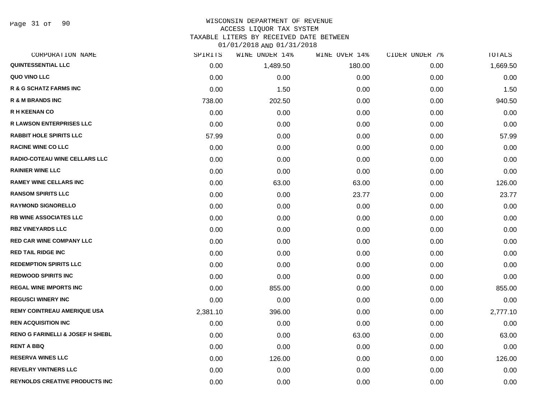Page 31 of 90

#### WISCONSIN DEPARTMENT OF REVENUE ACCESS LIQUOR TAX SYSTEM

TAXABLE LITERS BY RECEIVED DATE BETWEEN

| CORPORATION NAME                            | SPIRITS  | WINE UNDER 14% | WINE OVER 14% | CIDER UNDER 7% | TOTALS   |
|---------------------------------------------|----------|----------------|---------------|----------------|----------|
| <b>QUINTESSENTIAL LLC</b>                   | 0.00     | 1,489.50       | 180.00        | 0.00           | 1,669.50 |
| QUO VINO LLC                                | 0.00     | 0.00           | 0.00          | 0.00           | 0.00     |
| <b>R &amp; G SCHATZ FARMS INC</b>           | 0.00     | 1.50           | 0.00          | 0.00           | 1.50     |
| <b>R &amp; M BRANDS INC</b>                 | 738.00   | 202.50         | 0.00          | 0.00           | 940.50   |
| <b>R H KEENAN CO</b>                        | 0.00     | 0.00           | 0.00          | 0.00           | 0.00     |
| <b>R LAWSON ENTERPRISES LLC</b>             | 0.00     | 0.00           | 0.00          | 0.00           | 0.00     |
| <b>RABBIT HOLE SPIRITS LLC</b>              | 57.99    | 0.00           | 0.00          | 0.00           | 57.99    |
| <b>RACINE WINE CO LLC</b>                   | 0.00     | 0.00           | 0.00          | 0.00           | 0.00     |
| RADIO-COTEAU WINE CELLARS LLC               | 0.00     | 0.00           | 0.00          | 0.00           | 0.00     |
| <b>RAINIER WINE LLC</b>                     | 0.00     | 0.00           | 0.00          | 0.00           | 0.00     |
| <b>RAMEY WINE CELLARS INC</b>               | 0.00     | 63.00          | 63.00         | 0.00           | 126.00   |
| <b>RANSOM SPIRITS LLC</b>                   | 0.00     | 0.00           | 23.77         | 0.00           | 23.77    |
| <b>RAYMOND SIGNORELLO</b>                   | 0.00     | 0.00           | 0.00          | 0.00           | 0.00     |
| <b>RB WINE ASSOCIATES LLC</b>               | 0.00     | 0.00           | 0.00          | 0.00           | 0.00     |
| <b>RBZ VINEYARDS LLC</b>                    | 0.00     | 0.00           | 0.00          | 0.00           | 0.00     |
| <b>RED CAR WINE COMPANY LLC</b>             | 0.00     | 0.00           | 0.00          | 0.00           | 0.00     |
| <b>RED TAIL RIDGE INC</b>                   | 0.00     | 0.00           | 0.00          | 0.00           | 0.00     |
| <b>REDEMPTION SPIRITS LLC</b>               | 0.00     | 0.00           | 0.00          | 0.00           | 0.00     |
| <b>REDWOOD SPIRITS INC</b>                  | 0.00     | 0.00           | 0.00          | 0.00           | 0.00     |
| <b>REGAL WINE IMPORTS INC</b>               | 0.00     | 855.00         | 0.00          | 0.00           | 855.00   |
| <b>REGUSCI WINERY INC</b>                   | 0.00     | 0.00           | 0.00          | 0.00           | 0.00     |
| <b>REMY COINTREAU AMERIQUE USA</b>          | 2,381.10 | 396.00         | 0.00          | 0.00           | 2,777.10 |
| <b>REN ACQUISITION INC</b>                  | 0.00     | 0.00           | 0.00          | 0.00           | 0.00     |
| <b>RENO G FARINELLI &amp; JOSEF H SHEBL</b> | 0.00     | 0.00           | 63.00         | 0.00           | 63.00    |
| <b>RENT A BBQ</b>                           | 0.00     | 0.00           | 0.00          | 0.00           | 0.00     |
| <b>RESERVA WINES LLC</b>                    | 0.00     | 126.00         | 0.00          | 0.00           | 126.00   |
| <b>REVELRY VINTNERS LLC</b>                 | 0.00     | 0.00           | 0.00          | 0.00           | 0.00     |
| <b>REYNOLDS CREATIVE PRODUCTS INC</b>       | 0.00     | 0.00           | 0.00          | 0.00           | 0.00     |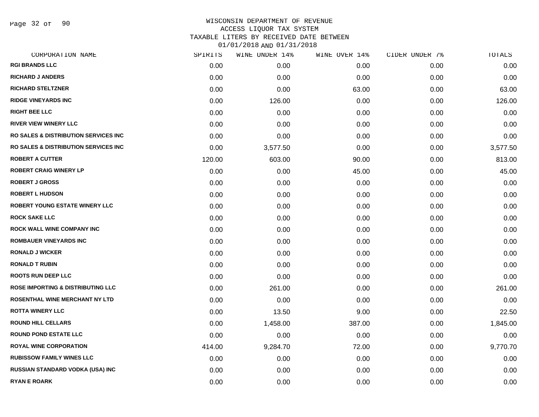Page 32 of 90

### WISCONSIN DEPARTMENT OF REVENUE ACCESS LIQUOR TAX SYSTEM TAXABLE LITERS BY RECEIVED DATE BETWEEN

| CORPORATION NAME                                | SPIRITS | WINE UNDER 14% | WINE OVER 14% | CIDER UNDER 7% | TOTALS   |
|-------------------------------------------------|---------|----------------|---------------|----------------|----------|
| <b>RGI BRANDS LLC</b>                           | 0.00    | 0.00           | 0.00          | 0.00           | 0.00     |
| <b>RICHARD J ANDERS</b>                         | 0.00    | 0.00           | 0.00          | 0.00           | 0.00     |
| <b>RICHARD STELTZNER</b>                        | 0.00    | 0.00           | 63.00         | 0.00           | 63.00    |
| <b>RIDGE VINEYARDS INC</b>                      | 0.00    | 126.00         | 0.00          | 0.00           | 126.00   |
| <b>RIGHT BEE LLC</b>                            | 0.00    | 0.00           | 0.00          | 0.00           | 0.00     |
| <b>RIVER VIEW WINERY LLC</b>                    | 0.00    | 0.00           | 0.00          | 0.00           | 0.00     |
| RO SALES & DISTRIBUTION SERVICES INC            | 0.00    | 0.00           | 0.00          | 0.00           | 0.00     |
| <b>RO SALES &amp; DISTRIBUTION SERVICES INC</b> | 0.00    | 3,577.50       | 0.00          | 0.00           | 3,577.50 |
| <b>ROBERT A CUTTER</b>                          | 120.00  | 603.00         | 90.00         | 0.00           | 813.00   |
| <b>ROBERT CRAIG WINERY LP</b>                   | 0.00    | 0.00           | 45.00         | 0.00           | 45.00    |
| <b>ROBERT J GROSS</b>                           | 0.00    | 0.00           | 0.00          | 0.00           | 0.00     |
| <b>ROBERT L HUDSON</b>                          | 0.00    | 0.00           | 0.00          | 0.00           | 0.00     |
| <b>ROBERT YOUNG ESTATE WINERY LLC</b>           | 0.00    | 0.00           | 0.00          | 0.00           | 0.00     |
| <b>ROCK SAKE LLC</b>                            | 0.00    | 0.00           | 0.00          | 0.00           | 0.00     |
| <b>ROCK WALL WINE COMPANY INC</b>               | 0.00    | 0.00           | 0.00          | 0.00           | 0.00     |
| <b>ROMBAUER VINEYARDS INC</b>                   | 0.00    | 0.00           | 0.00          | 0.00           | 0.00     |
| <b>RONALD J WICKER</b>                          | 0.00    | 0.00           | 0.00          | 0.00           | 0.00     |
| <b>RONALD T RUBIN</b>                           | 0.00    | 0.00           | 0.00          | 0.00           | 0.00     |
| <b>ROOTS RUN DEEP LLC</b>                       | 0.00    | 0.00           | 0.00          | 0.00           | 0.00     |
| <b>ROSE IMPORTING &amp; DISTRIBUTING LLC</b>    | 0.00    | 261.00         | 0.00          | 0.00           | 261.00   |
| ROSENTHAL WINE MERCHANT NY LTD                  | 0.00    | 0.00           | 0.00          | 0.00           | 0.00     |
| <b>ROTTA WINERY LLC</b>                         | 0.00    | 13.50          | 9.00          | 0.00           | 22.50    |
| <b>ROUND HILL CELLARS</b>                       | 0.00    | 1,458.00       | 387.00        | 0.00           | 1,845.00 |
| <b>ROUND POND ESTATE LLC</b>                    | 0.00    | 0.00           | 0.00          | 0.00           | 0.00     |
| <b>ROYAL WINE CORPORATION</b>                   | 414.00  | 9,284.70       | 72.00         | 0.00           | 9,770.70 |
| <b>RUBISSOW FAMILY WINES LLC</b>                | 0.00    | 0.00           | 0.00          | 0.00           | 0.00     |
| RUSSIAN STANDARD VODKA (USA) INC                | 0.00    | 0.00           | 0.00          | 0.00           | 0.00     |
| <b>RYAN E ROARK</b>                             | 0.00    | 0.00           | 0.00          | 0.00           | 0.00     |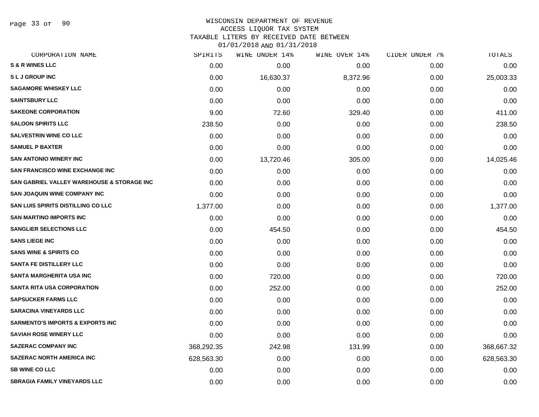Page 33 of 90

#### WISCONSIN DEPARTMENT OF REVENUE ACCESS LIQUOR TAX SYSTEM

TAXABLE LITERS BY RECEIVED DATE BETWEEN

| CORPORATION NAME                            | SPIRITS    | WINE UNDER 14% | WINE OVER 14% | CIDER UNDER 7% | TOTALS     |
|---------------------------------------------|------------|----------------|---------------|----------------|------------|
| <b>S &amp; R WINES LLC</b>                  | 0.00       | 0.00           | 0.00          | 0.00           | 0.00       |
| <b>SLJ GROUP INC</b>                        | 0.00       | 16,630.37      | 8,372.96      | 0.00           | 25,003.33  |
| <b>SAGAMORE WHISKEY LLC</b>                 | 0.00       | 0.00           | 0.00          | 0.00           | 0.00       |
| <b>SAINTSBURY LLC</b>                       | 0.00       | 0.00           | 0.00          | 0.00           | 0.00       |
| <b>SAKEONE CORPORATION</b>                  | 9.00       | 72.60          | 329.40        | 0.00           | 411.00     |
| <b>SALOON SPIRITS LLC</b>                   | 238.50     | 0.00           | 0.00          | 0.00           | 238.50     |
| <b>SALVESTRIN WINE CO LLC</b>               | 0.00       | 0.00           | 0.00          | 0.00           | 0.00       |
| <b>SAMUEL P BAXTER</b>                      | 0.00       | 0.00           | 0.00          | 0.00           | 0.00       |
| <b>SAN ANTONIO WINERY INC</b>               | 0.00       | 13,720.46      | 305.00        | 0.00           | 14,025.46  |
| <b>SAN FRANCISCO WINE EXCHANGE INC</b>      | 0.00       | 0.00           | 0.00          | 0.00           | 0.00       |
| SAN GABRIEL VALLEY WAREHOUSE & STORAGE INC  | 0.00       | 0.00           | 0.00          | 0.00           | 0.00       |
| <b>SAN JOAQUIN WINE COMPANY INC</b>         | 0.00       | 0.00           | 0.00          | 0.00           | 0.00       |
| SAN LUIS SPIRITS DISTILLING CO LLC          | 1,377.00   | 0.00           | 0.00          | 0.00           | 1,377.00   |
| <b>SAN MARTINO IMPORTS INC</b>              | 0.00       | 0.00           | 0.00          | 0.00           | 0.00       |
| <b>SANGLIER SELECTIONS LLC</b>              | 0.00       | 454.50         | 0.00          | 0.00           | 454.50     |
| <b>SANS LIEGE INC</b>                       | 0.00       | 0.00           | 0.00          | 0.00           | 0.00       |
| <b>SANS WINE &amp; SPIRITS CO</b>           | 0.00       | 0.00           | 0.00          | 0.00           | 0.00       |
| <b>SANTA FE DISTILLERY LLC</b>              | 0.00       | 0.00           | 0.00          | 0.00           | 0.00       |
| SANTA MARGHERITA USA INC                    | 0.00       | 720.00         | 0.00          | 0.00           | 720.00     |
| <b>SANTA RITA USA CORPORATION</b>           | 0.00       | 252.00         | 0.00          | 0.00           | 252.00     |
| <b>SAPSUCKER FARMS LLC</b>                  | 0.00       | 0.00           | 0.00          | 0.00           | 0.00       |
| <b>SARACINA VINEYARDS LLC</b>               | 0.00       | 0.00           | 0.00          | 0.00           | 0.00       |
| <b>SARMENTO'S IMPORTS &amp; EXPORTS INC</b> | 0.00       | 0.00           | 0.00          | 0.00           | 0.00       |
| <b>SAVIAH ROSE WINERY LLC</b>               | 0.00       | 0.00           | 0.00          | 0.00           | 0.00       |
| <b>SAZERAC COMPANY INC</b>                  | 368,292.35 | 242.98         | 131.99        | 0.00           | 368,667.32 |
| <b>SAZERAC NORTH AMERICA INC</b>            | 628,563.30 | 0.00           | 0.00          | 0.00           | 628,563.30 |
| <b>SB WINE CO LLC</b>                       | 0.00       | 0.00           | 0.00          | 0.00           | 0.00       |
| <b>SBRAGIA FAMILY VINEYARDS LLC</b>         | 0.00       | 0.00           | 0.00          | 0.00           | 0.00       |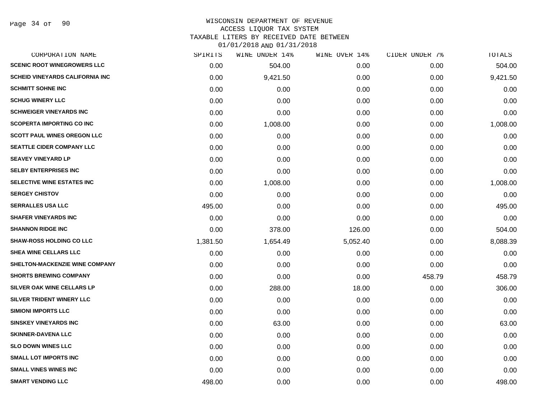#### WISCONSIN DEPARTMENT OF REVENUE ACCESS LIQUOR TAX SYSTEM TAXABLE LITERS BY RECEIVED DATE BETWEEN

| CORPORATION NAME                       | SPIRITS  | WINE UNDER 14% | WINE OVER 14% | CIDER UNDER 7% | TOTALS   |
|----------------------------------------|----------|----------------|---------------|----------------|----------|
| <b>SCENIC ROOT WINEGROWERS LLC</b>     | 0.00     | 504.00         | 0.00          | 0.00           | 504.00   |
| <b>SCHEID VINEYARDS CALIFORNIA INC</b> | 0.00     | 9,421.50       | 0.00          | 0.00           | 9,421.50 |
| <b>SCHMITT SOHNE INC</b>               | 0.00     | 0.00           | 0.00          | 0.00           | 0.00     |
| <b>SCHUG WINERY LLC</b>                | 0.00     | 0.00           | 0.00          | 0.00           | 0.00     |
| <b>SCHWEIGER VINEYARDS INC</b>         | 0.00     | 0.00           | 0.00          | 0.00           | 0.00     |
| <b>SCOPERTA IMPORTING CO INC</b>       | 0.00     | 1,008.00       | 0.00          | 0.00           | 1,008.00 |
| <b>SCOTT PAUL WINES OREGON LLC</b>     | 0.00     | 0.00           | 0.00          | 0.00           | 0.00     |
| <b>SEATTLE CIDER COMPANY LLC</b>       | 0.00     | 0.00           | 0.00          | 0.00           | 0.00     |
| <b>SEAVEY VINEYARD LP</b>              | 0.00     | 0.00           | 0.00          | 0.00           | 0.00     |
| <b>SELBY ENTERPRISES INC</b>           | 0.00     | 0.00           | 0.00          | 0.00           | 0.00     |
| <b>SELECTIVE WINE ESTATES INC</b>      | 0.00     | 1,008.00       | 0.00          | 0.00           | 1,008.00 |
| <b>SERGEY CHISTOV</b>                  | 0.00     | 0.00           | 0.00          | 0.00           | 0.00     |
| <b>SERRALLES USA LLC</b>               | 495.00   | 0.00           | 0.00          | 0.00           | 495.00   |
| <b>SHAFER VINEYARDS INC</b>            | 0.00     | 0.00           | 0.00          | 0.00           | 0.00     |
| <b>SHANNON RIDGE INC</b>               | 0.00     | 378.00         | 126.00        | 0.00           | 504.00   |
| <b>SHAW-ROSS HOLDING CO LLC</b>        | 1,381.50 | 1,654.49       | 5,052.40      | 0.00           | 8,088.39 |
| <b>SHEA WINE CELLARS LLC</b>           | 0.00     | 0.00           | 0.00          | 0.00           | 0.00     |
| <b>SHELTON-MACKENZIE WINE COMPANY</b>  | 0.00     | 0.00           | 0.00          | 0.00           | 0.00     |
| <b>SHORTS BREWING COMPANY</b>          | 0.00     | 0.00           | 0.00          | 458.79         | 458.79   |
| SILVER OAK WINE CELLARS LP             | 0.00     | 288.00         | 18.00         | 0.00           | 306.00   |
| SILVER TRIDENT WINERY LLC              | 0.00     | 0.00           | 0.00          | 0.00           | 0.00     |
| <b>SIMIONI IMPORTS LLC</b>             | 0.00     | 0.00           | 0.00          | 0.00           | 0.00     |
| <b>SINSKEY VINEYARDS INC</b>           | 0.00     | 63.00          | 0.00          | 0.00           | 63.00    |
| <b>SKINNER-DAVENA LLC</b>              | 0.00     | 0.00           | 0.00          | 0.00           | 0.00     |
| <b>SLO DOWN WINES LLC</b>              | 0.00     | 0.00           | 0.00          | 0.00           | 0.00     |
| <b>SMALL LOT IMPORTS INC</b>           | 0.00     | 0.00           | 0.00          | 0.00           | 0.00     |
| <b>SMALL VINES WINES INC</b>           | 0.00     | 0.00           | 0.00          | 0.00           | 0.00     |
| <b>SMART VENDING LLC</b>               | 498.00   | 0.00           | 0.00          | 0.00           | 498.00   |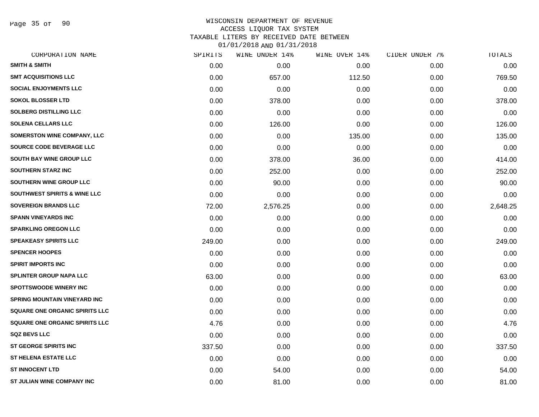Page 35 of 90

### WISCONSIN DEPARTMENT OF REVENUE ACCESS LIQUOR TAX SYSTEM TAXABLE LITERS BY RECEIVED DATE BETWEEN

| CORPORATION NAME                      | SPIRITS | WINE UNDER 14% | WINE OVER 14% | CIDER UNDER 7% | TOTALS   |
|---------------------------------------|---------|----------------|---------------|----------------|----------|
| <b>SMITH &amp; SMITH</b>              | 0.00    | 0.00           | 0.00          | 0.00           | 0.00     |
| <b>SMT ACQUISITIONS LLC</b>           | 0.00    | 657.00         | 112.50        | 0.00           | 769.50   |
| <b>SOCIAL ENJOYMENTS LLC</b>          | 0.00    | 0.00           | 0.00          | 0.00           | 0.00     |
| <b>SOKOL BLOSSER LTD</b>              | 0.00    | 378.00         | 0.00          | 0.00           | 378.00   |
| <b>SOLBERG DISTILLING LLC</b>         | 0.00    | 0.00           | 0.00          | 0.00           | 0.00     |
| <b>SOLENA CELLARS LLC</b>             | 0.00    | 126.00         | 0.00          | 0.00           | 126.00   |
| <b>SOMERSTON WINE COMPANY, LLC</b>    | 0.00    | 0.00           | 135.00        | 0.00           | 135.00   |
| SOURCE CODE BEVERAGE LLC              | 0.00    | 0.00           | 0.00          | 0.00           | 0.00     |
| <b>SOUTH BAY WINE GROUP LLC</b>       | 0.00    | 378.00         | 36.00         | 0.00           | 414.00   |
| <b>SOUTHERN STARZ INC</b>             | 0.00    | 252.00         | 0.00          | 0.00           | 252.00   |
| SOUTHERN WINE GROUP LLC               | 0.00    | 90.00          | 0.00          | 0.00           | 90.00    |
| SOUTHWEST SPIRITS & WINE LLC          | 0.00    | 0.00           | 0.00          | 0.00           | 0.00     |
| <b>SOVEREIGN BRANDS LLC</b>           | 72.00   | 2,576.25       | 0.00          | 0.00           | 2,648.25 |
| <b>SPANN VINEYARDS INC</b>            | 0.00    | 0.00           | 0.00          | 0.00           | 0.00     |
| <b>SPARKLING OREGON LLC</b>           | 0.00    | 0.00           | 0.00          | 0.00           | 0.00     |
| <b>SPEAKEASY SPIRITS LLC</b>          | 249.00  | 0.00           | 0.00          | 0.00           | 249.00   |
| <b>SPENCER HOOPES</b>                 | 0.00    | 0.00           | 0.00          | 0.00           | 0.00     |
| <b>SPIRIT IMPORTS INC</b>             | 0.00    | 0.00           | 0.00          | 0.00           | 0.00     |
| <b>SPLINTER GROUP NAPA LLC</b>        | 63.00   | 0.00           | 0.00          | 0.00           | 63.00    |
| <b>SPOTTSWOODE WINERY INC</b>         | 0.00    | 0.00           | 0.00          | 0.00           | 0.00     |
| <b>SPRING MOUNTAIN VINEYARD INC</b>   | 0.00    | 0.00           | 0.00          | 0.00           | 0.00     |
| <b>SQUARE ONE ORGANIC SPIRITS LLC</b> | 0.00    | 0.00           | 0.00          | 0.00           | 0.00     |
| <b>SQUARE ONE ORGANIC SPIRITS LLC</b> | 4.76    | 0.00           | 0.00          | 0.00           | 4.76     |
| <b>SQZ BEVS LLC</b>                   | 0.00    | 0.00           | 0.00          | 0.00           | 0.00     |
| <b>ST GEORGE SPIRITS INC</b>          | 337.50  | 0.00           | 0.00          | 0.00           | 337.50   |
| <b>ST HELENA ESTATE LLC</b>           | 0.00    | 0.00           | 0.00          | 0.00           | 0.00     |
| <b>ST INNOCENT LTD</b>                | 0.00    | 54.00          | 0.00          | 0.00           | 54.00    |
| ST JULIAN WINE COMPANY INC            | 0.00    | 81.00          | 0.00          | 0.00           | 81.00    |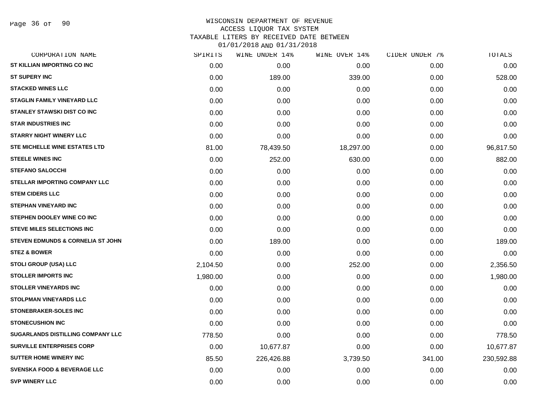## WISCONSIN DEPARTMENT OF REVENUE ACCESS LIQUOR TAX SYSTEM TAXABLE LITERS BY RECEIVED DATE BETWEEN

| CORPORATION NAME                       | SPIRITS  | WINE UNDER 14% | WINE OVER 14% | CIDER UNDER 7% | TOTALS     |
|----------------------------------------|----------|----------------|---------------|----------------|------------|
| ST KILLIAN IMPORTING CO INC            | 0.00     | 0.00           | 0.00          | 0.00           | 0.00       |
| <b>ST SUPERY INC</b>                   | 0.00     | 189.00         | 339.00        | 0.00           | 528.00     |
| <b>STACKED WINES LLC</b>               | 0.00     | 0.00           | 0.00          | 0.00           | 0.00       |
| <b>STAGLIN FAMILY VINEYARD LLC</b>     | 0.00     | 0.00           | 0.00          | 0.00           | 0.00       |
| <b>STANLEY STAWSKI DIST CO INC</b>     | 0.00     | 0.00           | 0.00          | 0.00           | 0.00       |
| <b>STAR INDUSTRIES INC</b>             | 0.00     | 0.00           | 0.00          | 0.00           | 0.00       |
| <b>STARRY NIGHT WINERY LLC</b>         | 0.00     | 0.00           | 0.00          | 0.00           | 0.00       |
| STE MICHELLE WINE ESTATES LTD          | 81.00    | 78,439.50      | 18,297.00     | 0.00           | 96,817.50  |
| <b>STEELE WINES INC</b>                | 0.00     | 252.00         | 630.00        | 0.00           | 882.00     |
| <b>STEFANO SALOCCHI</b>                | 0.00     | 0.00           | 0.00          | 0.00           | 0.00       |
| STELLAR IMPORTING COMPANY LLC          | 0.00     | 0.00           | 0.00          | 0.00           | 0.00       |
| <b>STEM CIDERS LLC</b>                 | 0.00     | 0.00           | 0.00          | 0.00           | 0.00       |
| <b>STEPHAN VINEYARD INC</b>            | 0.00     | 0.00           | 0.00          | 0.00           | 0.00       |
| STEPHEN DOOLEY WINE CO INC             | 0.00     | 0.00           | 0.00          | 0.00           | 0.00       |
| <b>STEVE MILES SELECTIONS INC</b>      | 0.00     | 0.00           | 0.00          | 0.00           | 0.00       |
| STEVEN EDMUNDS & CORNELIA ST JOHN      | 0.00     | 189.00         | 0.00          | 0.00           | 189.00     |
| <b>STEZ &amp; BOWER</b>                | 0.00     | 0.00           | 0.00          | 0.00           | 0.00       |
| STOLI GROUP (USA) LLC                  | 2,104.50 | 0.00           | 252.00        | 0.00           | 2,356.50   |
| <b>STOLLER IMPORTS INC</b>             | 1,980.00 | 0.00           | 0.00          | 0.00           | 1,980.00   |
| <b>STOLLER VINEYARDS INC</b>           | 0.00     | 0.00           | 0.00          | 0.00           | 0.00       |
| <b>STOLPMAN VINEYARDS LLC</b>          | 0.00     | 0.00           | 0.00          | 0.00           | 0.00       |
| STONEBRAKER-SOLES INC                  | 0.00     | 0.00           | 0.00          | 0.00           | 0.00       |
| <b>STONECUSHION INC</b>                | 0.00     | 0.00           | 0.00          | 0.00           | 0.00       |
| SUGARLANDS DISTILLING COMPANY LLC      | 778.50   | 0.00           | 0.00          | 0.00           | 778.50     |
| <b>SURVILLE ENTERPRISES CORP</b>       | 0.00     | 10,677.87      | 0.00          | 0.00           | 10,677.87  |
| <b>SUTTER HOME WINERY INC</b>          | 85.50    | 226,426.88     | 3,739.50      | 341.00         | 230,592.88 |
| <b>SVENSKA FOOD &amp; BEVERAGE LLC</b> | 0.00     | 0.00           | 0.00          | 0.00           | 0.00       |
| <b>SVP WINERY LLC</b>                  | 0.00     | 0.00           | 0.00          | 0.00           | 0.00       |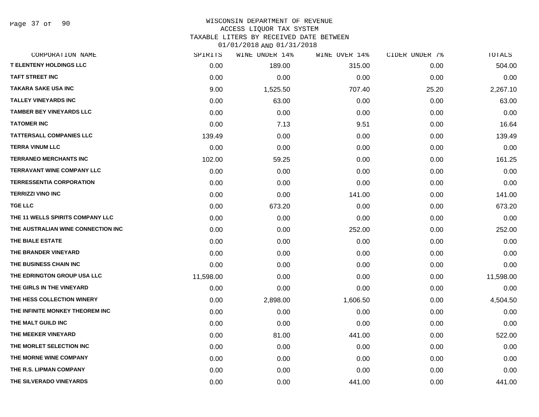Page 37 of 90

### WISCONSIN DEPARTMENT OF REVENUE ACCESS LIQUOR TAX SYSTEM TAXABLE LITERS BY RECEIVED DATE BETWEEN

| CORPORATION NAME                   | SPIRITS   | WINE UNDER 14% | WINE OVER 14% | CIDER UNDER 7% | TOTALS    |
|------------------------------------|-----------|----------------|---------------|----------------|-----------|
| <b>T ELENTENY HOLDINGS LLC</b>     | 0.00      | 189.00         | 315.00        | 0.00           | 504.00    |
| <b>TAFT STREET INC</b>             | 0.00      | 0.00           | 0.00          | 0.00           | 0.00      |
| <b>TAKARA SAKE USA INC</b>         | 9.00      | 1,525.50       | 707.40        | 25.20          | 2,267.10  |
| <b>TALLEY VINEYARDS INC</b>        | 0.00      | 63.00          | 0.00          | 0.00           | 63.00     |
| <b>TAMBER BEY VINEYARDS LLC</b>    | 0.00      | 0.00           | 0.00          | 0.00           | 0.00      |
| <b>TATOMER INC</b>                 | 0.00      | 7.13           | 9.51          | 0.00           | 16.64     |
| <b>TATTERSALL COMPANIES LLC</b>    | 139.49    | 0.00           | 0.00          | 0.00           | 139.49    |
| <b>TERRA VINUM LLC</b>             | 0.00      | 0.00           | 0.00          | 0.00           | 0.00      |
| <b>TERRANEO MERCHANTS INC</b>      | 102.00    | 59.25          | 0.00          | 0.00           | 161.25    |
| <b>TERRAVANT WINE COMPANY LLC</b>  | 0.00      | 0.00           | 0.00          | 0.00           | 0.00      |
| <b>TERRESSENTIA CORPORATION</b>    | 0.00      | 0.00           | 0.00          | 0.00           | 0.00      |
| <b>TERRIZZI VINO INC</b>           | 0.00      | 0.00           | 141.00        | 0.00           | 141.00    |
| <b>TGE LLC</b>                     | 0.00      | 673.20         | 0.00          | 0.00           | 673.20    |
| THE 11 WELLS SPIRITS COMPANY LLC   | 0.00      | 0.00           | 0.00          | 0.00           | 0.00      |
| THE AUSTRALIAN WINE CONNECTION INC | 0.00      | 0.00           | 252.00        | 0.00           | 252.00    |
| THE BIALE ESTATE                   | 0.00      | 0.00           | 0.00          | 0.00           | 0.00      |
| THE BRANDER VINEYARD               | 0.00      | 0.00           | 0.00          | 0.00           | 0.00      |
| THE BUSINESS CHAIN INC             | 0.00      | 0.00           | 0.00          | 0.00           | 0.00      |
| THE EDRINGTON GROUP USA LLC        | 11,598.00 | 0.00           | 0.00          | 0.00           | 11,598.00 |
| THE GIRLS IN THE VINEYARD          | 0.00      | 0.00           | 0.00          | 0.00           | 0.00      |
| THE HESS COLLECTION WINERY         | 0.00      | 2,898.00       | 1,606.50      | 0.00           | 4,504.50  |
| THE INFINITE MONKEY THEOREM INC    | 0.00      | 0.00           | 0.00          | 0.00           | 0.00      |
| THE MALT GUILD INC                 | 0.00      | 0.00           | 0.00          | 0.00           | 0.00      |
| THE MEEKER VINEYARD                | 0.00      | 81.00          | 441.00        | 0.00           | 522.00    |
| THE MORLET SELECTION INC           | 0.00      | 0.00           | 0.00          | 0.00           | 0.00      |
| THE MORNE WINE COMPANY             | 0.00      | 0.00           | 0.00          | 0.00           | 0.00      |
| THE R.S. LIPMAN COMPANY            | 0.00      | 0.00           | 0.00          | 0.00           | 0.00      |
| THE SILVERADO VINEYARDS            | 0.00      | 0.00           | 441.00        | 0.00           | 441.00    |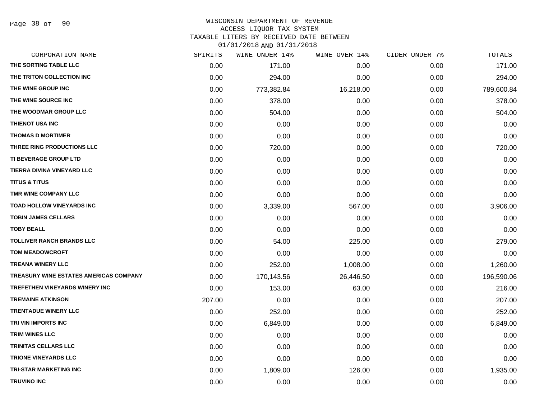Page 38 of 90

### WISCONSIN DEPARTMENT OF REVENUE ACCESS LIQUOR TAX SYSTEM

TAXABLE LITERS BY RECEIVED DATE BETWEEN

| CORPORATION NAME                       | SPIRITS | WINE UNDER 14% | WINE OVER 14% | CIDER UNDER 7% | TOTALS     |
|----------------------------------------|---------|----------------|---------------|----------------|------------|
| THE SORTING TABLE LLC                  | 0.00    | 171.00         | 0.00          | 0.00           | 171.00     |
| THE TRITON COLLECTION INC              | 0.00    | 294.00         | 0.00          | 0.00           | 294.00     |
| THE WINE GROUP INC                     | 0.00    | 773,382.84     | 16,218.00     | 0.00           | 789,600.84 |
| THE WINE SOURCE INC                    | 0.00    | 378.00         | 0.00          | 0.00           | 378.00     |
| THE WOODMAR GROUP LLC                  | 0.00    | 504.00         | 0.00          | 0.00           | 504.00     |
| THIENOT USA INC                        | 0.00    | 0.00           | 0.00          | 0.00           | 0.00       |
| <b>THOMAS D MORTIMER</b>               | 0.00    | 0.00           | 0.00          | 0.00           | 0.00       |
| THREE RING PRODUCTIONS LLC             | 0.00    | 720.00         | 0.00          | 0.00           | 720.00     |
| TI BEVERAGE GROUP LTD                  | 0.00    | 0.00           | 0.00          | 0.00           | 0.00       |
| TIERRA DIVINA VINEYARD LLC             | 0.00    | 0.00           | 0.00          | 0.00           | 0.00       |
| <b>TITUS &amp; TITUS</b>               | 0.00    | 0.00           | 0.00          | 0.00           | 0.00       |
| TMR WINE COMPANY LLC                   | 0.00    | 0.00           | 0.00          | 0.00           | 0.00       |
| <b>TOAD HOLLOW VINEYARDS INC</b>       | 0.00    | 3,339.00       | 567.00        | 0.00           | 3,906.00   |
| <b>TOBIN JAMES CELLARS</b>             | 0.00    | 0.00           | 0.00          | 0.00           | 0.00       |
| <b>TOBY BEALL</b>                      | 0.00    | 0.00           | 0.00          | 0.00           | 0.00       |
| <b>TOLLIVER RANCH BRANDS LLC</b>       | 0.00    | 54.00          | 225.00        | 0.00           | 279.00     |
| <b>TOM MEADOWCROFT</b>                 | 0.00    | 0.00           | 0.00          | 0.00           | 0.00       |
| <b>TREANA WINERY LLC</b>               | 0.00    | 252.00         | 1,008.00      | 0.00           | 1,260.00   |
| TREASURY WINE ESTATES AMERICAS COMPANY | 0.00    | 170,143.56     | 26,446.50     | 0.00           | 196,590.06 |
| TREFETHEN VINEYARDS WINERY INC         | 0.00    | 153.00         | 63.00         | 0.00           | 216.00     |
| <b>TREMAINE ATKINSON</b>               | 207.00  | 0.00           | 0.00          | 0.00           | 207.00     |
| <b>TRENTADUE WINERY LLC</b>            | 0.00    | 252.00         | 0.00          | 0.00           | 252.00     |
| TRI VIN IMPORTS INC                    | 0.00    | 6,849.00       | 0.00          | 0.00           | 6,849.00   |
| <b>TRIM WINES LLC</b>                  | 0.00    | 0.00           | 0.00          | 0.00           | 0.00       |
| TRINITAS CELLARS LLC                   | 0.00    | 0.00           | 0.00          | 0.00           | 0.00       |
| <b>TRIONE VINEYARDS LLC</b>            | 0.00    | 0.00           | 0.00          | 0.00           | 0.00       |
| <b>TRI-STAR MARKETING INC</b>          | 0.00    | 1,809.00       | 126.00        | 0.00           | 1,935.00   |
| <b>TRUVINO INC</b>                     | 0.00    | 0.00           | 0.00          | 0.00           | 0.00       |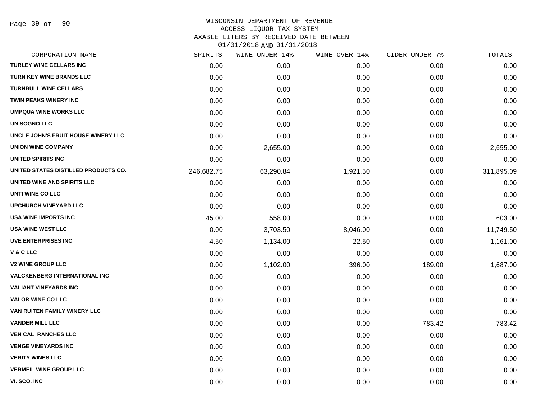Page 39 of 90

# WISCONSIN DEPARTMENT OF REVENUE ACCESS LIQUOR TAX SYSTEM

TAXABLE LITERS BY RECEIVED DATE BETWEEN

| 01/01/2018 AND 01/31/2018 |  |
|---------------------------|--|
|---------------------------|--|

| CORPORATION NAME                     | SPIRITS    | WINE UNDER 14% | WINE OVER 14% | CIDER UNDER 7% | TOTALS     |
|--------------------------------------|------------|----------------|---------------|----------------|------------|
| <b>TURLEY WINE CELLARS INC</b>       | 0.00       | 0.00           | 0.00          | 0.00           | 0.00       |
| <b>TURN KEY WINE BRANDS LLC</b>      | 0.00       | 0.00           | 0.00          | 0.00           | 0.00       |
| <b>TURNBULL WINE CELLARS</b>         | 0.00       | 0.00           | 0.00          | 0.00           | 0.00       |
| TWIN PEAKS WINERY INC                | 0.00       | 0.00           | 0.00          | 0.00           | 0.00       |
| <b>UMPQUA WINE WORKS LLC</b>         | 0.00       | 0.00           | 0.00          | 0.00           | 0.00       |
| UN SOGNO LLC                         | 0.00       | 0.00           | 0.00          | 0.00           | 0.00       |
| UNCLE JOHN'S FRUIT HOUSE WINERY LLC  | 0.00       | 0.00           | 0.00          | 0.00           | 0.00       |
| <b>UNION WINE COMPANY</b>            | 0.00       | 2,655.00       | 0.00          | 0.00           | 2,655.00   |
| UNITED SPIRITS INC                   | 0.00       | 0.00           | 0.00          | 0.00           | 0.00       |
| UNITED STATES DISTILLED PRODUCTS CO. | 246,682.75 | 63,290.84      | 1,921.50      | 0.00           | 311,895.09 |
| UNITED WINE AND SPIRITS LLC          | 0.00       | 0.00           | 0.00          | 0.00           | 0.00       |
| UNTI WINE CO LLC                     | 0.00       | 0.00           | 0.00          | 0.00           | 0.00       |
| <b>UPCHURCH VINEYARD LLC</b>         | 0.00       | 0.00           | 0.00          | 0.00           | 0.00       |
| USA WINE IMPORTS INC                 | 45.00      | 558.00         | 0.00          | 0.00           | 603.00     |
| <b>USA WINE WEST LLC</b>             | 0.00       | 3,703.50       | 8,046.00      | 0.00           | 11,749.50  |
| <b>UVE ENTERPRISES INC</b>           | 4.50       | 1,134.00       | 22.50         | 0.00           | 1,161.00   |
| V & C LLC                            | 0.00       | 0.00           | 0.00          | 0.00           | 0.00       |
| <b>V2 WINE GROUP LLC</b>             | 0.00       | 1,102.00       | 396.00        | 189.00         | 1,687.00   |
| <b>VALCKENBERG INTERNATIONAL INC</b> | 0.00       | 0.00           | 0.00          | 0.00           | 0.00       |
| <b>VALIANT VINEYARDS INC</b>         | 0.00       | 0.00           | 0.00          | 0.00           | 0.00       |
| <b>VALOR WINE CO LLC</b>             | 0.00       | 0.00           | 0.00          | 0.00           | 0.00       |
| VAN RUITEN FAMILY WINERY LLC         | 0.00       | 0.00           | 0.00          | 0.00           | 0.00       |
| <b>VANDER MILL LLC</b>               | 0.00       | 0.00           | 0.00          | 783.42         | 783.42     |
| <b>VEN CAL RANCHES LLC</b>           | 0.00       | 0.00           | 0.00          | 0.00           | 0.00       |
| <b>VENGE VINEYARDS INC</b>           | 0.00       | 0.00           | 0.00          | 0.00           | 0.00       |
| <b>VERITY WINES LLC</b>              | 0.00       | 0.00           | 0.00          | 0.00           | 0.00       |
| <b>VERMEIL WINE GROUP LLC</b>        | 0.00       | 0.00           | 0.00          | 0.00           | 0.00       |
| VI. SCO. INC                         | 0.00       | 0.00           | 0.00          | 0.00           | 0.00       |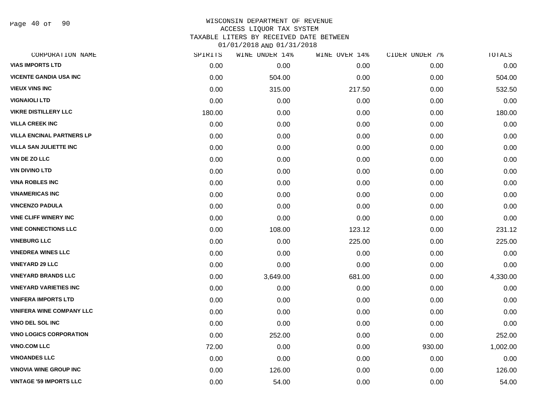Page 40 of 90

### WISCONSIN DEPARTMENT OF REVENUE ACCESS LIQUOR TAX SYSTEM TAXABLE LITERS BY RECEIVED DATE BETWEEN

| CORPORATION NAME                 | SPIRITS | WINE UNDER 14% | WINE OVER 14% | CIDER UNDER 7% | TOTALS   |
|----------------------------------|---------|----------------|---------------|----------------|----------|
| <b>VIAS IMPORTS LTD</b>          | 0.00    | 0.00           | 0.00          | 0.00           | 0.00     |
| <b>VICENTE GANDIA USA INC</b>    | 0.00    | 504.00         | 0.00          | 0.00           | 504.00   |
| <b>VIEUX VINS INC</b>            | 0.00    | 315.00         | 217.50        | 0.00           | 532.50   |
| <b>VIGNAIOLI LTD</b>             | 0.00    | 0.00           | 0.00          | 0.00           | 0.00     |
| <b>VIKRE DISTILLERY LLC</b>      | 180.00  | 0.00           | 0.00          | 0.00           | 180.00   |
| <b>VILLA CREEK INC</b>           | 0.00    | 0.00           | 0.00          | 0.00           | 0.00     |
| <b>VILLA ENCINAL PARTNERS LP</b> | 0.00    | 0.00           | 0.00          | 0.00           | 0.00     |
| <b>VILLA SAN JULIETTE INC</b>    | 0.00    | 0.00           | 0.00          | 0.00           | 0.00     |
| <b>VIN DE ZO LLC</b>             | 0.00    | 0.00           | 0.00          | 0.00           | 0.00     |
| <b>VIN DIVINO LTD</b>            | 0.00    | 0.00           | 0.00          | 0.00           | 0.00     |
| <b>VINA ROBLES INC</b>           | 0.00    | 0.00           | 0.00          | 0.00           | 0.00     |
| <b>VINAMERICAS INC</b>           | 0.00    | 0.00           | 0.00          | 0.00           | 0.00     |
| <b>VINCENZO PADULA</b>           | 0.00    | 0.00           | 0.00          | 0.00           | 0.00     |
| <b>VINE CLIFF WINERY INC</b>     | 0.00    | 0.00           | 0.00          | 0.00           | 0.00     |
| <b>VINE CONNECTIONS LLC</b>      | 0.00    | 108.00         | 123.12        | 0.00           | 231.12   |
| <b>VINEBURG LLC</b>              | 0.00    | 0.00           | 225.00        | 0.00           | 225.00   |
| <b>VINEDREA WINES LLC</b>        | 0.00    | 0.00           | 0.00          | 0.00           | 0.00     |
| <b>VINEYARD 29 LLC</b>           | 0.00    | 0.00           | 0.00          | 0.00           | 0.00     |
| <b>VINEYARD BRANDS LLC</b>       | 0.00    | 3,649.00       | 681.00        | 0.00           | 4,330.00 |
| <b>VINEYARD VARIETIES INC</b>    | 0.00    | 0.00           | 0.00          | 0.00           | 0.00     |
| <b>VINIFERA IMPORTS LTD</b>      | 0.00    | 0.00           | 0.00          | 0.00           | 0.00     |
| <b>VINIFERA WINE COMPANY LLC</b> | 0.00    | 0.00           | 0.00          | 0.00           | 0.00     |
| <b>VINO DEL SOL INC</b>          | 0.00    | 0.00           | 0.00          | 0.00           | 0.00     |
| <b>VINO LOGICS CORPORATION</b>   | 0.00    | 252.00         | 0.00          | 0.00           | 252.00   |
| <b>VINO.COM LLC</b>              | 72.00   | 0.00           | 0.00          | 930.00         | 1,002.00 |
| <b>VINOANDES LLC</b>             | 0.00    | 0.00           | 0.00          | 0.00           | 0.00     |
| <b>VINOVIA WINE GROUP INC</b>    | 0.00    | 126.00         | 0.00          | 0.00           | 126.00   |
| <b>VINTAGE '59 IMPORTS LLC</b>   | 0.00    | 54.00          | 0.00          | 0.00           | 54.00    |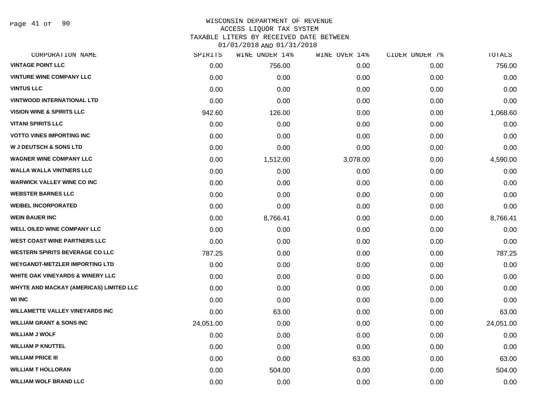Page 41 of 90

## WISCONSIN DEPARTMENT OF REVENUE ACCESS LIQUOR TAX SYSTEM TAXABLE LITERS BY RECEIVED DATE BETWEEN

| CORPORATION NAME                        | SPIRITS   | WINE UNDER 14% | WINE OVER 14% | CIDER UNDER 7% | TOTALS    |
|-----------------------------------------|-----------|----------------|---------------|----------------|-----------|
| <b>VINTAGE POINT LLC</b>                | 0.00      | 756.00         | 0.00          | 0.00           | 756.00    |
| <b>VINTURE WINE COMPANY LLC</b>         | 0.00      | 0.00           | 0.00          | 0.00           | 0.00      |
| <b>VINTUS LLC</b>                       | 0.00      | 0.00           | 0.00          | 0.00           | 0.00      |
| <b>VINTWOOD INTERNATIONAL LTD</b>       | 0.00      | 0.00           | 0.00          | 0.00           | 0.00      |
| <b>VISION WINE &amp; SPIRITS LLC</b>    | 942.60    | 126.00         | 0.00          | 0.00           | 1,068.60  |
| <b>VITANI SPIRITS LLC</b>               | 0.00      | 0.00           | 0.00          | 0.00           | 0.00      |
| <b>VOTTO VINES IMPORTING INC</b>        | 0.00      | 0.00           | 0.00          | 0.00           | 0.00      |
| <b>W J DEUTSCH &amp; SONS LTD</b>       | 0.00      | 0.00           | 0.00          | 0.00           | 0.00      |
| <b>WAGNER WINE COMPANY LLC</b>          | 0.00      | 1,512.00       | 3,078.00      | 0.00           | 4,590.00  |
| <b>WALLA WALLA VINTNERS LLC</b>         | 0.00      | 0.00           | 0.00          | 0.00           | 0.00      |
| <b>WARWICK VALLEY WINE CO INC</b>       | 0.00      | 0.00           | 0.00          | 0.00           | 0.00      |
| <b>WEBSTER BARNES LLC</b>               | 0.00      | 0.00           | 0.00          | 0.00           | 0.00      |
| <b>WEIBEL INCORPORATED</b>              | 0.00      | 0.00           | 0.00          | 0.00           | 0.00      |
| <b>WEIN BAUER INC</b>                   | 0.00      | 8,766.41       | 0.00          | 0.00           | 8,766.41  |
| <b>WELL OILED WINE COMPANY LLC</b>      | 0.00      | 0.00           | 0.00          | 0.00           | 0.00      |
| <b>WEST COAST WINE PARTNERS LLC</b>     | 0.00      | 0.00           | 0.00          | 0.00           | 0.00      |
| <b>WESTERN SPIRITS BEVERAGE CO LLC</b>  | 787.25    | 0.00           | 0.00          | 0.00           | 787.25    |
| <b>WEYGANDT-METZLER IMPORTING LTD</b>   | 0.00      | 0.00           | 0.00          | 0.00           | 0.00      |
| WHITE OAK VINEYARDS & WINERY LLC        | 0.00      | 0.00           | 0.00          | 0.00           | 0.00      |
| WHYTE AND MACKAY (AMERICAS) LIMITED LLC | 0.00      | 0.00           | 0.00          | 0.00           | 0.00      |
| <b>WI INC</b>                           | 0.00      | 0.00           | 0.00          | 0.00           | 0.00      |
| <b>WILLAMETTE VALLEY VINEYARDS INC</b>  | 0.00      | 63.00          | 0.00          | 0.00           | 63.00     |
| <b>WILLIAM GRANT &amp; SONS INC</b>     | 24,051.00 | 0.00           | 0.00          | 0.00           | 24,051.00 |
| <b>WILLIAM J WOLF</b>                   | 0.00      | 0.00           | 0.00          | 0.00           | 0.00      |
| <b>WILLIAM P KNUTTEL</b>                | 0.00      | 0.00           | 0.00          | 0.00           | 0.00      |
| <b>WILLIAM PRICE III</b>                | 0.00      | 0.00           | 63.00         | 0.00           | 63.00     |
| <b>WILLIAM T HOLLORAN</b>               | 0.00      | 504.00         | 0.00          | 0.00           | 504.00    |
| <b>WILLIAM WOLF BRAND LLC</b>           | 0.00      | 0.00           | 0.00          | 0.00           | 0.00      |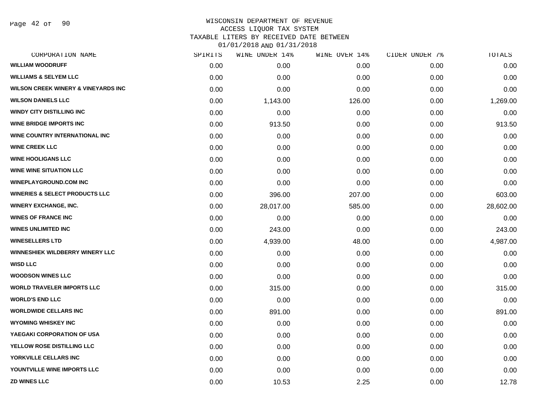Page 42 of 90

### WISCONSIN DEPARTMENT OF REVENUE ACCESS LIQUOR TAX SYSTEM TAXABLE LITERS BY RECEIVED DATE BETWEEN

| CORPORATION NAME                               | SPIRITS | WINE UNDER 14% | WINE OVER 14% | CIDER UNDER 7% | TOTALS    |
|------------------------------------------------|---------|----------------|---------------|----------------|-----------|
| <b>WILLIAM WOODRUFF</b>                        | 0.00    | 0.00           | 0.00          | 0.00           | 0.00      |
| <b>WILLIAMS &amp; SELYEM LLC</b>               | 0.00    | 0.00           | 0.00          | 0.00           | 0.00      |
| <b>WILSON CREEK WINERY &amp; VINEYARDS INC</b> | 0.00    | 0.00           | 0.00          | 0.00           | 0.00      |
| <b>WILSON DANIELS LLC</b>                      | 0.00    | 1,143.00       | 126.00        | 0.00           | 1,269.00  |
| <b>WINDY CITY DISTILLING INC</b>               | 0.00    | 0.00           | 0.00          | 0.00           | 0.00      |
| <b>WINE BRIDGE IMPORTS INC</b>                 | 0.00    | 913.50         | 0.00          | 0.00           | 913.50    |
| WINE COUNTRY INTERNATIONAL INC                 | 0.00    | 0.00           | 0.00          | 0.00           | 0.00      |
| <b>WINE CREEK LLC</b>                          | 0.00    | 0.00           | 0.00          | 0.00           | 0.00      |
| <b>WINE HOOLIGANS LLC</b>                      | 0.00    | 0.00           | 0.00          | 0.00           | 0.00      |
| <b>WINE WINE SITUATION LLC</b>                 | 0.00    | 0.00           | 0.00          | 0.00           | 0.00      |
| <b>WINEPLAYGROUND.COM INC</b>                  | 0.00    | 0.00           | 0.00          | 0.00           | 0.00      |
| <b>WINERIES &amp; SELECT PRODUCTS LLC</b>      | 0.00    | 396.00         | 207.00        | 0.00           | 603.00    |
| <b>WINERY EXCHANGE, INC.</b>                   | 0.00    | 28,017.00      | 585.00        | 0.00           | 28,602.00 |
| <b>WINES OF FRANCE INC</b>                     | 0.00    | 0.00           | 0.00          | 0.00           | 0.00      |
| <b>WINES UNLIMITED INC</b>                     | 0.00    | 243.00         | 0.00          | 0.00           | 243.00    |
| <b>WINESELLERS LTD</b>                         | 0.00    | 4,939.00       | 48.00         | 0.00           | 4,987.00  |
| WINNESHIEK WILDBERRY WINERY LLC                | 0.00    | 0.00           | 0.00          | 0.00           | 0.00      |
| <b>WISD LLC</b>                                | 0.00    | 0.00           | 0.00          | 0.00           | 0.00      |
| <b>WOODSON WINES LLC</b>                       | 0.00    | 0.00           | 0.00          | 0.00           | 0.00      |
| <b>WORLD TRAVELER IMPORTS LLC</b>              | 0.00    | 315.00         | 0.00          | 0.00           | 315.00    |
| <b>WORLD'S END LLC</b>                         | 0.00    | 0.00           | 0.00          | 0.00           | 0.00      |
| <b>WORLDWIDE CELLARS INC</b>                   | 0.00    | 891.00         | 0.00          | 0.00           | 891.00    |
| <b>WYOMING WHISKEY INC</b>                     | 0.00    | 0.00           | 0.00          | 0.00           | 0.00      |
| YAEGAKI CORPORATION OF USA                     | 0.00    | 0.00           | 0.00          | 0.00           | 0.00      |
| YELLOW ROSE DISTILLING LLC                     | 0.00    | 0.00           | 0.00          | 0.00           | 0.00      |
| YORKVILLE CELLARS INC                          | 0.00    | 0.00           | 0.00          | 0.00           | 0.00      |
| YOUNTVILLE WINE IMPORTS LLC                    | 0.00    | 0.00           | 0.00          | 0.00           | 0.00      |
| <b>ZD WINES LLC</b>                            | 0.00    | 10.53          | 2.25          | 0.00           | 12.78     |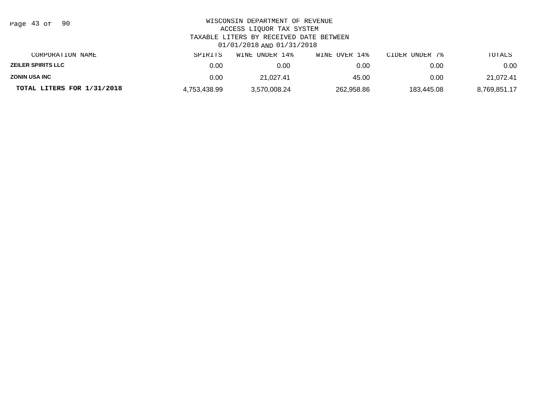| Page 43 of<br>- 90         | WISCONSIN DEPARTMENT OF REVENUE<br>ACCESS LIQUOR TAX SYSTEM<br>TAXABLE LITERS BY RECEIVED DATE BETWEEN<br>01/01/2018 AND 01/31/2018 |                |               |                |              |  |  |
|----------------------------|-------------------------------------------------------------------------------------------------------------------------------------|----------------|---------------|----------------|--------------|--|--|
| CORPORATION NAME           | SPIRITS                                                                                                                             | WINE UNDER 14% | WINE OVER 14% | CIDER UNDER 7% | TOTALS       |  |  |
| <b>ZEILER SPIRITS LLC</b>  | 0.00                                                                                                                                | 0.00           | 0.00          | 0.00           | 0.00         |  |  |
| <b>ZONIN USA INC</b>       | 0.00                                                                                                                                | 21.027.41      | 45.00         | 0.00           | 21,072.41    |  |  |
| TOTAL LITERS FOR 1/31/2018 | 4,753,438.99                                                                                                                        | 3,570,008.24   | 262,958.86    | 183.445.08     | 8,769,851.17 |  |  |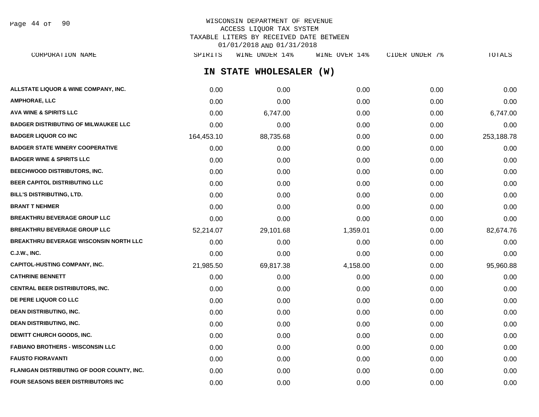Page 44 of 90

# WISCONSIN DEPARTMENT OF REVENUE ACCESS LIQUOR TAX SYSTEM TAXABLE LITERS BY RECEIVED DATE BETWEEN 01/01/2018 AND 01/31/2018

**IN STATE WHOLESALER (W) ALLSTATE LIQUOR & WINE COMPANY, INC.**  $0.00$   $0.00$   $0.00$   $0.00$   $0.00$   $0.00$   $0.00$   $0.00$   $0.00$   $0.00$   $0.00$   $0.00$ **AMPHORAE, LLC** 0.00 0.00 0.00 0.00 0.00 **AVA WINE & SPIRITS LLC** 0.00 6,747.00 0.00 0.00 6,747.00 **BADGER DISTRIBUTING OF MILWAUKEE LLC** 0.00 0.00 0.00 0.00 0.00 **BADGER LIQUOR CO INC** 253,188.78 **164,453.10** 88,735.68 0.00 0.00 0.00 0.00 253,188.78 **BADGER STATE WINERY COOPERATIVE** 0.00 0.00 0.00 0.00 0.00 **BADGER WINE & SPIRITS LLC** 0.00 0.00 0.00 0.00 0.00 **BEECHWOOD DISTRIBUTORS, INC.** 0.00 0.00 0.00 0.00 0.00 **BEER CAPITOL DISTRIBUTING LLC** 0.00 0.00 0.00 0.00 0.00 **BILL'S DISTRIBUTING, LTD.** 0.00 0.00 0.00 0.00 0.00 **BRANT T NEHMER** 0.00 0.00 0.00 0.00 0.00 **BREAKTHRU BEVERAGE GROUP LLC** 0.00 0.00 0.00 0.00 0.00 **BREAKTHRU BEVERAGE GROUP LLC** 52,214.07 29,101.68 1,359.01 0.00 82,674.76 **BREAKTHRU BEVERAGE WISCONSIN NORTH LLC** 0.00 0.00 0.00 0.00 0.00 **C.J.W., INC.** 6.00 **0.00 0.00 0.00 0.00 0.00 0.00 0.00 0.00 0.00 0.00 0.00 0.00 0.00 0.00** CAPITOL-HUSTING COMPANY, INC.  $21,985.50$  69,817.38  $4,158.00$  0.00 0.00 95,960.88 **CATHRINE BENNETT** 0.00 0.00 0.00 0.00 0.00 **CENTRAL BEER DISTRIBUTORS, INC.** 0.00 0.00 0.00 0.00 0.00 **DE PERE LIQUOR CO LLC** 0.00 0.00 0.00 0.00 0.00 **DEAN DISTRIBUTING, INC.** 0.00 0.00 0.00 0.00 0.00 **DEAN DISTRIBUTING, INC.** 0.00 0.00 0.00 0.00 0.00 CORPORATION NAME SPIRITS WINE UNDER 14% WINE OVER 14% CIDER UNDER 7% TOTALS

**DEWITT CHURCH GOODS, INC.** 0.00 0.00 0.00 0.00 0.00 **FABIANO BROTHERS - WISCONSIN LLC** 0.00 0.00 0.00 0.00 0.00 **FAUSTO FIORAVANTI** 0.00 0.00 0.00 0.00 0.00 **FLANIGAN DISTRIBUTING OF DOOR COUNTY, INC.**  $0.00$   $0.00$   $0.00$   $0.00$   $0.00$   $0.00$   $0.00$   $0.00$   $0.00$   $0.00$   $0.00$ **FOUR SEASONS BEER DISTRIBUTORS INC** 0.00 0.00 0.00 0.00 0.00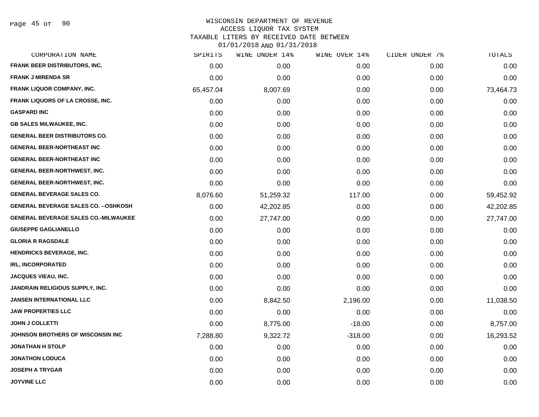Page 45 of 90

### WISCONSIN DEPARTMENT OF REVENUE ACCESS LIQUOR TAX SYSTEM TAXABLE LITERS BY RECEIVED DATE BETWEEN 01/01/2018 AND 01/31/2018

| CORPORATION NAME                             | SPIRITS   | WINE UNDER 14% | WINE OVER 14% | CIDER UNDER 7% | TOTALS    |
|----------------------------------------------|-----------|----------------|---------------|----------------|-----------|
| FRANK BEER DISTRIBUTORS, INC.                | 0.00      | 0.00           | 0.00          | 0.00           | 0.00      |
| <b>FRANK J MIRENDA SR</b>                    | 0.00      | 0.00           | 0.00          | 0.00           | 0.00      |
| FRANK LIQUOR COMPANY, INC.                   | 65,457.04 | 8,007.69       | 0.00          | 0.00           | 73,464.73 |
| FRANK LIQUORS OF LA CROSSE, INC.             | 0.00      | 0.00           | 0.00          | 0.00           | 0.00      |
| <b>GASPARD INC</b>                           | 0.00      | 0.00           | 0.00          | 0.00           | 0.00      |
| <b>GB SALES MILWAUKEE, INC.</b>              | 0.00      | 0.00           | 0.00          | 0.00           | 0.00      |
| <b>GENERAL BEER DISTRIBUTORS CO.</b>         | 0.00      | 0.00           | 0.00          | 0.00           | 0.00      |
| <b>GENERAL BEER-NORTHEAST INC</b>            | 0.00      | 0.00           | 0.00          | 0.00           | 0.00      |
| <b>GENERAL BEER-NORTHEAST INC</b>            | 0.00      | 0.00           | 0.00          | 0.00           | 0.00      |
| <b>GENERAL BEER-NORTHWEST, INC.</b>          | 0.00      | 0.00           | 0.00          | 0.00           | 0.00      |
| <b>GENERAL BEER-NORTHWEST, INC.</b>          | 0.00      | 0.00           | 0.00          | 0.00           | 0.00      |
| <b>GENERAL BEVERAGE SALES CO.</b>            | 8,076.60  | 51,259.32      | 117.00        | 0.00           | 59,452.92 |
| <b>GENERAL BEVERAGE SALES CO. -- OSHKOSH</b> | 0.00      | 42,202.85      | 0.00          | 0.00           | 42,202.85 |
| <b>GENERAL BEVERAGE SALES CO.-MILWAUKEE</b>  | 0.00      | 27,747.00      | 0.00          | 0.00           | 27,747.00 |
| <b>GIUSEPPE GAGLIANELLO</b>                  | 0.00      | 0.00           | 0.00          | 0.00           | 0.00      |
| <b>GLORIA R RAGSDALE</b>                     | 0.00      | 0.00           | 0.00          | 0.00           | 0.00      |
| <b>HENDRICKS BEVERAGE, INC.</b>              | 0.00      | 0.00           | 0.00          | 0.00           | 0.00      |
| <b>IRL, INCORPORATED</b>                     | 0.00      | 0.00           | 0.00          | 0.00           | 0.00      |
| <b>JACQUES VIEAU, INC.</b>                   | 0.00      | 0.00           | 0.00          | 0.00           | 0.00      |
| <b>JANDRAIN RELIGIOUS SUPPLY, INC.</b>       | 0.00      | 0.00           | 0.00          | 0.00           | 0.00      |
| <b>JANSEN INTERNATIONAL LLC</b>              | 0.00      | 8,842.50       | 2,196.00      | 0.00           | 11,038.50 |
| <b>JAW PROPERTIES LLC</b>                    | 0.00      | 0.00           | 0.00          | 0.00           | 0.00      |
| <b>JOHN J COLLETTI</b>                       | 0.00      | 8,775.00       | $-18.00$      | 0.00           | 8,757.00  |
| JOHNSON BROTHERS OF WISCONSIN INC            | 7,288.80  | 9,322.72       | $-318.00$     | 0.00           | 16,293.52 |
| <b>JONATHAN H STOLP</b>                      | 0.00      | 0.00           | 0.00          | 0.00           | 0.00      |
| <b>JONATHON LODUCA</b>                       | 0.00      | 0.00           | 0.00          | 0.00           | 0.00      |
| <b>JOSEPH A TRYGAR</b>                       | 0.00      | 0.00           | 0.00          | 0.00           | 0.00      |
| <b>JOYVINE LLC</b>                           | 0.00      | 0.00           | 0.00          | 0.00           | 0.00      |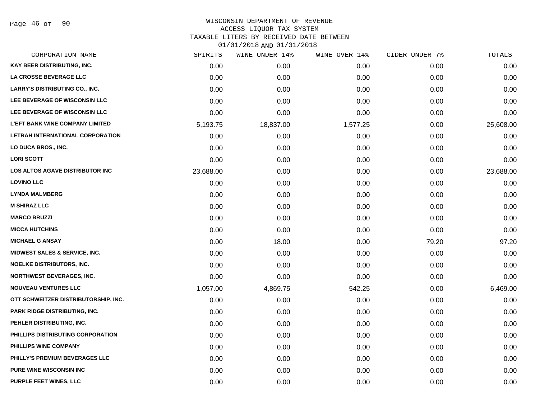Page 46 of 90

### WISCONSIN DEPARTMENT OF REVENUE ACCESS LIQUOR TAX SYSTEM TAXABLE LITERS BY RECEIVED DATE BETWEEN

| CORPORATION NAME                         | SPIRITS   | WINE UNDER 14% | WINE OVER 14% | CIDER UNDER 7% | TOTALS    |
|------------------------------------------|-----------|----------------|---------------|----------------|-----------|
| KAY BEER DISTRIBUTING, INC.              | 0.00      | 0.00           | 0.00          | 0.00           | 0.00      |
| LA CROSSE BEVERAGE LLC                   | 0.00      | 0.00           | 0.00          | 0.00           | 0.00      |
| <b>LARRY'S DISTRIBUTING CO., INC.</b>    | 0.00      | 0.00           | 0.00          | 0.00           | 0.00      |
| LEE BEVERAGE OF WISCONSIN LLC            | 0.00      | 0.00           | 0.00          | 0.00           | 0.00      |
| LEE BEVERAGE OF WISCONSIN LLC            | 0.00      | 0.00           | 0.00          | 0.00           | 0.00      |
| <b>L'EFT BANK WINE COMPANY LIMITED</b>   | 5,193.75  | 18,837.00      | 1,577.25      | 0.00           | 25,608.00 |
| LETRAH INTERNATIONAL CORPORATION         | 0.00      | 0.00           | 0.00          | 0.00           | 0.00      |
| LO DUCA BROS., INC.                      | 0.00      | 0.00           | 0.00          | 0.00           | 0.00      |
| <b>LORI SCOTT</b>                        | 0.00      | 0.00           | 0.00          | 0.00           | 0.00      |
| LOS ALTOS AGAVE DISTRIBUTOR INC          | 23,688.00 | 0.00           | 0.00          | 0.00           | 23,688.00 |
| <b>LOVINO LLC</b>                        | 0.00      | 0.00           | 0.00          | 0.00           | 0.00      |
| <b>LYNDA MALMBERG</b>                    | 0.00      | 0.00           | 0.00          | 0.00           | 0.00      |
| <b>M SHIRAZ LLC</b>                      | 0.00      | 0.00           | 0.00          | 0.00           | 0.00      |
| <b>MARCO BRUZZI</b>                      | 0.00      | 0.00           | 0.00          | 0.00           | 0.00      |
| <b>MICCA HUTCHINS</b>                    | 0.00      | 0.00           | 0.00          | 0.00           | 0.00      |
| <b>MICHAEL G ANSAY</b>                   | 0.00      | 18.00          | 0.00          | 79.20          | 97.20     |
| <b>MIDWEST SALES &amp; SERVICE, INC.</b> | 0.00      | 0.00           | 0.00          | 0.00           | 0.00      |
| NOELKE DISTRIBUTORS, INC.                | 0.00      | 0.00           | 0.00          | 0.00           | 0.00      |
| <b>NORTHWEST BEVERAGES, INC.</b>         | 0.00      | 0.00           | 0.00          | 0.00           | 0.00      |
| <b>NOUVEAU VENTURES LLC</b>              | 1,057.00  | 4,869.75       | 542.25        | 0.00           | 6,469.00  |
| OTT SCHWEITZER DISTRIBUTORSHIP, INC.     | 0.00      | 0.00           | 0.00          | 0.00           | 0.00      |
| PARK RIDGE DISTRIBUTING, INC.            | 0.00      | 0.00           | 0.00          | 0.00           | 0.00      |
| PEHLER DISTRIBUTING, INC.                | 0.00      | 0.00           | 0.00          | 0.00           | 0.00      |
| PHILLIPS DISTRIBUTING CORPORATION        | 0.00      | 0.00           | 0.00          | 0.00           | 0.00      |
| PHILLIPS WINE COMPANY                    | 0.00      | 0.00           | 0.00          | 0.00           | 0.00      |
| PHILLY'S PREMIUM BEVERAGES LLC           | 0.00      | 0.00           | 0.00          | 0.00           | 0.00      |
| <b>PURE WINE WISCONSIN INC</b>           | 0.00      | 0.00           | 0.00          | 0.00           | 0.00      |
| PURPLE FEET WINES, LLC                   | 0.00      | 0.00           | 0.00          | 0.00           | 0.00      |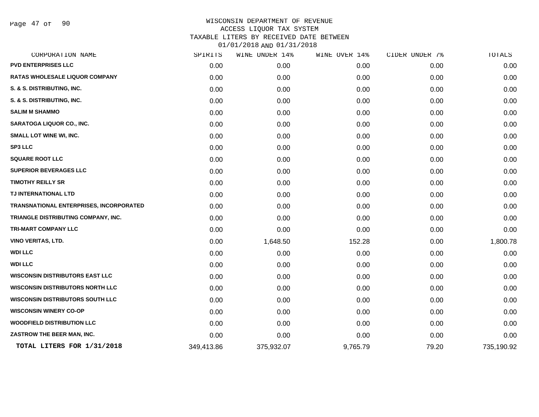Page 47 of 90

### WISCONSIN DEPARTMENT OF REVENUE ACCESS LIQUOR TAX SYSTEM TAXABLE LITERS BY RECEIVED DATE BETWEEN 01/01/2018 AND 01/31/2018

| CORPORATION NAME                        | SPIRITS    | WINE UNDER 14% | WINE OVER 14% | CIDER UNDER 7% | TOTALS     |
|-----------------------------------------|------------|----------------|---------------|----------------|------------|
| <b>PVD ENTERPRISES LLC</b>              | 0.00       | 0.00           | 0.00          | 0.00           | 0.00       |
| RATAS WHOLESALE LIQUOR COMPANY          | 0.00       | 0.00           | 0.00          | 0.00           | 0.00       |
| S. & S. DISTRIBUTING, INC.              | 0.00       | 0.00           | 0.00          | 0.00           | 0.00       |
| S. & S. DISTRIBUTING, INC.              | 0.00       | 0.00           | 0.00          | 0.00           | 0.00       |
| <b>SALIM M SHAMMO</b>                   | 0.00       | 0.00           | 0.00          | 0.00           | 0.00       |
| <b>SARATOGA LIQUOR CO., INC.</b>        | 0.00       | 0.00           | 0.00          | 0.00           | 0.00       |
| <b>SMALL LOT WINE WI, INC.</b>          | 0.00       | 0.00           | 0.00          | 0.00           | 0.00       |
| <b>SP3 LLC</b>                          | 0.00       | 0.00           | 0.00          | 0.00           | 0.00       |
| <b>SQUARE ROOT LLC</b>                  | 0.00       | 0.00           | 0.00          | 0.00           | 0.00       |
| <b>SUPERIOR BEVERAGES LLC</b>           | 0.00       | 0.00           | 0.00          | 0.00           | 0.00       |
| <b>TIMOTHY REILLY SR</b>                | 0.00       | 0.00           | 0.00          | 0.00           | 0.00       |
| TJ INTERNATIONAL LTD                    | 0.00       | 0.00           | 0.00          | 0.00           | 0.00       |
| TRANSNATIONAL ENTERPRISES, INCORPORATED | 0.00       | 0.00           | 0.00          | 0.00           | 0.00       |
| TRIANGLE DISTRIBUTING COMPANY, INC.     | 0.00       | 0.00           | 0.00          | 0.00           | 0.00       |
| TRI-MART COMPANY LLC                    | 0.00       | 0.00           | 0.00          | 0.00           | 0.00       |
| VINO VERITAS, LTD.                      | 0.00       | 1,648.50       | 152.28        | 0.00           | 1,800.78   |
| <b>WDI LLC</b>                          | 0.00       | 0.00           | 0.00          | 0.00           | 0.00       |
| <b>WDI LLC</b>                          | 0.00       | 0.00           | 0.00          | 0.00           | 0.00       |
| <b>WISCONSIN DISTRIBUTORS EAST LLC</b>  | 0.00       | 0.00           | 0.00          | 0.00           | 0.00       |
| <b>WISCONSIN DISTRIBUTORS NORTH LLC</b> | 0.00       | 0.00           | 0.00          | 0.00           | 0.00       |
| <b>WISCONSIN DISTRIBUTORS SOUTH LLC</b> | 0.00       | 0.00           | 0.00          | 0.00           | 0.00       |
| <b>WISCONSIN WINERY CO-OP</b>           | 0.00       | 0.00           | 0.00          | 0.00           | 0.00       |
| <b>WOODFIELD DISTRIBUTION LLC</b>       | 0.00       | 0.00           | 0.00          | 0.00           | 0.00       |
| ZASTROW THE BEER MAN, INC.              | 0.00       | 0.00           | 0.00          | 0.00           | 0.00       |
| TOTAL LITERS FOR 1/31/2018              | 349,413.86 | 375,932.07     | 9,765.79      | 79.20          | 735,190.92 |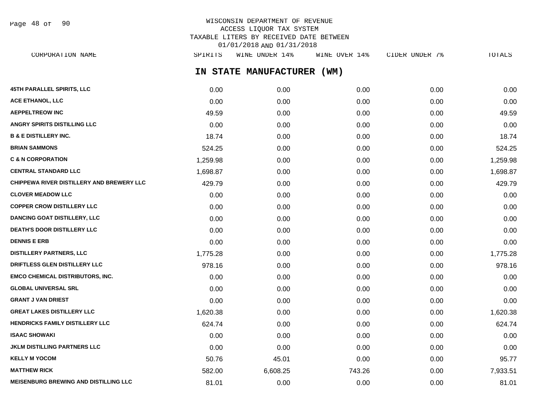WISCONSIN DEPARTMENT OF REVENUE ACCESS LIQUOR TAX SYSTEM TAXABLE LITERS BY RECEIVED DATE BETWEEN 01/01/2018 AND 01/31/2018 CORPORATION NAME SPIRITS WINE UNDER 14% WINE OVER 14% CIDER UNDER 7% TOTALS Page 48 of 90

**IN STATE MANUFACTURER (WM)**

| 45TH PARALLEL SPIRITS, LLC                   | 0.00     | 0.00     | 0.00   | 0.00 | 0.00     |
|----------------------------------------------|----------|----------|--------|------|----------|
| <b>ACE ETHANOL, LLC</b>                      | 0.00     | 0.00     | 0.00   | 0.00 | 0.00     |
| <b>AEPPELTREOW INC</b>                       | 49.59    | 0.00     | 0.00   | 0.00 | 49.59    |
| ANGRY SPIRITS DISTILLING LLC                 | 0.00     | 0.00     | 0.00   | 0.00 | 0.00     |
| <b>B &amp; E DISTILLERY INC.</b>             | 18.74    | 0.00     | 0.00   | 0.00 | 18.74    |
| <b>BRIAN SAMMONS</b>                         | 524.25   | 0.00     | 0.00   | 0.00 | 524.25   |
| <b>C &amp; N CORPORATION</b>                 | 1,259.98 | 0.00     | 0.00   | 0.00 | 1,259.98 |
| <b>CENTRAL STANDARD LLC</b>                  | 1,698.87 | 0.00     | 0.00   | 0.00 | 1,698.87 |
| CHIPPEWA RIVER DISTILLERY AND BREWERY LLC    | 429.79   | 0.00     | 0.00   | 0.00 | 429.79   |
| <b>CLOVER MEADOW LLC</b>                     | 0.00     | 0.00     | 0.00   | 0.00 | 0.00     |
| <b>COPPER CROW DISTILLERY LLC</b>            | 0.00     | 0.00     | 0.00   | 0.00 | 0.00     |
| <b>DANCING GOAT DISTILLERY, LLC</b>          | 0.00     | 0.00     | 0.00   | 0.00 | 0.00     |
| <b>DEATH'S DOOR DISTILLERY LLC</b>           | 0.00     | 0.00     | 0.00   | 0.00 | 0.00     |
| <b>DENNIS E ERB</b>                          | 0.00     | 0.00     | 0.00   | 0.00 | 0.00     |
| <b>DISTILLERY PARTNERS, LLC</b>              | 1,775.28 | 0.00     | 0.00   | 0.00 | 1,775.28 |
| DRIFTLESS GLEN DISTILLERY LLC                | 978.16   | 0.00     | 0.00   | 0.00 | 978.16   |
| <b>EMCO CHEMICAL DISTRIBUTORS, INC.</b>      | 0.00     | 0.00     | 0.00   | 0.00 | 0.00     |
| <b>GLOBAL UNIVERSAL SRL</b>                  | 0.00     | 0.00     | 0.00   | 0.00 | 0.00     |
| <b>GRANT J VAN DRIEST</b>                    | 0.00     | 0.00     | 0.00   | 0.00 | 0.00     |
| <b>GREAT LAKES DISTILLERY LLC</b>            | 1,620.38 | 0.00     | 0.00   | 0.00 | 1,620.38 |
| <b>HENDRICKS FAMILY DISTILLERY LLC</b>       | 624.74   | 0.00     | 0.00   | 0.00 | 624.74   |
| <b>ISAAC SHOWAKI</b>                         | 0.00     | 0.00     | 0.00   | 0.00 | 0.00     |
| <b>JKLM DISTILLING PARTNERS LLC</b>          | 0.00     | 0.00     | 0.00   | 0.00 | 0.00     |
| <b>KELLY M YOCOM</b>                         | 50.76    | 45.01    | 0.00   | 0.00 | 95.77    |
| <b>MATTHEW RICK</b>                          | 582.00   | 6,608.25 | 743.26 | 0.00 | 7,933.51 |
| <b>MEISENBURG BREWING AND DISTILLING LLC</b> | 81.01    | 0.00     | 0.00   | 0.00 | 81.01    |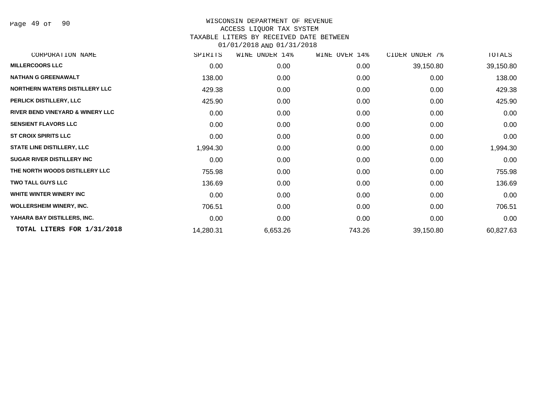Page 49 of 90

## WISCONSIN DEPARTMENT OF REVENUE ACCESS LIQUOR TAX SYSTEM TAXABLE LITERS BY RECEIVED DATE BETWEEN 01/01/2018 AND 01/31/2018

| CORPORATION NAME                            | SPIRITS   | WINE UNDER 14% | WINE OVER 14% | CIDER UNDER 7% | TOTALS    |
|---------------------------------------------|-----------|----------------|---------------|----------------|-----------|
| <b>MILLERCOORS LLC</b>                      | 0.00      | 0.00           | 0.00          | 39,150.80      | 39,150.80 |
| <b>NATHAN G GREENAWALT</b>                  | 138.00    | 0.00           | 0.00          | 0.00           | 138.00    |
| <b>NORTHERN WATERS DISTILLERY LLC</b>       | 429.38    | 0.00           | 0.00          | 0.00           | 429.38    |
| PERLICK DISTILLERY, LLC                     | 425.90    | 0.00           | 0.00          | 0.00           | 425.90    |
| <b>RIVER BEND VINEYARD &amp; WINERY LLC</b> | 0.00      | 0.00           | 0.00          | 0.00           | 0.00      |
| <b>SENSIENT FLAVORS LLC</b>                 | 0.00      | 0.00           | 0.00          | 0.00           | 0.00      |
| <b>ST CROIX SPIRITS LLC</b>                 | 0.00      | 0.00           | 0.00          | 0.00           | 0.00      |
| <b>STATE LINE DISTILLERY, LLC</b>           | 1,994.30  | 0.00           | 0.00          | 0.00           | 1,994.30  |
| <b>SUGAR RIVER DISTILLERY INC</b>           | 0.00      | 0.00           | 0.00          | 0.00           | 0.00      |
| THE NORTH WOODS DISTILLERY LLC              | 755.98    | 0.00           | 0.00          | 0.00           | 755.98    |
| <b>TWO TALL GUYS LLC</b>                    | 136.69    | 0.00           | 0.00          | 0.00           | 136.69    |
| WHITE WINTER WINERY INC                     | 0.00      | 0.00           | 0.00          | 0.00           | 0.00      |
| <b>WOLLERSHEIM WINERY, INC.</b>             | 706.51    | 0.00           | 0.00          | 0.00           | 706.51    |
| YAHARA BAY DISTILLERS, INC.                 | 0.00      | 0.00           | 0.00          | 0.00           | 0.00      |
| TOTAL LITERS FOR 1/31/2018                  | 14,280.31 | 6,653.26       | 743.26        | 39,150.80      | 60,827.63 |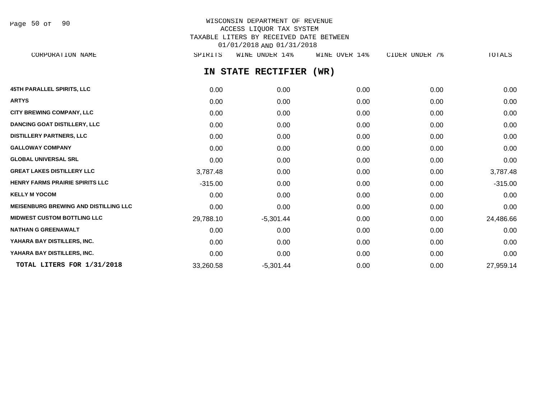Page 50 of 90

# WISCONSIN DEPARTMENT OF REVENUE ACCESS LIQUOR TAX SYSTEM TAXABLE LITERS BY RECEIVED DATE BETWEEN 01/01/2018 AND 01/31/2018

**IN STATE RECTIFIER (WR) 45TH PARALLEL SPIRITS, LLC** 0.00 0.00 0.00 0.00 0.00 **ARTYS** 0.00 0.00 0.00 0.00 0.00 **CITY BREWING COMPANY, LLC**  $0.00$   $0.00$   $0.00$   $0.00$   $0.00$   $0.00$   $0.00$   $0.00$   $0.00$   $0.00$   $0.00$   $0.00$ **DANCING GOAT DISTILLERY, LLC** 0.00 0.00 0.00 0.00 0.00 **DISTILLERY PARTNERS, LLC** 0.00 0.00 0.00 0.00 0.00 **GALLOWAY COMPANY** 0.00 0.00 0.00 0.00 0.00 **GLOBAL UNIVERSAL SRL** 0.00 0.00 0.00 0.00 0.00 **GREAT LAKES DISTILLERY LLC** 3,787.48 0.00 0.00 0.00 3,787.48 **HENRY FARMS PRAIRIE SPIRITS LLC**  $-315.00$  0.00 0.00 0.00 0.00 0.00 0.00 0.00 -315.00 **KELLY M YOCOM** 0.00 0.00 0.00 0.00 0.00 **MEISENBURG BREWING AND DISTILLING LLC** 0.00 0.00 0.00 0.00 0.00 **MIDWEST CUSTOM BOTTLING LLC** 29,788.10 -5,301.44 0.00 0.00 24,486.66 **NATHAN G GREENAWALT** 0.00 0.00 0.00 0.00 0.00 **YAHARA BAY DISTILLERS, INC.** 0.00 0.00 0.00 0.00 0.00 **YAHARA BAY DISTILLERS, INC.** 0.00 0.00 0.00 0.00 0.00 **TOTAL LITERS FOR 1/31/2018** 33,260.58 -5,301.44 0.00 0.00 0.00 27,959.14 CORPORATION NAME SPIRITS WINE UNDER 14% WINE OVER 14% CIDER UNDER 7% TOTALS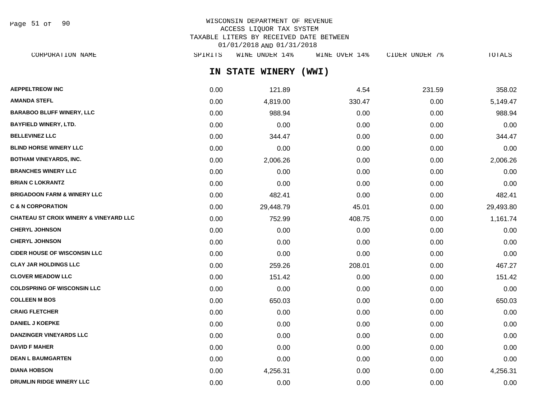Page 51 of 90

# WISCONSIN DEPARTMENT OF REVENUE ACCESS LIQUOR TAX SYSTEM TAXABLE LITERS BY RECEIVED DATE BETWEEN 01/01/2018 AND 01/31/2018

| CORPORATION NAME                 | SPIRITS | WINE UNDER 14%      | WINE OVER 14% | CIDER UNDER 7% | TOTALS   |
|----------------------------------|---------|---------------------|---------------|----------------|----------|
|                                  | IN.     | <b>STATE WINERY</b> | (WWI)         |                |          |
| <b>AEPPELTREOW INC</b>           | 0.00    | 121.89              | 4.54          | 231.59         | 358.02   |
| AMANDA STEFL                     | 0.00    | 4,819.00            | 330.47        | 0.00           | 5,149.47 |
| <b>BARABOO BLUFF WINERY, LLC</b> | 0.00    | 988.94              | 0.00          | 0.00           | 988.94   |
| BAYFIELD WINERY, LTD.            | 0.00    | 0.00                | 0.00          | 0.00           | 0.00     |
| <b>BELLEVINEZ LLC</b>            | 0.00    | 344.47              | 0.00          | 0.00           | 344.47   |
|                                  |         |                     |               |                |          |

| <b>BLIND HORSE WINERY LLC</b>                     | 0.00 | 0.00      | 0.00   | 0.00 | 0.00      |
|---------------------------------------------------|------|-----------|--------|------|-----------|
| <b>BOTHAM VINEYARDS, INC.</b>                     | 0.00 | 2,006.26  | 0.00   | 0.00 | 2,006.26  |
| <b>BRANCHES WINERY LLC</b>                        | 0.00 | 0.00      | 0.00   | 0.00 | 0.00      |
| <b>BRIAN C LOKRANTZ</b>                           | 0.00 | 0.00      | 0.00   | 0.00 | 0.00      |
| <b>BRIGADOON FARM &amp; WINERY LLC</b>            | 0.00 | 482.41    | 0.00   | 0.00 | 482.41    |
| <b>C &amp; N CORPORATION</b>                      | 0.00 | 29,448.79 | 45.01  | 0.00 | 29,493.80 |
| <b>CHATEAU ST CROIX WINERY &amp; VINEYARD LLC</b> | 0.00 | 752.99    | 408.75 | 0.00 | 1,161.74  |
| <b>CHERYL JOHNSON</b>                             | 0.00 | 0.00      | 0.00   | 0.00 | 0.00      |
| <b>CHERYL JOHNSON</b>                             | 0.00 | 0.00      | 0.00   | 0.00 | 0.00      |
| <b>CIDER HOUSE OF WISCONSIN LLC</b>               | 0.00 | 0.00      | 0.00   | 0.00 | 0.00      |
| <b>CLAY JAR HOLDINGS LLC</b>                      | 0.00 | 259.26    | 208.01 | 0.00 | 467.27    |
| <b>CLOVER MEADOW LLC</b>                          | 0.00 | 151.42    | 0.00   | 0.00 | 151.42    |
| <b>COLDSPRING OF WISCONSIN LLC</b>                | 0.00 | 0.00      | 0.00   | 0.00 | 0.00      |
| <b>COLLEEN M BOS</b>                              | 0.00 | 650.03    | 0.00   | 0.00 | 650.03    |
| <b>CRAIG FLETCHER</b>                             | 0.00 | 0.00      | 0.00   | 0.00 | 0.00      |
| <b>DANIEL J KOEPKE</b>                            | 0.00 | 0.00      | 0.00   | 0.00 | 0.00      |
| <b>DANZINGER VINEYARDS LLC</b>                    | 0.00 | 0.00      | 0.00   | 0.00 | 0.00      |
| <b>DAVID F MAHER</b>                              | 0.00 | 0.00      | 0.00   | 0.00 | 0.00      |
| <b>DEAN L BAUMGARTEN</b>                          | 0.00 | 0.00      | 0.00   | 0.00 | 0.00      |
| <b>DIANA HOBSON</b>                               | 0.00 | 4,256.31  | 0.00   | 0.00 | 4,256.31  |

**DRUMLIN RIDGE WINERY LLC** 0.00 0.00 0.00 0.00 0.00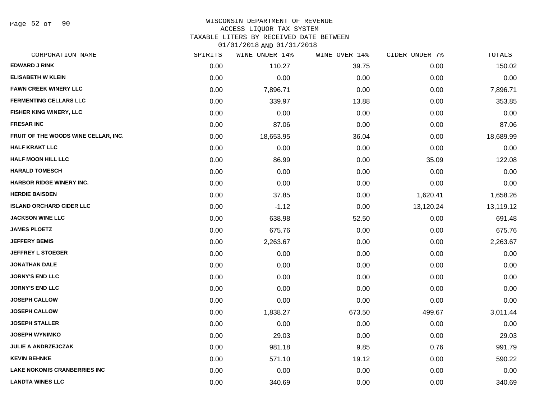Page 52 of 90

### WISCONSIN DEPARTMENT OF REVENUE ACCESS LIQUOR TAX SYSTEM TAXABLE LITERS BY RECEIVED DATE BETWEEN

| CORPORATION NAME                     | SPIRITS | WINE UNDER 14% | WINE OVER 14% | CIDER UNDER 7% | TOTALS    |
|--------------------------------------|---------|----------------|---------------|----------------|-----------|
| <b>EDWARD J RINK</b>                 | 0.00    | 110.27         | 39.75         | 0.00           | 150.02    |
| <b>ELISABETH W KLEIN</b>             | 0.00    | 0.00           | 0.00          | 0.00           | 0.00      |
| <b>FAWN CREEK WINERY LLC</b>         | 0.00    | 7,896.71       | 0.00          | 0.00           | 7,896.71  |
| <b>FERMENTING CELLARS LLC</b>        | 0.00    | 339.97         | 13.88         | 0.00           | 353.85    |
| FISHER KING WINERY, LLC              | 0.00    | 0.00           | 0.00          | 0.00           | 0.00      |
| <b>FRESAR INC</b>                    | 0.00    | 87.06          | 0.00          | 0.00           | 87.06     |
| FRUIT OF THE WOODS WINE CELLAR, INC. | 0.00    | 18,653.95      | 36.04         | 0.00           | 18,689.99 |
| <b>HALF KRAKT LLC</b>                | 0.00    | 0.00           | 0.00          | 0.00           | 0.00      |
| <b>HALF MOON HILL LLC</b>            | 0.00    | 86.99          | 0.00          | 35.09          | 122.08    |
| <b>HARALD TOMESCH</b>                | 0.00    | 0.00           | 0.00          | 0.00           | 0.00      |
| HARBOR RIDGE WINERY INC.             | 0.00    | 0.00           | 0.00          | 0.00           | 0.00      |
| <b>HERDIE BAISDEN</b>                | 0.00    | 37.85          | 0.00          | 1,620.41       | 1,658.26  |
| <b>ISLAND ORCHARD CIDER LLC</b>      | 0.00    | $-1.12$        | 0.00          | 13,120.24      | 13,119.12 |
| <b>JACKSON WINE LLC</b>              | 0.00    | 638.98         | 52.50         | 0.00           | 691.48    |
| <b>JAMES PLOETZ</b>                  | 0.00    | 675.76         | 0.00          | 0.00           | 675.76    |
| <b>JEFFERY BEMIS</b>                 | 0.00    | 2,263.67       | 0.00          | 0.00           | 2,263.67  |
| <b>JEFFREY L STOEGER</b>             | 0.00    | 0.00           | 0.00          | 0.00           | 0.00      |
| <b>JONATHAN DALE</b>                 | 0.00    | 0.00           | 0.00          | 0.00           | 0.00      |
| <b>JORNY'S END LLC</b>               | 0.00    | 0.00           | 0.00          | 0.00           | 0.00      |
| <b>JORNY'S END LLC</b>               | 0.00    | 0.00           | 0.00          | 0.00           | 0.00      |
| <b>JOSEPH CALLOW</b>                 | 0.00    | 0.00           | 0.00          | 0.00           | 0.00      |
| <b>JOSEPH CALLOW</b>                 | 0.00    | 1,838.27       | 673.50        | 499.67         | 3,011.44  |
| <b>JOSEPH STALLER</b>                | 0.00    | 0.00           | 0.00          | 0.00           | 0.00      |
| <b>JOSEPH WYNIMKO</b>                | 0.00    | 29.03          | 0.00          | 0.00           | 29.03     |
| <b>JULIE A ANDRZEJCZAK</b>           | 0.00    | 981.18         | 9.85          | 0.76           | 991.79    |
| <b>KEVIN BEHNKE</b>                  | 0.00    | 571.10         | 19.12         | 0.00           | 590.22    |
| <b>LAKE NOKOMIS CRANBERRIES INC</b>  | 0.00    | 0.00           | 0.00          | 0.00           | 0.00      |
| <b>LANDTA WINES LLC</b>              | 0.00    | 340.69         | 0.00          | 0.00           | 340.69    |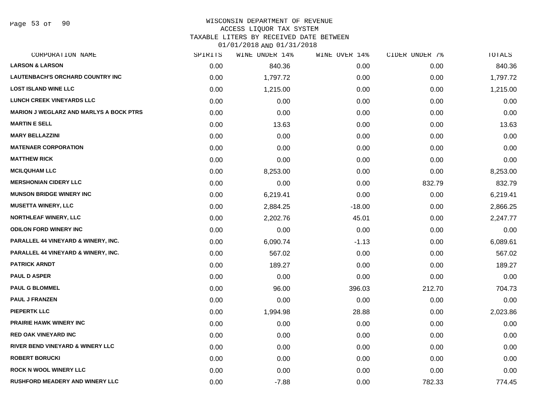Page 53 of 90

#### WISCONSIN DEPARTMENT OF REVENUE

#### ACCESS LIQUOR TAX SYSTEM

TAXABLE LITERS BY RECEIVED DATE BETWEEN

| CORPORATION NAME                               | SPIRITS | WINE UNDER 14% | WINE OVER 14% | CIDER UNDER 7% | TOTALS   |
|------------------------------------------------|---------|----------------|---------------|----------------|----------|
| <b>LARSON &amp; LARSON</b>                     | 0.00    | 840.36         | 0.00          | 0.00           | 840.36   |
| <b>LAUTENBACH'S ORCHARD COUNTRY INC</b>        | 0.00    | 1,797.72       | 0.00          | 0.00           | 1,797.72 |
| <b>LOST ISLAND WINE LLC</b>                    | 0.00    | 1,215.00       | 0.00          | 0.00           | 1,215.00 |
| <b>LUNCH CREEK VINEYARDS LLC</b>               | 0.00    | 0.00           | 0.00          | 0.00           | 0.00     |
| <b>MARION J WEGLARZ AND MARLYS A BOCK PTRS</b> | 0.00    | 0.00           | 0.00          | 0.00           | 0.00     |
| <b>MARTIN E SELL</b>                           | 0.00    | 13.63          | 0.00          | 0.00           | 13.63    |
| <b>MARY BELLAZZINI</b>                         | 0.00    | 0.00           | 0.00          | 0.00           | 0.00     |
| <b>MATENAER CORPORATION</b>                    | 0.00    | 0.00           | 0.00          | 0.00           | 0.00     |
| <b>MATTHEW RICK</b>                            | 0.00    | 0.00           | 0.00          | 0.00           | 0.00     |
| <b>MCILQUHAM LLC</b>                           | 0.00    | 8,253.00       | 0.00          | 0.00           | 8,253.00 |
| <b>MERSHONIAN CIDERY LLC</b>                   | 0.00    | 0.00           | 0.00          | 832.79         | 832.79   |
| <b>MUNSON BRIDGE WINERY INC</b>                | 0.00    | 6,219.41       | 0.00          | 0.00           | 6,219.41 |
| <b>MUSETTA WINERY, LLC</b>                     | 0.00    | 2,884.25       | $-18.00$      | 0.00           | 2,866.25 |
| <b>NORTHLEAF WINERY, LLC</b>                   | 0.00    | 2,202.76       | 45.01         | 0.00           | 2,247.77 |
| <b>ODILON FORD WINERY INC</b>                  | 0.00    | 0.00           | 0.00          | 0.00           | 0.00     |
| PARALLEL 44 VINEYARD & WINERY, INC.            | 0.00    | 6,090.74       | $-1.13$       | 0.00           | 6,089.61 |
| <b>PARALLEL 44 VINEYARD &amp; WINERY, INC.</b> | 0.00    | 567.02         | 0.00          | 0.00           | 567.02   |
| <b>PATRICK ARNDT</b>                           | 0.00    | 189.27         | 0.00          | 0.00           | 189.27   |
| <b>PAUL D ASPER</b>                            | 0.00    | 0.00           | 0.00          | 0.00           | 0.00     |
| <b>PAUL G BLOMMEL</b>                          | 0.00    | 96.00          | 396.03        | 212.70         | 704.73   |
| <b>PAUL J FRANZEN</b>                          | 0.00    | 0.00           | 0.00          | 0.00           | 0.00     |
| <b>PIEPERTK LLC</b>                            | 0.00    | 1,994.98       | 28.88         | 0.00           | 2,023.86 |
| <b>PRAIRIE HAWK WINERY INC</b>                 | 0.00    | 0.00           | 0.00          | 0.00           | 0.00     |
| <b>RED OAK VINEYARD INC</b>                    | 0.00    | 0.00           | 0.00          | 0.00           | 0.00     |
| <b>RIVER BEND VINEYARD &amp; WINERY LLC</b>    | 0.00    | 0.00           | 0.00          | 0.00           | 0.00     |
| <b>ROBERT BORUCKI</b>                          | 0.00    | 0.00           | 0.00          | 0.00           | 0.00     |
| <b>ROCK N WOOL WINERY LLC</b>                  | 0.00    | 0.00           | 0.00          | 0.00           | 0.00     |
| RUSHFORD MEADERY AND WINERY LLC                | 0.00    | $-7.88$        | 0.00          | 782.33         | 774.45   |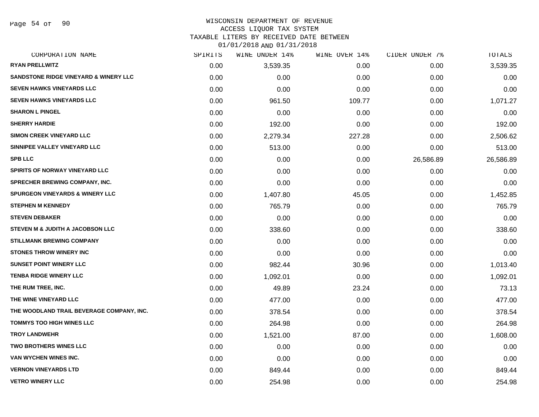Page 54 of 90

## WISCONSIN DEPARTMENT OF REVENUE

### ACCESS LIQUOR TAX SYSTEM

TAXABLE LITERS BY RECEIVED DATE BETWEEN

| CORPORATION NAME                                 | SPIRITS | WINE UNDER 14% | WINE OVER 14% | CIDER UNDER 7% | TOTALS    |
|--------------------------------------------------|---------|----------------|---------------|----------------|-----------|
| <b>RYAN PRELLWITZ</b>                            | 0.00    | 3,539.35       | 0.00          | 0.00           | 3,539.35  |
| <b>SANDSTONE RIDGE VINEYARD &amp; WINERY LLC</b> | 0.00    | 0.00           | 0.00          | 0.00           | 0.00      |
| <b>SEVEN HAWKS VINEYARDS LLC</b>                 | 0.00    | 0.00           | 0.00          | 0.00           | 0.00      |
| <b>SEVEN HAWKS VINEYARDS LLC</b>                 | 0.00    | 961.50         | 109.77        | 0.00           | 1,071.27  |
| <b>SHARON L PINGEL</b>                           | 0.00    | 0.00           | 0.00          | 0.00           | 0.00      |
| <b>SHERRY HARDIE</b>                             | 0.00    | 192.00         | 0.00          | 0.00           | 192.00    |
| <b>SIMON CREEK VINEYARD LLC</b>                  | 0.00    | 2,279.34       | 227.28        | 0.00           | 2,506.62  |
| SINNIPEE VALLEY VINEYARD LLC                     | 0.00    | 513.00         | 0.00          | 0.00           | 513.00    |
| <b>SPB LLC</b>                                   | 0.00    | 0.00           | 0.00          | 26,586.89      | 26,586.89 |
| SPIRITS OF NORWAY VINEYARD LLC                   | 0.00    | 0.00           | 0.00          | 0.00           | 0.00      |
| <b>SPRECHER BREWING COMPANY, INC.</b>            | 0.00    | 0.00           | 0.00          | 0.00           | 0.00      |
| <b>SPURGEON VINEYARDS &amp; WINERY LLC</b>       | 0.00    | 1,407.80       | 45.05         | 0.00           | 1,452.85  |
| <b>STEPHEN M KENNEDY</b>                         | 0.00    | 765.79         | 0.00          | 0.00           | 765.79    |
| <b>STEVEN DEBAKER</b>                            | 0.00    | 0.00           | 0.00          | 0.00           | 0.00      |
| <b>STEVEN M &amp; JUDITH A JACOBSON LLC</b>      | 0.00    | 338.60         | 0.00          | 0.00           | 338.60    |
| <b>STILLMANK BREWING COMPANY</b>                 | 0.00    | 0.00           | 0.00          | 0.00           | 0.00      |
| <b>STONES THROW WINERY INC</b>                   | 0.00    | 0.00           | 0.00          | 0.00           | 0.00      |
| <b>SUNSET POINT WINERY LLC</b>                   | 0.00    | 982.44         | 30.96         | 0.00           | 1,013.40  |
| <b>TENBA RIDGE WINERY LLC</b>                    | 0.00    | 1,092.01       | 0.00          | 0.00           | 1,092.01  |
| THE RUM TREE, INC.                               | 0.00    | 49.89          | 23.24         | 0.00           | 73.13     |
| THE WINE VINEYARD LLC                            | 0.00    | 477.00         | 0.00          | 0.00           | 477.00    |
| THE WOODLAND TRAIL BEVERAGE COMPANY, INC.        | 0.00    | 378.54         | 0.00          | 0.00           | 378.54    |
| <b>TOMMYS TOO HIGH WINES LLC</b>                 | 0.00    | 264.98         | 0.00          | 0.00           | 264.98    |
| <b>TROY LANDWEHR</b>                             | 0.00    | 1,521.00       | 87.00         | 0.00           | 1,608.00  |
| <b>TWO BROTHERS WINES LLC</b>                    | 0.00    | 0.00           | 0.00          | 0.00           | 0.00      |
| VAN WYCHEN WINES INC.                            | 0.00    | 0.00           | 0.00          | 0.00           | 0.00      |
| <b>VERNON VINEYARDS LTD</b>                      | 0.00    | 849.44         | 0.00          | 0.00           | 849.44    |
| <b>VETRO WINERY LLC</b>                          | 0.00    | 254.98         | 0.00          | 0.00           | 254.98    |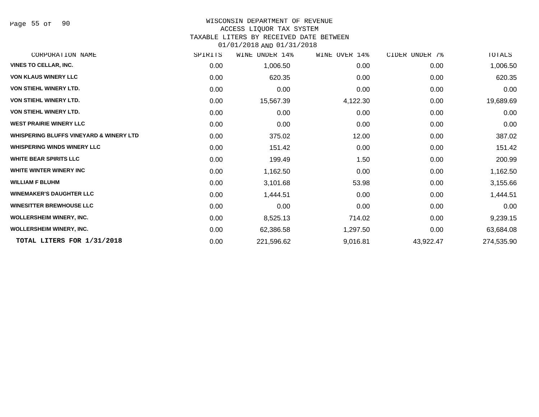Page 55 of 90

#### WISCONSIN DEPARTMENT OF REVENUE

#### ACCESS LIQUOR TAX SYSTEM

TAXABLE LITERS BY RECEIVED DATE BETWEEN

| CORPORATION NAME                                   | SPIRITS | WINE<br>UNDER 14% | WINE OVER 14% | CIDER UNDER 7% | TOTALS     |
|----------------------------------------------------|---------|-------------------|---------------|----------------|------------|
| <b>VINES TO CELLAR, INC.</b>                       | 0.00    | 1,006.50          | 0.00          | 0.00           | 1,006.50   |
| <b>VON KLAUS WINERY LLC</b>                        | 0.00    | 620.35            | 0.00          | 0.00           | 620.35     |
| <b>VON STIEHL WINERY LTD.</b>                      | 0.00    | 0.00              | 0.00          | 0.00           | 0.00       |
| <b>VON STIEHL WINERY LTD.</b>                      | 0.00    | 15,567.39         | 4,122.30      | 0.00           | 19,689.69  |
| <b>VON STIEHL WINERY LTD.</b>                      | 0.00    | 0.00              | 0.00          | 0.00           | 0.00       |
| <b>WEST PRAIRIE WINERY LLC</b>                     | 0.00    | 0.00              | 0.00          | 0.00           | 0.00       |
| <b>WHISPERING BLUFFS VINEYARD &amp; WINERY LTD</b> | 0.00    | 375.02            | 12.00         | 0.00           | 387.02     |
| <b>WHISPERING WINDS WINERY LLC</b>                 | 0.00    | 151.42            | 0.00          | 0.00           | 151.42     |
| <b>WHITE BEAR SPIRITS LLC</b>                      | 0.00    | 199.49            | 1.50          | 0.00           | 200.99     |
| <b>WHITE WINTER WINERY INC</b>                     | 0.00    | 1,162.50          | 0.00          | 0.00           | 1,162.50   |
| <b>WILLIAM F BLUHM</b>                             | 0.00    | 3,101.68          | 53.98         | 0.00           | 3,155.66   |
| <b>WINEMAKER'S DAUGHTER LLC</b>                    | 0.00    | 1,444.51          | 0.00          | 0.00           | 1,444.51   |
| <b>WINESITTER BREWHOUSE LLC</b>                    | 0.00    | 0.00              | 0.00          | 0.00           | 0.00       |
| <b>WOLLERSHEIM WINERY, INC.</b>                    | 0.00    | 8,525.13          | 714.02        | 0.00           | 9,239.15   |
| <b>WOLLERSHEIM WINERY, INC.</b>                    | 0.00    | 62,386.58         | 1,297.50      | 0.00           | 63,684.08  |
| TOTAL LITERS FOR 1/31/2018                         | 0.00    | 221,596.62        | 9,016.81      | 43,922.47      | 274,535.90 |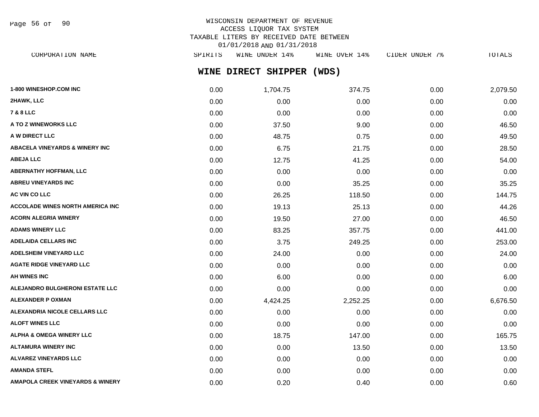Page 56 of 90

# WISCONSIN DEPARTMENT OF REVENUE ACCESS LIQUOR TAX SYSTEM TAXABLE LITERS BY RECEIVED DATE BETWEEN 01/01/2018 AND 01/31/2018

**WINE DIRECT SHIPPER (WDS)** CORPORATION NAME SPIRITS WINE UNDER 14% WINE OVER 14% CIDER UNDER 7% TOTALS

| 1-800 WINESHOP.COM INC                      | 0.00 | 1,704.75 | 374.75   | 0.00 | 2,079.50 |
|---------------------------------------------|------|----------|----------|------|----------|
| 2HAWK, LLC                                  | 0.00 | 0.00     | 0.00     | 0.00 | 0.00     |
| <b>7 &amp; 8 LLC</b>                        | 0.00 | 0.00     | 0.00     | 0.00 | 0.00     |
| A TO Z WINEWORKS LLC                        | 0.00 | 37.50    | 9.00     | 0.00 | 46.50    |
| A W DIRECT LLC                              | 0.00 | 48.75    | 0.75     | 0.00 | 49.50    |
| ABACELA VINEYARDS & WINERY INC              | 0.00 | 6.75     | 21.75    | 0.00 | 28.50    |
| <b>ABEJA LLC</b>                            | 0.00 | 12.75    | 41.25    | 0.00 | 54.00    |
| <b>ABERNATHY HOFFMAN, LLC</b>               | 0.00 | 0.00     | 0.00     | 0.00 | 0.00     |
| <b>ABREU VINEYARDS INC</b>                  | 0.00 | 0.00     | 35.25    | 0.00 | 35.25    |
| AC VIN CO LLC                               | 0.00 | 26.25    | 118.50   | 0.00 | 144.75   |
| <b>ACCOLADE WINES NORTH AMERICA INC</b>     | 0.00 | 19.13    | 25.13    | 0.00 | 44.26    |
| <b>ACORN ALEGRIA WINERY</b>                 | 0.00 | 19.50    | 27.00    | 0.00 | 46.50    |
| <b>ADAMS WINERY LLC</b>                     | 0.00 | 83.25    | 357.75   | 0.00 | 441.00   |
| <b>ADELAIDA CELLARS INC</b>                 | 0.00 | 3.75     | 249.25   | 0.00 | 253.00   |
| <b>ADELSHEIM VINEYARD LLC</b>               | 0.00 | 24.00    | 0.00     | 0.00 | 24.00    |
| <b>AGATE RIDGE VINEYARD LLC</b>             | 0.00 | 0.00     | 0.00     | 0.00 | 0.00     |
| <b>AH WINES INC</b>                         | 0.00 | 6.00     | 0.00     | 0.00 | 6.00     |
| ALEJANDRO BULGHERONI ESTATE LLC             | 0.00 | 0.00     | 0.00     | 0.00 | 0.00     |
| <b>ALEXANDER P OXMAN</b>                    | 0.00 | 4,424.25 | 2,252.25 | 0.00 | 6,676.50 |
| ALEXANDRIA NICOLE CELLARS LLC               | 0.00 | 0.00     | 0.00     | 0.00 | 0.00     |
| <b>ALOFT WINES LLC</b>                      | 0.00 | 0.00     | 0.00     | 0.00 | 0.00     |
| <b>ALPHA &amp; OMEGA WINERY LLC</b>         | 0.00 | 18.75    | 147.00   | 0.00 | 165.75   |
| <b>ALTAMURA WINERY INC</b>                  | 0.00 | 0.00     | 13.50    | 0.00 | 13.50    |
| ALVAREZ VINEYARDS LLC                       | 0.00 | 0.00     | 0.00     | 0.00 | 0.00     |
| <b>AMANDA STEFL</b>                         | 0.00 | 0.00     | 0.00     | 0.00 | 0.00     |
| <b>AMAPOLA CREEK VINEYARDS &amp; WINERY</b> | 0.00 | 0.20     | 0.40     | 0.00 | 0.60     |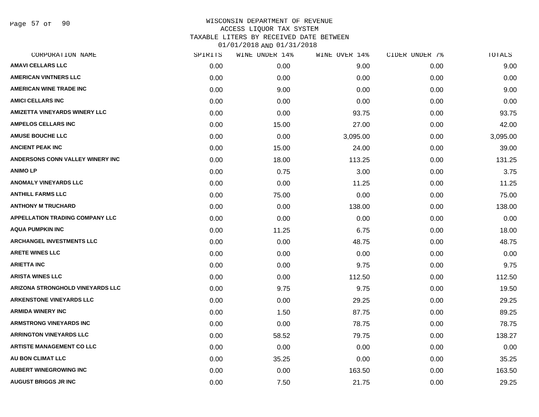Page 57 of 90

### WISCONSIN DEPARTMENT OF REVENUE ACCESS LIQUOR TAX SYSTEM TAXABLE LITERS BY RECEIVED DATE BETWEEN 01/01/2018 AND 01/31/2018

| CORPORATION NAME                       | SPIRITS | WINE UNDER 14% | WINE OVER 14% | CIDER UNDER 7% | TOTALS   |
|----------------------------------------|---------|----------------|---------------|----------------|----------|
| <b>AMAVI CELLARS LLC</b>               | 0.00    | 0.00           | 9.00          | 0.00           | 9.00     |
| <b>AMERICAN VINTNERS LLC</b>           | 0.00    | 0.00           | 0.00          | 0.00           | 0.00     |
| <b>AMERICAN WINE TRADE INC</b>         | 0.00    | 9.00           | 0.00          | 0.00           | 9.00     |
| <b>AMICI CELLARS INC</b>               | 0.00    | 0.00           | 0.00          | 0.00           | 0.00     |
| AMIZETTA VINEYARDS WINERY LLC          | 0.00    | 0.00           | 93.75         | 0.00           | 93.75    |
| <b>AMPELOS CELLARS INC</b>             | 0.00    | 15.00          | 27.00         | 0.00           | 42.00    |
| <b>AMUSE BOUCHE LLC</b>                | 0.00    | 0.00           | 3,095.00      | 0.00           | 3,095.00 |
| <b>ANCIENT PEAK INC</b>                | 0.00    | 15.00          | 24.00         | 0.00           | 39.00    |
| ANDERSONS CONN VALLEY WINERY INC       | 0.00    | 18.00          | 113.25        | 0.00           | 131.25   |
| <b>ANIMO LP</b>                        | 0.00    | 0.75           | 3.00          | 0.00           | 3.75     |
| <b>ANOMALY VINEYARDS LLC</b>           | 0.00    | 0.00           | 11.25         | 0.00           | 11.25    |
| <b>ANTHILL FARMS LLC</b>               | 0.00    | 75.00          | 0.00          | 0.00           | 75.00    |
| <b>ANTHONY M TRUCHARD</b>              | 0.00    | 0.00           | 138.00        | 0.00           | 138.00   |
| <b>APPELLATION TRADING COMPANY LLC</b> | 0.00    | 0.00           | 0.00          | 0.00           | 0.00     |
| AQUA PUMPKIN INC                       | 0.00    | 11.25          | 6.75          | 0.00           | 18.00    |
| <b>ARCHANGEL INVESTMENTS LLC</b>       | 0.00    | 0.00           | 48.75         | 0.00           | 48.75    |
| <b>ARETE WINES LLC</b>                 | 0.00    | 0.00           | 0.00          | 0.00           | 0.00     |
| <b>ARIETTA INC</b>                     | 0.00    | 0.00           | 9.75          | 0.00           | 9.75     |
| <b>ARISTA WINES LLC</b>                | 0.00    | 0.00           | 112.50        | 0.00           | 112.50   |
| ARIZONA STRONGHOLD VINEYARDS LLC       | 0.00    | 9.75           | 9.75          | 0.00           | 19.50    |
| <b>ARKENSTONE VINEYARDS LLC</b>        | 0.00    | 0.00           | 29.25         | 0.00           | 29.25    |
| <b>ARMIDA WINERY INC</b>               | 0.00    | 1.50           | 87.75         | 0.00           | 89.25    |
| <b>ARMSTRONG VINEYARDS INC</b>         | 0.00    | 0.00           | 78.75         | 0.00           | 78.75    |
| <b>ARRINGTON VINEYARDS LLC</b>         | 0.00    | 58.52          | 79.75         | 0.00           | 138.27   |
| <b>ARTISTE MANAGEMENT CO LLC</b>       | 0.00    | 0.00           | 0.00          | 0.00           | 0.00     |
| AU BON CLIMAT LLC                      | 0.00    | 35.25          | 0.00          | 0.00           | 35.25    |
| <b>AUBERT WINEGROWING INC</b>          | 0.00    | 0.00           | 163.50        | 0.00           | 163.50   |
| <b>AUGUST BRIGGS JR INC</b>            | 0.00    | 7.50           | 21.75         | 0.00           | 29.25    |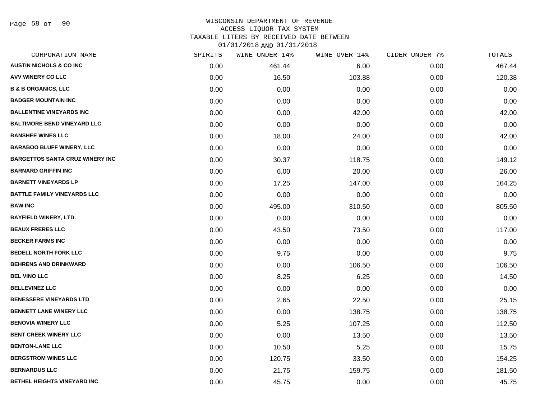Page 58 of 90

### WISCONSIN DEPARTMENT OF REVENUE ACCESS LIQUOR TAX SYSTEM TAXABLE LITERS BY RECEIVED DATE BETWEEN

| CORPORATION NAME                       | SPIRITS | WINE UNDER 14% | WINE OVER 14% | CIDER UNDER 7% | TOTALS |
|----------------------------------------|---------|----------------|---------------|----------------|--------|
| <b>AUSTIN NICHOLS &amp; CO INC</b>     | 0.00    | 461.44         | 6.00          | 0.00           | 467.44 |
| <b>AVV WINERY CO LLC</b>               | 0.00    | 16.50          | 103.88        | 0.00           | 120.38 |
| <b>B &amp; B ORGANICS, LLC</b>         | 0.00    | 0.00           | 0.00          | 0.00           | 0.00   |
| <b>BADGER MOUNTAIN INC</b>             | 0.00    | 0.00           | 0.00          | 0.00           | 0.00   |
| <b>BALLENTINE VINEYARDS INC</b>        | 0.00    | 0.00           | 42.00         | 0.00           | 42.00  |
| <b>BALTIMORE BEND VINEYARD LLC</b>     | 0.00    | 0.00           | 0.00          | 0.00           | 0.00   |
| <b>BANSHEE WINES LLC</b>               | 0.00    | 18.00          | 24.00         | 0.00           | 42.00  |
| <b>BARABOO BLUFF WINERY, LLC</b>       | 0.00    | 0.00           | 0.00          | 0.00           | 0.00   |
| <b>BARGETTOS SANTA CRUZ WINERY INC</b> | 0.00    | 30.37          | 118.75        | 0.00           | 149.12 |
| <b>BARNARD GRIFFIN INC</b>             | 0.00    | 6.00           | 20.00         | 0.00           | 26.00  |
| <b>BARNETT VINEYARDS LP</b>            | 0.00    | 17.25          | 147.00        | 0.00           | 164.25 |
| <b>BATTLE FAMILY VINEYARDS LLC</b>     | 0.00    | 0.00           | 0.00          | 0.00           | 0.00   |
| <b>BAW INC</b>                         | 0.00    | 495.00         | 310.50        | 0.00           | 805.50 |
| <b>BAYFIELD WINERY, LTD.</b>           | 0.00    | 0.00           | 0.00          | 0.00           | 0.00   |
| <b>BEAUX FRERES LLC</b>                | 0.00    | 43.50          | 73.50         | 0.00           | 117.00 |
| <b>BECKER FARMS INC</b>                | 0.00    | 0.00           | 0.00          | 0.00           | 0.00   |
| <b>BEDELL NORTH FORK LLC</b>           | 0.00    | 9.75           | 0.00          | 0.00           | 9.75   |
| <b>BEHRENS AND DRINKWARD</b>           | 0.00    | 0.00           | 106.50        | 0.00           | 106.50 |
| <b>BEL VINO LLC</b>                    | 0.00    | 8.25           | 6.25          | 0.00           | 14.50  |
| <b>BELLEVINEZ LLC</b>                  | 0.00    | 0.00           | 0.00          | 0.00           | 0.00   |
| <b>BENESSERE VINEYARDS LTD</b>         | 0.00    | 2.65           | 22.50         | 0.00           | 25.15  |
| <b>BENNETT LANE WINERY LLC</b>         | 0.00    | 0.00           | 138.75        | 0.00           | 138.75 |
| <b>BENOVIA WINERY LLC</b>              | 0.00    | 5.25           | 107.25        | 0.00           | 112.50 |
| <b>BENT CREEK WINERY LLC</b>           | 0.00    | 0.00           | 13.50         | 0.00           | 13.50  |
| <b>BENTON-LANE LLC</b>                 | 0.00    | 10.50          | 5.25          | 0.00           | 15.75  |
| <b>BERGSTROM WINES LLC</b>             | 0.00    | 120.75         | 33.50         | 0.00           | 154.25 |
| <b>BERNARDUS LLC</b>                   | 0.00    | 21.75          | 159.75        | 0.00           | 181.50 |
| BETHEL HEIGHTS VINEYARD INC            | 0.00    | 45.75          | 0.00          | 0.00           | 45.75  |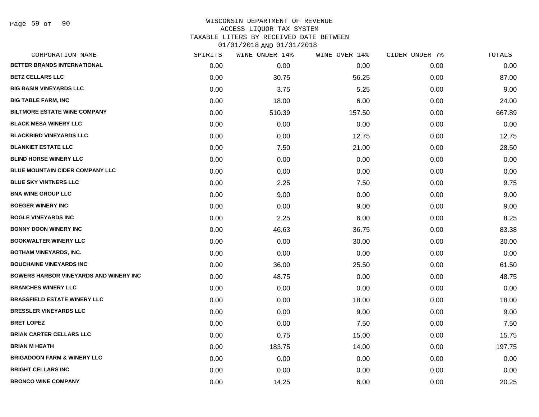# WISCONSIN DEPARTMENT OF REVENUE ACCESS LIQUOR TAX SYSTEM TAXABLE LITERS BY RECEIVED DATE BETWEEN

| CORPORATION NAME                              | SPIRITS | WINE UNDER 14% | WINE OVER 14% | CIDER UNDER 7% | TOTALS |
|-----------------------------------------------|---------|----------------|---------------|----------------|--------|
| BETTER BRANDS INTERNATIONAL                   | 0.00    | 0.00           | 0.00          | 0.00           | 0.00   |
| <b>BETZ CELLARS LLC</b>                       | 0.00    | 30.75          | 56.25         | 0.00           | 87.00  |
| <b>BIG BASIN VINEYARDS LLC</b>                | 0.00    | 3.75           | 5.25          | 0.00           | 9.00   |
| <b>BIG TABLE FARM, INC</b>                    | 0.00    | 18.00          | 6.00          | 0.00           | 24.00  |
| <b>BILTMORE ESTATE WINE COMPANY</b>           | 0.00    | 510.39         | 157.50        | 0.00           | 667.89 |
| <b>BLACK MESA WINERY LLC</b>                  | 0.00    | 0.00           | 0.00          | 0.00           | 0.00   |
| <b>BLACKBIRD VINEYARDS LLC</b>                | 0.00    | 0.00           | 12.75         | 0.00           | 12.75  |
| <b>BLANKIET ESTATE LLC</b>                    | 0.00    | 7.50           | 21.00         | 0.00           | 28.50  |
| <b>BLIND HORSE WINERY LLC</b>                 | 0.00    | 0.00           | 0.00          | 0.00           | 0.00   |
| BLUE MOUNTAIN CIDER COMPANY LLC               | 0.00    | 0.00           | 0.00          | 0.00           | 0.00   |
| <b>BLUE SKY VINTNERS LLC</b>                  | 0.00    | 2.25           | 7.50          | 0.00           | 9.75   |
| <b>BNA WINE GROUP LLC</b>                     | 0.00    | 9.00           | 0.00          | 0.00           | 9.00   |
| <b>BOEGER WINERY INC</b>                      | 0.00    | 0.00           | 9.00          | 0.00           | 9.00   |
| <b>BOGLE VINEYARDS INC</b>                    | 0.00    | 2.25           | 6.00          | 0.00           | 8.25   |
| <b>BONNY DOON WINERY INC</b>                  | 0.00    | 46.63          | 36.75         | 0.00           | 83.38  |
| <b>BOOKWALTER WINERY LLC</b>                  | 0.00    | 0.00           | 30.00         | 0.00           | 30.00  |
| <b>BOTHAM VINEYARDS, INC.</b>                 | 0.00    | 0.00           | 0.00          | 0.00           | 0.00   |
| <b>BOUCHAINE VINEYARDS INC</b>                | 0.00    | 36.00          | 25.50         | 0.00           | 61.50  |
| <b>BOWERS HARBOR VINEYARDS AND WINERY INC</b> | 0.00    | 48.75          | 0.00          | 0.00           | 48.75  |
| <b>BRANCHES WINERY LLC</b>                    | 0.00    | 0.00           | 0.00          | 0.00           | 0.00   |
| <b>BRASSFIELD ESTATE WINERY LLC</b>           | 0.00    | 0.00           | 18.00         | 0.00           | 18.00  |
| <b>BRESSLER VINEYARDS LLC</b>                 | 0.00    | 0.00           | 9.00          | 0.00           | 9.00   |
| <b>BRET LOPEZ</b>                             | 0.00    | 0.00           | 7.50          | 0.00           | 7.50   |
| <b>BRIAN CARTER CELLARS LLC</b>               | 0.00    | 0.75           | 15.00         | 0.00           | 15.75  |
| <b>BRIAN M HEATH</b>                          | 0.00    | 183.75         | 14.00         | 0.00           | 197.75 |
| <b>BRIGADOON FARM &amp; WINERY LLC</b>        | 0.00    | 0.00           | 0.00          | 0.00           | 0.00   |
| <b>BRIGHT CELLARS INC</b>                     | 0.00    | 0.00           | 0.00          | 0.00           | 0.00   |
| <b>BRONCO WINE COMPANY</b>                    | 0.00    | 14.25          | 6.00          | 0.00           | 20.25  |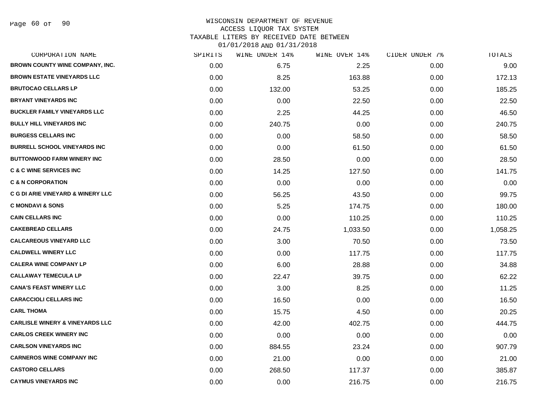Page 60 of 90

# WISCONSIN DEPARTMENT OF REVENUE ACCESS LIQUOR TAX SYSTEM

TAXABLE LITERS BY RECEIVED DATE BETWEEN

| CORPORATION NAME                             | SPIRITS | WINE UNDER 14% | WINE OVER 14% | CIDER UNDER 7% | TOTALS   |
|----------------------------------------------|---------|----------------|---------------|----------------|----------|
| BROWN COUNTY WINE COMPANY, INC.              | 0.00    | 6.75           | 2.25          | 0.00           | 9.00     |
| <b>BROWN ESTATE VINEYARDS LLC</b>            | 0.00    | 8.25           | 163.88        | 0.00           | 172.13   |
| <b>BRUTOCAO CELLARS LP</b>                   | 0.00    | 132.00         | 53.25         | 0.00           | 185.25   |
| <b>BRYANT VINEYARDS INC</b>                  | 0.00    | 0.00           | 22.50         | 0.00           | 22.50    |
| <b>BUCKLER FAMILY VINEYARDS LLC</b>          | 0.00    | 2.25           | 44.25         | 0.00           | 46.50    |
| <b>BULLY HILL VINEYARDS INC</b>              | 0.00    | 240.75         | 0.00          | 0.00           | 240.75   |
| <b>BURGESS CELLARS INC</b>                   | 0.00    | 0.00           | 58.50         | 0.00           | 58.50    |
| <b>BURRELL SCHOOL VINEYARDS INC</b>          | 0.00    | 0.00           | 61.50         | 0.00           | 61.50    |
| <b>BUTTONWOOD FARM WINERY INC</b>            | 0.00    | 28.50          | 0.00          | 0.00           | 28.50    |
| <b>C &amp; C WINE SERVICES INC</b>           | 0.00    | 14.25          | 127.50        | 0.00           | 141.75   |
| <b>C &amp; N CORPORATION</b>                 | 0.00    | 0.00           | 0.00          | 0.00           | 0.00     |
| <b>C G DI ARIE VINEYARD &amp; WINERY LLC</b> | 0.00    | 56.25          | 43.50         | 0.00           | 99.75    |
| <b>C MONDAVI &amp; SONS</b>                  | 0.00    | 5.25           | 174.75        | 0.00           | 180.00   |
| <b>CAIN CELLARS INC</b>                      | 0.00    | 0.00           | 110.25        | 0.00           | 110.25   |
| <b>CAKEBREAD CELLARS</b>                     | 0.00    | 24.75          | 1,033.50      | 0.00           | 1,058.25 |
| <b>CALCAREOUS VINEYARD LLC</b>               | 0.00    | 3.00           | 70.50         | 0.00           | 73.50    |
| <b>CALDWELL WINERY LLC</b>                   | 0.00    | 0.00           | 117.75        | 0.00           | 117.75   |
| <b>CALERA WINE COMPANY LP</b>                | 0.00    | 6.00           | 28.88         | 0.00           | 34.88    |
| <b>CALLAWAY TEMECULA LP</b>                  | 0.00    | 22.47          | 39.75         | 0.00           | 62.22    |
| <b>CANA'S FEAST WINERY LLC</b>               | 0.00    | 3.00           | 8.25          | 0.00           | 11.25    |
| <b>CARACCIOLI CELLARS INC</b>                | 0.00    | 16.50          | 0.00          | 0.00           | 16.50    |
| <b>CARL THOMA</b>                            | 0.00    | 15.75          | 4.50          | 0.00           | 20.25    |
| <b>CARLISLE WINERY &amp; VINEYARDS LLC</b>   | 0.00    | 42.00          | 402.75        | 0.00           | 444.75   |
| <b>CARLOS CREEK WINERY INC</b>               | 0.00    | 0.00           | 0.00          | 0.00           | 0.00     |
| <b>CARLSON VINEYARDS INC</b>                 | 0.00    | 884.55         | 23.24         | 0.00           | 907.79   |
| <b>CARNEROS WINE COMPANY INC</b>             | 0.00    | 21.00          | 0.00          | 0.00           | 21.00    |
| <b>CASTORO CELLARS</b>                       | 0.00    | 268.50         | 117.37        | 0.00           | 385.87   |
| <b>CAYMUS VINEYARDS INC</b>                  | 0.00    | 0.00           | 216.75        | 0.00           | 216.75   |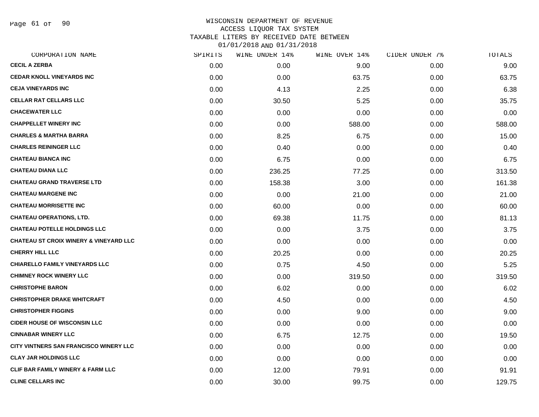Page 61 of 90

### WISCONSIN DEPARTMENT OF REVENUE ACCESS LIQUOR TAX SYSTEM TAXABLE LITERS BY RECEIVED DATE BETWEEN 01/01/2018 AND 01/31/2018

| CORPORATION NAME                                  | SPIRITS | WINE UNDER 14% | WINE OVER 14% | CIDER UNDER 7% | TOTALS |
|---------------------------------------------------|---------|----------------|---------------|----------------|--------|
| <b>CECIL A ZERBA</b>                              | 0.00    | 0.00           | 9.00          | 0.00           | 9.00   |
| <b>CEDAR KNOLL VINEYARDS INC</b>                  | 0.00    | 0.00           | 63.75         | 0.00           | 63.75  |
| <b>CEJA VINEYARDS INC</b>                         | 0.00    | 4.13           | 2.25          | 0.00           | 6.38   |
| <b>CELLAR RAT CELLARS LLC</b>                     | 0.00    | 30.50          | 5.25          | 0.00           | 35.75  |
| <b>CHACEWATER LLC</b>                             | 0.00    | 0.00           | 0.00          | 0.00           | 0.00   |
| <b>CHAPPELLET WINERY INC</b>                      | 0.00    | 0.00           | 588.00        | 0.00           | 588.00 |
| <b>CHARLES &amp; MARTHA BARRA</b>                 | 0.00    | 8.25           | 6.75          | 0.00           | 15.00  |
| <b>CHARLES REININGER LLC</b>                      | 0.00    | 0.40           | 0.00          | 0.00           | 0.40   |
| <b>CHATEAU BIANCA INC</b>                         | 0.00    | 6.75           | 0.00          | 0.00           | 6.75   |
| <b>CHATEAU DIANA LLC</b>                          | 0.00    | 236.25         | 77.25         | 0.00           | 313.50 |
| <b>CHATEAU GRAND TRAVERSE LTD</b>                 | 0.00    | 158.38         | 3.00          | 0.00           | 161.38 |
| <b>CHATEAU MARGENE INC</b>                        | 0.00    | 0.00           | 21.00         | 0.00           | 21.00  |
| <b>CHATEAU MORRISETTE INC</b>                     | 0.00    | 60.00          | 0.00          | 0.00           | 60.00  |
| <b>CHATEAU OPERATIONS, LTD.</b>                   | 0.00    | 69.38          | 11.75         | 0.00           | 81.13  |
| <b>CHATEAU POTELLE HOLDINGS LLC</b>               | 0.00    | 0.00           | 3.75          | 0.00           | 3.75   |
| <b>CHATEAU ST CROIX WINERY &amp; VINEYARD LLC</b> | 0.00    | 0.00           | 0.00          | 0.00           | 0.00   |
| <b>CHERRY HILL LLC</b>                            | 0.00    | 20.25          | 0.00          | 0.00           | 20.25  |
| <b>CHIARELLO FAMILY VINEYARDS LLC</b>             | 0.00    | 0.75           | 4.50          | 0.00           | 5.25   |
| <b>CHIMNEY ROCK WINERY LLC</b>                    | 0.00    | 0.00           | 319.50        | 0.00           | 319.50 |
| <b>CHRISTOPHE BARON</b>                           | 0.00    | 6.02           | 0.00          | 0.00           | 6.02   |
| <b>CHRISTOPHER DRAKE WHITCRAFT</b>                | 0.00    | 4.50           | 0.00          | 0.00           | 4.50   |
| <b>CHRISTOPHER FIGGINS</b>                        | 0.00    | 0.00           | 9.00          | 0.00           | 9.00   |
| <b>CIDER HOUSE OF WISCONSIN LLC</b>               | 0.00    | 0.00           | 0.00          | 0.00           | 0.00   |
| <b>CINNABAR WINERY LLC</b>                        | 0.00    | 6.75           | 12.75         | 0.00           | 19.50  |
| <b>CITY VINTNERS SAN FRANCISCO WINERY LLC</b>     | 0.00    | 0.00           | 0.00          | 0.00           | 0.00   |
| <b>CLAY JAR HOLDINGS LLC</b>                      | 0.00    | 0.00           | 0.00          | 0.00           | 0.00   |
| <b>CLIF BAR FAMILY WINERY &amp; FARM LLC</b>      | 0.00    | 12.00          | 79.91         | 0.00           | 91.91  |
| <b>CLINE CELLARS INC</b>                          | 0.00    | 30.00          | 99.75         | 0.00           | 129.75 |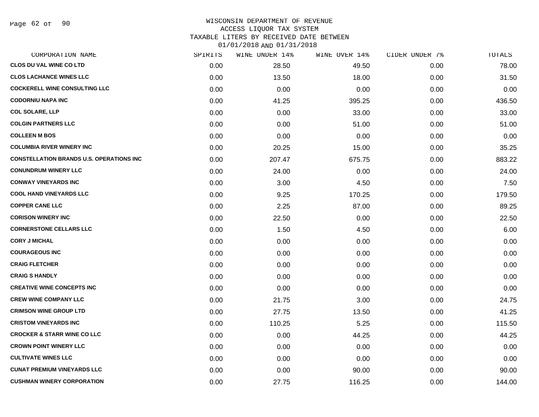#### WISCONSIN DEPARTMENT OF REVENUE ACCESS LIQUOR TAX SYSTEM

TAXABLE LITERS BY RECEIVED DATE BETWEEN

| CORPORATION NAME                                | SPIRITS | WINE UNDER 14% | WINE OVER 14% | CIDER UNDER 7% | TOTALS |
|-------------------------------------------------|---------|----------------|---------------|----------------|--------|
| <b>CLOS DU VAL WINE CO LTD</b>                  | 0.00    | 28.50          | 49.50         | 0.00           | 78.00  |
| <b>CLOS LACHANCE WINES LLC</b>                  | 0.00    | 13.50          | 18.00         | 0.00           | 31.50  |
| <b>COCKERELL WINE CONSULTING LLC</b>            | 0.00    | 0.00           | 0.00          | 0.00           | 0.00   |
| <b>CODORNIU NAPA INC</b>                        | 0.00    | 41.25          | 395.25        | 0.00           | 436.50 |
| <b>COL SOLARE, LLP</b>                          | 0.00    | 0.00           | 33.00         | 0.00           | 33.00  |
| <b>COLGIN PARTNERS LLC</b>                      | 0.00    | 0.00           | 51.00         | 0.00           | 51.00  |
| <b>COLLEEN M BOS</b>                            | 0.00    | 0.00           | 0.00          | 0.00           | 0.00   |
| <b>COLUMBIA RIVER WINERY INC</b>                | 0.00    | 20.25          | 15.00         | 0.00           | 35.25  |
| <b>CONSTELLATION BRANDS U.S. OPERATIONS INC</b> | 0.00    | 207.47         | 675.75        | 0.00           | 883.22 |
| <b>CONUNDRUM WINERY LLC</b>                     | 0.00    | 24.00          | 0.00          | 0.00           | 24.00  |
| <b>CONWAY VINEYARDS INC</b>                     | 0.00    | 3.00           | 4.50          | 0.00           | 7.50   |
| <b>COOL HAND VINEYARDS LLC</b>                  | 0.00    | 9.25           | 170.25        | 0.00           | 179.50 |
| <b>COPPER CANE LLC</b>                          | 0.00    | 2.25           | 87.00         | 0.00           | 89.25  |
| <b>CORISON WINERY INC</b>                       | 0.00    | 22.50          | 0.00          | 0.00           | 22.50  |
| <b>CORNERSTONE CELLARS LLC</b>                  | 0.00    | 1.50           | 4.50          | 0.00           | 6.00   |
| <b>CORY J MICHAL</b>                            | 0.00    | 0.00           | 0.00          | 0.00           | 0.00   |
| <b>COURAGEOUS INC</b>                           | 0.00    | 0.00           | 0.00          | 0.00           | 0.00   |
| <b>CRAIG FLETCHER</b>                           | 0.00    | 0.00           | 0.00          | 0.00           | 0.00   |
| <b>CRAIG S HANDLY</b>                           | 0.00    | 0.00           | 0.00          | 0.00           | 0.00   |
| <b>CREATIVE WINE CONCEPTS INC</b>               | 0.00    | 0.00           | 0.00          | 0.00           | 0.00   |
| <b>CREW WINE COMPANY LLC</b>                    | 0.00    | 21.75          | 3.00          | 0.00           | 24.75  |
| <b>CRIMSON WINE GROUP LTD</b>                   | 0.00    | 27.75          | 13.50         | 0.00           | 41.25  |
| <b>CRISTOM VINEYARDS INC</b>                    | 0.00    | 110.25         | 5.25          | 0.00           | 115.50 |
| <b>CROCKER &amp; STARR WINE CO LLC</b>          | 0.00    | 0.00           | 44.25         | 0.00           | 44.25  |
| <b>CROWN POINT WINERY LLC</b>                   | 0.00    | 0.00           | 0.00          | 0.00           | 0.00   |
| <b>CULTIVATE WINES LLC</b>                      | 0.00    | 0.00           | 0.00          | 0.00           | 0.00   |
| <b>CUNAT PREMIUM VINEYARDS LLC</b>              | 0.00    | 0.00           | 90.00         | 0.00           | 90.00  |
| <b>CUSHMAN WINERY CORPORATION</b>               | 0.00    | 27.75          | 116.25        | 0.00           | 144.00 |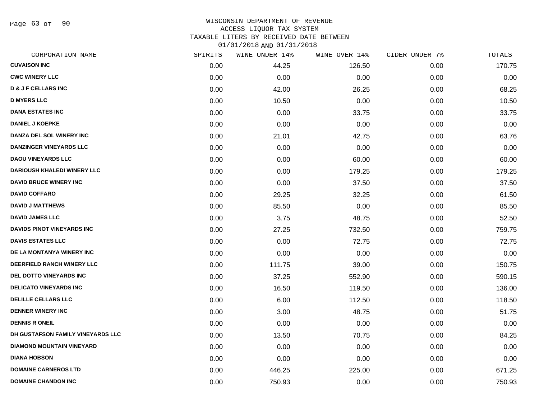Page 63 of 90

### WISCONSIN DEPARTMENT OF REVENUE ACCESS LIQUOR TAX SYSTEM TAXABLE LITERS BY RECEIVED DATE BETWEEN

| CORPORATION NAME                   | SPIRITS | WINE UNDER 14% | WINE OVER 14% | CIDER UNDER 7% | TOTALS |
|------------------------------------|---------|----------------|---------------|----------------|--------|
| <b>CUVAISON INC</b>                | 0.00    | 44.25          | 126.50        | 0.00           | 170.75 |
| <b>CWC WINERY LLC</b>              | 0.00    | 0.00           | 0.00          | 0.00           | 0.00   |
| <b>D &amp; J F CELLARS INC</b>     | 0.00    | 42.00          | 26.25         | 0.00           | 68.25  |
| <b>D MYERS LLC</b>                 | 0.00    | 10.50          | 0.00          | 0.00           | 10.50  |
| <b>DANA ESTATES INC</b>            | 0.00    | 0.00           | 33.75         | 0.00           | 33.75  |
| <b>DANIEL J KOEPKE</b>             | 0.00    | 0.00           | 0.00          | 0.00           | 0.00   |
| DANZA DEL SOL WINERY INC           | 0.00    | 21.01          | 42.75         | 0.00           | 63.76  |
| <b>DANZINGER VINEYARDS LLC</b>     | 0.00    | 0.00           | 0.00          | 0.00           | 0.00   |
| <b>DAOU VINEYARDS LLC</b>          | 0.00    | 0.00           | 60.00         | 0.00           | 60.00  |
| <b>DARIOUSH KHALEDI WINERY LLC</b> | 0.00    | 0.00           | 179.25        | 0.00           | 179.25 |
| <b>DAVID BRUCE WINERY INC</b>      | 0.00    | 0.00           | 37.50         | 0.00           | 37.50  |
| <b>DAVID COFFARO</b>               | 0.00    | 29.25          | 32.25         | 0.00           | 61.50  |
| <b>DAVID J MATTHEWS</b>            | 0.00    | 85.50          | 0.00          | 0.00           | 85.50  |
| <b>DAVID JAMES LLC</b>             | 0.00    | 3.75           | 48.75         | 0.00           | 52.50  |
| DAVIDS PINOT VINEYARDS INC         | 0.00    | 27.25          | 732.50        | 0.00           | 759.75 |
| <b>DAVIS ESTATES LLC</b>           | 0.00    | 0.00           | 72.75         | 0.00           | 72.75  |
| DE LA MONTANYA WINERY INC          | 0.00    | 0.00           | 0.00          | 0.00           | 0.00   |
| DEERFIELD RANCH WINERY LLC         | 0.00    | 111.75         | 39.00         | 0.00           | 150.75 |
| DEL DOTTO VINEYARDS INC            | 0.00    | 37.25          | 552.90        | 0.00           | 590.15 |
| <b>DELICATO VINEYARDS INC</b>      | 0.00    | 16.50          | 119.50        | 0.00           | 136.00 |
| <b>DELILLE CELLARS LLC</b>         | 0.00    | 6.00           | 112.50        | 0.00           | 118.50 |
| <b>DENNER WINERY INC</b>           | 0.00    | 3.00           | 48.75         | 0.00           | 51.75  |
| <b>DENNIS R ONEIL</b>              | 0.00    | 0.00           | 0.00          | 0.00           | 0.00   |
| DH GUSTAFSON FAMILY VINEYARDS LLC  | 0.00    | 13.50          | 70.75         | 0.00           | 84.25  |
| <b>DIAMOND MOUNTAIN VINEYARD</b>   | 0.00    | 0.00           | 0.00          | 0.00           | 0.00   |
| <b>DIANA HOBSON</b>                | 0.00    | 0.00           | 0.00          | 0.00           | 0.00   |
| <b>DOMAINE CARNEROS LTD</b>        | 0.00    | 446.25         | 225.00        | 0.00           | 671.25 |
| <b>DOMAINE CHANDON INC</b>         | 0.00    | 750.93         | 0.00          | 0.00           | 750.93 |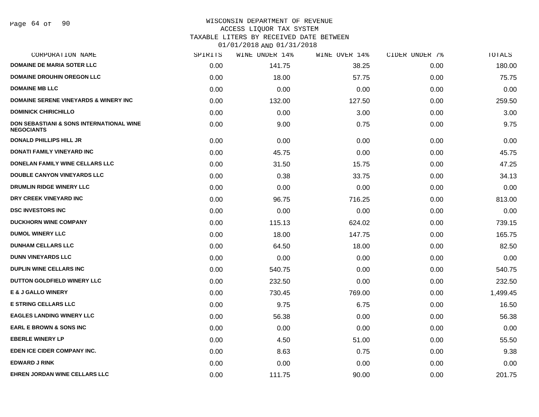# WISCONSIN DEPARTMENT OF REVENUE

ACCESS LIQUOR TAX SYSTEM

TAXABLE LITERS BY RECEIVED DATE BETWEEN

| CORPORATION NAME                                                         | SPIRITS | WINE UNDER 14% | WINE OVER 14% | CIDER UNDER 7% | TOTALS   |
|--------------------------------------------------------------------------|---------|----------------|---------------|----------------|----------|
| <b>DOMAINE DE MARIA SOTER LLC</b>                                        | 0.00    | 141.75         | 38.25         | 0.00           | 180.00   |
| <b>DOMAINE DROUHIN OREGON LLC</b>                                        | 0.00    | 18.00          | 57.75         | 0.00           | 75.75    |
| <b>DOMAINE MB LLC</b>                                                    | 0.00    | 0.00           | 0.00          | 0.00           | 0.00     |
| <b>DOMAINE SERENE VINEYARDS &amp; WINERY INC</b>                         | 0.00    | 132.00         | 127.50        | 0.00           | 259.50   |
| <b>DOMINICK CHIRICHILLO</b>                                              | 0.00    | 0.00           | 3.00          | 0.00           | 3.00     |
| <b>DON SEBASTIANI &amp; SONS INTERNATIONAL WINE</b><br><b>NEGOCIANTS</b> | 0.00    | 9.00           | 0.75          | 0.00           | 9.75     |
| <b>DONALD PHILLIPS HILL JR</b>                                           | 0.00    | 0.00           | 0.00          | 0.00           | 0.00     |
| <b>DONATI FAMILY VINEYARD INC</b>                                        | 0.00    | 45.75          | 0.00          | 0.00           | 45.75    |
| DONELAN FAMILY WINE CELLARS LLC                                          | 0.00    | 31.50          | 15.75         | 0.00           | 47.25    |
| DOUBLE CANYON VINEYARDS LLC                                              | 0.00    | 0.38           | 33.75         | 0.00           | 34.13    |
| DRUMLIN RIDGE WINERY LLC                                                 | 0.00    | 0.00           | 0.00          | 0.00           | 0.00     |
| DRY CREEK VINEYARD INC                                                   | 0.00    | 96.75          | 716.25        | 0.00           | 813.00   |
| <b>DSC INVESTORS INC</b>                                                 | 0.00    | 0.00           | 0.00          | 0.00           | 0.00     |
| <b>DUCKHORN WINE COMPANY</b>                                             | 0.00    | 115.13         | 624.02        | 0.00           | 739.15   |
| <b>DUMOL WINERY LLC</b>                                                  | 0.00    | 18.00          | 147.75        | 0.00           | 165.75   |
| <b>DUNHAM CELLARS LLC</b>                                                | 0.00    | 64.50          | 18.00         | 0.00           | 82.50    |
| <b>DUNN VINEYARDS LLC</b>                                                | 0.00    | 0.00           | 0.00          | 0.00           | 0.00     |
| <b>DUPLIN WINE CELLARS INC</b>                                           | 0.00    | 540.75         | 0.00          | 0.00           | 540.75   |
| DUTTON GOLDFIELD WINERY LLC                                              | 0.00    | 232.50         | 0.00          | 0.00           | 232.50   |
| <b>E &amp; J GALLO WINERY</b>                                            | 0.00    | 730.45         | 769.00        | 0.00           | 1,499.45 |
| <b>E STRING CELLARS LLC</b>                                              | 0.00    | 9.75           | 6.75          | 0.00           | 16.50    |
| <b>EAGLES LANDING WINERY LLC</b>                                         | 0.00    | 56.38          | 0.00          | 0.00           | 56.38    |
| <b>EARL E BROWN &amp; SONS INC</b>                                       | 0.00    | 0.00           | 0.00          | 0.00           | 0.00     |
| <b>EBERLE WINERY LP</b>                                                  | 0.00    | 4.50           | 51.00         | 0.00           | 55.50    |
| EDEN ICE CIDER COMPANY INC.                                              | 0.00    | 8.63           | 0.75          | 0.00           | 9.38     |
| <b>EDWARD J RINK</b>                                                     | 0.00    | 0.00           | 0.00          | 0.00           | 0.00     |
| <b>EHREN JORDAN WINE CELLARS LLC</b>                                     | 0.00    | 111.75         | 90.00         | 0.00           | 201.75   |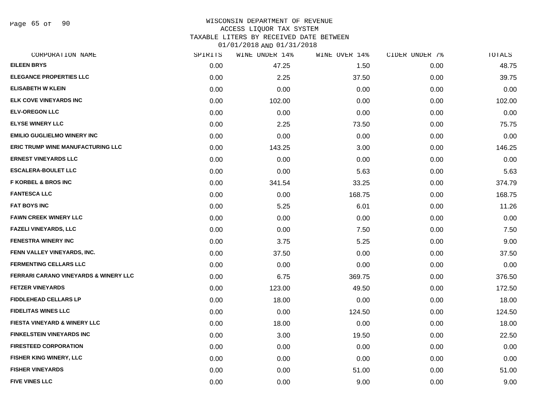Page 65 of 90

#### WISCONSIN DEPARTMENT OF REVENUE ACCESS LIQUOR TAX SYSTEM

TAXABLE LITERS BY RECEIVED DATE BETWEEN

| CORPORATION NAME                                 | SPIRITS | WINE UNDER 14% | WINE OVER 14% | CIDER UNDER 7% | TOTALS |
|--------------------------------------------------|---------|----------------|---------------|----------------|--------|
| <b>EILEEN BRYS</b>                               | 0.00    | 47.25          | 1.50          | 0.00           | 48.75  |
| <b>ELEGANCE PROPERTIES LLC</b>                   | 0.00    | 2.25           | 37.50         | 0.00           | 39.75  |
| <b>ELISABETH W KLEIN</b>                         | 0.00    | 0.00           | 0.00          | 0.00           | 0.00   |
| ELK COVE VINEYARDS INC                           | 0.00    | 102.00         | 0.00          | 0.00           | 102.00 |
| <b>ELV-OREGON LLC</b>                            | 0.00    | 0.00           | 0.00          | 0.00           | 0.00   |
| <b>ELYSE WINERY LLC</b>                          | 0.00    | 2.25           | 73.50         | 0.00           | 75.75  |
| <b>EMILIO GUGLIELMO WINERY INC</b>               | 0.00    | 0.00           | 0.00          | 0.00           | 0.00   |
| <b>ERIC TRUMP WINE MANUFACTURING LLC</b>         | 0.00    | 143.25         | 3.00          | 0.00           | 146.25 |
| <b>ERNEST VINEYARDS LLC</b>                      | 0.00    | 0.00           | 0.00          | 0.00           | 0.00   |
| <b>ESCALERA-BOULET LLC</b>                       | 0.00    | 0.00           | 5.63          | 0.00           | 5.63   |
| <b>F KORBEL &amp; BROS INC</b>                   | 0.00    | 341.54         | 33.25         | 0.00           | 374.79 |
| <b>FANTESCA LLC</b>                              | 0.00    | 0.00           | 168.75        | 0.00           | 168.75 |
| <b>FAT BOYS INC</b>                              | 0.00    | 5.25           | 6.01          | 0.00           | 11.26  |
| <b>FAWN CREEK WINERY LLC</b>                     | 0.00    | 0.00           | 0.00          | 0.00           | 0.00   |
| <b>FAZELI VINEYARDS, LLC</b>                     | 0.00    | 0.00           | 7.50          | 0.00           | 7.50   |
| <b>FENESTRA WINERY INC</b>                       | 0.00    | 3.75           | 5.25          | 0.00           | 9.00   |
| FENN VALLEY VINEYARDS, INC.                      | 0.00    | 37.50          | 0.00          | 0.00           | 37.50  |
| <b>FERMENTING CELLARS LLC</b>                    | 0.00    | 0.00           | 0.00          | 0.00           | 0.00   |
| <b>FERRARI CARANO VINEYARDS &amp; WINERY LLC</b> | 0.00    | 6.75           | 369.75        | 0.00           | 376.50 |
| <b>FETZER VINEYARDS</b>                          | 0.00    | 123.00         | 49.50         | 0.00           | 172.50 |
| <b>FIDDLEHEAD CELLARS LP</b>                     | 0.00    | 18.00          | 0.00          | 0.00           | 18.00  |
| <b>FIDELITAS WINES LLC</b>                       | 0.00    | 0.00           | 124.50        | 0.00           | 124.50 |
| FIESTA VINEYARD & WINERY LLC                     | 0.00    | 18.00          | 0.00          | 0.00           | 18.00  |
| <b>FINKELSTEIN VINEYARDS INC</b>                 | 0.00    | 3.00           | 19.50         | 0.00           | 22.50  |
| <b>FIRESTEED CORPORATION</b>                     | 0.00    | 0.00           | 0.00          | 0.00           | 0.00   |
| <b>FISHER KING WINERY, LLC</b>                   | 0.00    | 0.00           | 0.00          | 0.00           | 0.00   |
| <b>FISHER VINEYARDS</b>                          | 0.00    | 0.00           | 51.00         | 0.00           | 51.00  |
| <b>FIVE VINES LLC</b>                            | 0.00    | 0.00           | 9.00          | 0.00           | 9.00   |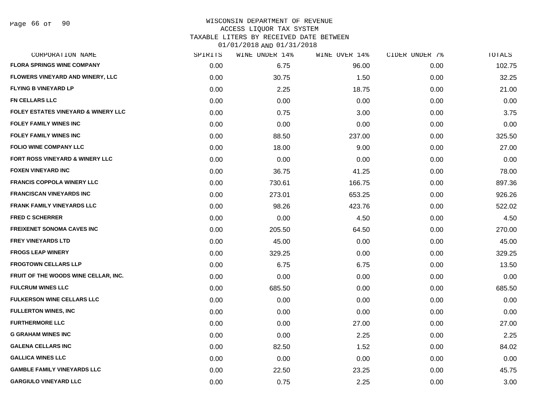### WISCONSIN DEPARTMENT OF REVENUE ACCESS LIQUOR TAX SYSTEM TAXABLE LITERS BY RECEIVED DATE BETWEEN

| CORPORATION NAME                               | SPIRITS | WINE UNDER 14% | WINE OVER 14% | CIDER UNDER 7% | TOTALS |
|------------------------------------------------|---------|----------------|---------------|----------------|--------|
| <b>FLORA SPRINGS WINE COMPANY</b>              | 0.00    | 6.75           | 96.00         | 0.00           | 102.75 |
| <b>FLOWERS VINEYARD AND WINERY, LLC</b>        | 0.00    | 30.75          | 1.50          | 0.00           | 32.25  |
| <b>FLYING B VINEYARD LP</b>                    | 0.00    | 2.25           | 18.75         | 0.00           | 21.00  |
| <b>FN CELLARS LLC</b>                          | 0.00    | 0.00           | 0.00          | 0.00           | 0.00   |
| <b>FOLEY ESTATES VINEYARD &amp; WINERY LLC</b> | 0.00    | 0.75           | 3.00          | 0.00           | 3.75   |
| <b>FOLEY FAMILY WINES INC</b>                  | 0.00    | 0.00           | 0.00          | 0.00           | 0.00   |
| <b>FOLEY FAMILY WINES INC</b>                  | 0.00    | 88.50          | 237.00        | 0.00           | 325.50 |
| <b>FOLIO WINE COMPANY LLC</b>                  | 0.00    | 18.00          | 9.00          | 0.00           | 27.00  |
| <b>FORT ROSS VINEYARD &amp; WINERY LLC</b>     | 0.00    | 0.00           | 0.00          | 0.00           | 0.00   |
| <b>FOXEN VINEYARD INC</b>                      | 0.00    | 36.75          | 41.25         | 0.00           | 78.00  |
| <b>FRANCIS COPPOLA WINERY LLC</b>              | 0.00    | 730.61         | 166.75        | 0.00           | 897.36 |
| <b>FRANCISCAN VINEYARDS INC</b>                | 0.00    | 273.01         | 653.25        | 0.00           | 926.26 |
| <b>FRANK FAMILY VINEYARDS LLC</b>              | 0.00    | 98.26          | 423.76        | 0.00           | 522.02 |
| <b>FRED C SCHERRER</b>                         | 0.00    | 0.00           | 4.50          | 0.00           | 4.50   |
| <b>FREIXENET SONOMA CAVES INC</b>              | 0.00    | 205.50         | 64.50         | 0.00           | 270.00 |
| <b>FREY VINEYARDS LTD</b>                      | 0.00    | 45.00          | 0.00          | 0.00           | 45.00  |
| <b>FROGS LEAP WINERY</b>                       | 0.00    | 329.25         | 0.00          | 0.00           | 329.25 |
| <b>FROGTOWN CELLARS LLP</b>                    | 0.00    | 6.75           | 6.75          | 0.00           | 13.50  |
| FRUIT OF THE WOODS WINE CELLAR, INC.           | 0.00    | 0.00           | 0.00          | 0.00           | 0.00   |
| <b>FULCRUM WINES LLC</b>                       | 0.00    | 685.50         | 0.00          | 0.00           | 685.50 |
| <b>FULKERSON WINE CELLARS LLC</b>              | 0.00    | 0.00           | 0.00          | 0.00           | 0.00   |
| <b>FULLERTON WINES, INC</b>                    | 0.00    | 0.00           | 0.00          | 0.00           | 0.00   |
| <b>FURTHERMORE LLC</b>                         | 0.00    | 0.00           | 27.00         | 0.00           | 27.00  |
| <b>G GRAHAM WINES INC</b>                      | 0.00    | 0.00           | 2.25          | 0.00           | 2.25   |
| <b>GALENA CELLARS INC</b>                      | 0.00    | 82.50          | 1.52          | 0.00           | 84.02  |
| <b>GALLICA WINES LLC</b>                       | 0.00    | 0.00           | 0.00          | 0.00           | 0.00   |
| <b>GAMBLE FAMILY VINEYARDS LLC</b>             | 0.00    | 22.50          | 23.25         | 0.00           | 45.75  |
| <b>GARGIULO VINEYARD LLC</b>                   | 0.00    | 0.75           | 2.25          | 0.00           | 3.00   |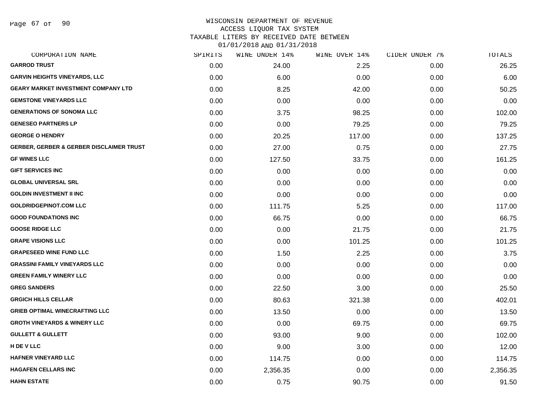Page 67 of 90

### WISCONSIN DEPARTMENT OF REVENUE ACCESS LIQUOR TAX SYSTEM

TAXABLE LITERS BY RECEIVED DATE BETWEEN

| CORPORATION NAME                                    | SPIRITS | WINE UNDER 14% | WINE OVER 14% | CIDER UNDER 7% | TOTALS   |
|-----------------------------------------------------|---------|----------------|---------------|----------------|----------|
| <b>GARROD TRUST</b>                                 | 0.00    | 24.00          | 2.25          | 0.00           | 26.25    |
| <b>GARVIN HEIGHTS VINEYARDS, LLC</b>                | 0.00    | 6.00           | 0.00          | 0.00           | 6.00     |
| <b>GEARY MARKET INVESTMENT COMPANY LTD</b>          | 0.00    | 8.25           | 42.00         | 0.00           | 50.25    |
| <b>GEMSTONE VINEYARDS LLC</b>                       | 0.00    | 0.00           | 0.00          | 0.00           | 0.00     |
| <b>GENERATIONS OF SONOMA LLC</b>                    | 0.00    | 3.75           | 98.25         | 0.00           | 102.00   |
| <b>GENESEO PARTNERS LP</b>                          | 0.00    | 0.00           | 79.25         | 0.00           | 79.25    |
| <b>GEORGE O HENDRY</b>                              | 0.00    | 20.25          | 117.00        | 0.00           | 137.25   |
| <b>GERBER, GERBER &amp; GERBER DISCLAIMER TRUST</b> | 0.00    | 27.00          | 0.75          | 0.00           | 27.75    |
| <b>GF WINES LLC</b>                                 | 0.00    | 127.50         | 33.75         | 0.00           | 161.25   |
| <b>GIFT SERVICES INC</b>                            | 0.00    | 0.00           | 0.00          | 0.00           | 0.00     |
| <b>GLOBAL UNIVERSAL SRL</b>                         | 0.00    | 0.00           | 0.00          | 0.00           | 0.00     |
| <b>GOLDIN INVESTMENT II INC</b>                     | 0.00    | 0.00           | 0.00          | 0.00           | 0.00     |
| <b>GOLDRIDGEPINOT.COM LLC</b>                       | 0.00    | 111.75         | 5.25          | 0.00           | 117.00   |
| <b>GOOD FOUNDATIONS INC</b>                         | 0.00    | 66.75          | 0.00          | 0.00           | 66.75    |
| <b>GOOSE RIDGE LLC</b>                              | 0.00    | 0.00           | 21.75         | 0.00           | 21.75    |
| <b>GRAPE VISIONS LLC</b>                            | 0.00    | 0.00           | 101.25        | 0.00           | 101.25   |
| <b>GRAPESEED WINE FUND LLC</b>                      | 0.00    | 1.50           | 2.25          | 0.00           | 3.75     |
| <b>GRASSINI FAMILY VINEYARDS LLC</b>                | 0.00    | 0.00           | 0.00          | 0.00           | 0.00     |
| <b>GREEN FAMILY WINERY LLC</b>                      | 0.00    | 0.00           | 0.00          | 0.00           | 0.00     |
| <b>GREG SANDERS</b>                                 | 0.00    | 22.50          | 3.00          | 0.00           | 25.50    |
| <b>GRGICH HILLS CELLAR</b>                          | 0.00    | 80.63          | 321.38        | 0.00           | 402.01   |
| <b>GRIEB OPTIMAL WINECRAFTING LLC</b>               | 0.00    | 13.50          | 0.00          | 0.00           | 13.50    |
| <b>GROTH VINEYARDS &amp; WINERY LLC</b>             | 0.00    | 0.00           | 69.75         | 0.00           | 69.75    |
| <b>GULLETT &amp; GULLETT</b>                        | 0.00    | 93.00          | 9.00          | 0.00           | 102.00   |
| H DE V LLC                                          | 0.00    | 9.00           | 3.00          | 0.00           | 12.00    |
| <b>HAFNER VINEYARD LLC</b>                          | 0.00    | 114.75         | 0.00          | 0.00           | 114.75   |
| <b>HAGAFEN CELLARS INC</b>                          | 0.00    | 2,356.35       | 0.00          | 0.00           | 2,356.35 |
| <b>HAHN ESTATE</b>                                  | 0.00    | 0.75           | 90.75         | 0.00           | 91.50    |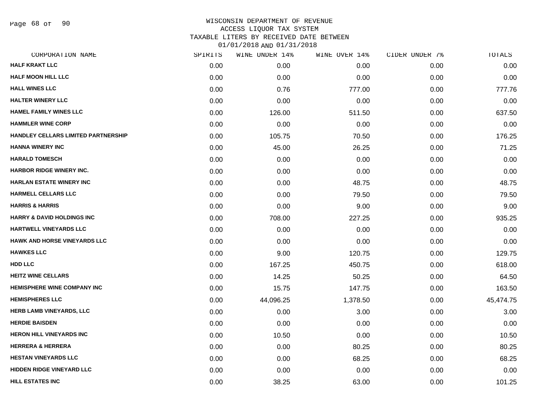Page 68 of 90

#### WISCONSIN DEPARTMENT OF REVENUE ACCESS LIQUOR TAX SYSTEM

TAXABLE LITERS BY RECEIVED DATE BETWEEN

| CORPORATION NAME                      | SPIRITS | WINE UNDER 14% | WINE OVER 14% | CIDER UNDER 7% | TOTALS    |
|---------------------------------------|---------|----------------|---------------|----------------|-----------|
| <b>HALF KRAKT LLC</b>                 | 0.00    | 0.00           | 0.00          | 0.00           | 0.00      |
| <b>HALF MOON HILL LLC</b>             | 0.00    | 0.00           | 0.00          | 0.00           | 0.00      |
| <b>HALL WINES LLC</b>                 | 0.00    | 0.76           | 777.00        | 0.00           | 777.76    |
| <b>HALTER WINERY LLC</b>              | 0.00    | 0.00           | 0.00          | 0.00           | 0.00      |
| <b>HAMEL FAMILY WINES LLC</b>         | 0.00    | 126.00         | 511.50        | 0.00           | 637.50    |
| <b>HAMMLER WINE CORP</b>              | 0.00    | 0.00           | 0.00          | 0.00           | 0.00      |
| HANDLEY CELLARS LIMITED PARTNERSHIP   | 0.00    | 105.75         | 70.50         | 0.00           | 176.25    |
| <b>HANNA WINERY INC</b>               | 0.00    | 45.00          | 26.25         | 0.00           | 71.25     |
| <b>HARALD TOMESCH</b>                 | 0.00    | 0.00           | 0.00          | 0.00           | 0.00      |
| HARBOR RIDGE WINERY INC.              | 0.00    | 0.00           | 0.00          | 0.00           | 0.00      |
| <b>HARLAN ESTATE WINERY INC</b>       | 0.00    | 0.00           | 48.75         | 0.00           | 48.75     |
| <b>HARMELL CELLARS LLC</b>            | 0.00    | 0.00           | 79.50         | 0.00           | 79.50     |
| <b>HARRIS &amp; HARRIS</b>            | 0.00    | 0.00           | 9.00          | 0.00           | 9.00      |
| <b>HARRY &amp; DAVID HOLDINGS INC</b> | 0.00    | 708.00         | 227.25        | 0.00           | 935.25    |
| HARTWELL VINEYARDS LLC                | 0.00    | 0.00           | 0.00          | 0.00           | 0.00      |
| <b>HAWK AND HORSE VINEYARDS LLC</b>   | 0.00    | 0.00           | 0.00          | 0.00           | 0.00      |
| <b>HAWKES LLC</b>                     | 0.00    | 9.00           | 120.75        | 0.00           | 129.75    |
| <b>HDD LLC</b>                        | 0.00    | 167.25         | 450.75        | 0.00           | 618.00    |
| <b>HEITZ WINE CELLARS</b>             | 0.00    | 14.25          | 50.25         | 0.00           | 64.50     |
| <b>HEMISPHERE WINE COMPANY INC</b>    | 0.00    | 15.75          | 147.75        | 0.00           | 163.50    |
| <b>HEMISPHERES LLC</b>                | 0.00    | 44,096.25      | 1,378.50      | 0.00           | 45,474.75 |
| HERB LAMB VINEYARDS, LLC              | 0.00    | 0.00           | 3.00          | 0.00           | 3.00      |
| <b>HERDIE BAISDEN</b>                 | 0.00    | 0.00           | 0.00          | 0.00           | 0.00      |
| <b>HERON HILL VINEYARDS INC</b>       | 0.00    | 10.50          | 0.00          | 0.00           | 10.50     |
| <b>HERRERA &amp; HERRERA</b>          | 0.00    | 0.00           | 80.25         | 0.00           | 80.25     |
| <b>HESTAN VINEYARDS LLC</b>           | 0.00    | 0.00           | 68.25         | 0.00           | 68.25     |
| <b>HIDDEN RIDGE VINEYARD LLC</b>      | 0.00    | 0.00           | 0.00          | 0.00           | 0.00      |
| <b>HILL ESTATES INC</b>               | 0.00    | 38.25          | 63.00         | 0.00           | 101.25    |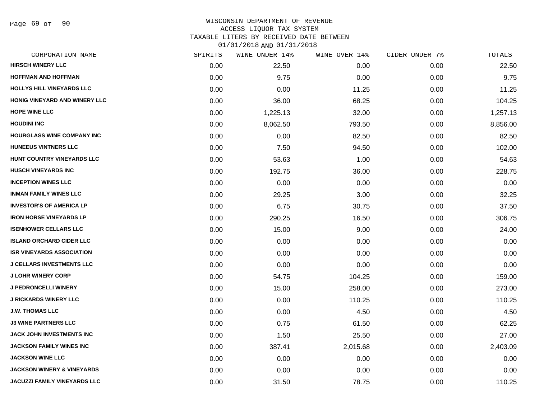Page 69 of 90

### WISCONSIN DEPARTMENT OF REVENUE ACCESS LIQUOR TAX SYSTEM TAXABLE LITERS BY RECEIVED DATE BETWEEN

| CORPORATION NAME                      | SPIRITS | WINE UNDER 14% | WINE OVER 14% | CIDER UNDER 7% | TOTALS   |
|---------------------------------------|---------|----------------|---------------|----------------|----------|
| <b>HIRSCH WINERY LLC</b>              | 0.00    | 22.50          | 0.00          | 0.00           | 22.50    |
| <b>HOFFMAN AND HOFFMAN</b>            | 0.00    | 9.75           | 0.00          | 0.00           | 9.75     |
| <b>HOLLYS HILL VINEYARDS LLC</b>      | 0.00    | 0.00           | 11.25         | 0.00           | 11.25    |
| HONIG VINEYARD AND WINERY LLC         | 0.00    | 36.00          | 68.25         | 0.00           | 104.25   |
| <b>HOPE WINE LLC</b>                  | 0.00    | 1,225.13       | 32.00         | 0.00           | 1,257.13 |
| <b>HOUDINI INC</b>                    | 0.00    | 8,062.50       | 793.50        | 0.00           | 8,856.00 |
| <b>HOURGLASS WINE COMPANY INC</b>     | 0.00    | 0.00           | 82.50         | 0.00           | 82.50    |
| <b>HUNEEUS VINTNERS LLC</b>           | 0.00    | 7.50           | 94.50         | 0.00           | 102.00   |
| HUNT COUNTRY VINEYARDS LLC            | 0.00    | 53.63          | 1.00          | 0.00           | 54.63    |
| <b>HUSCH VINEYARDS INC</b>            | 0.00    | 192.75         | 36.00         | 0.00           | 228.75   |
| <b>INCEPTION WINES LLC</b>            | 0.00    | 0.00           | 0.00          | 0.00           | 0.00     |
| <b>INMAN FAMILY WINES LLC</b>         | 0.00    | 29.25          | 3.00          | 0.00           | 32.25    |
| <b>INVESTOR'S OF AMERICA LP</b>       | 0.00    | 6.75           | 30.75         | 0.00           | 37.50    |
| <b>IRON HORSE VINEYARDS LP</b>        | 0.00    | 290.25         | 16.50         | 0.00           | 306.75   |
| <b>ISENHOWER CELLARS LLC</b>          | 0.00    | 15.00          | 9.00          | 0.00           | 24.00    |
| <b>ISLAND ORCHARD CIDER LLC</b>       | 0.00    | 0.00           | 0.00          | 0.00           | 0.00     |
| <b>ISR VINEYARDS ASSOCIATION</b>      | 0.00    | 0.00           | 0.00          | 0.00           | 0.00     |
| <b>J CELLARS INVESTMENTS LLC</b>      | 0.00    | 0.00           | 0.00          | 0.00           | 0.00     |
| <b>J LOHR WINERY CORP</b>             | 0.00    | 54.75          | 104.25        | 0.00           | 159.00   |
| <b>J PEDRONCELLI WINERY</b>           | 0.00    | 15.00          | 258.00        | 0.00           | 273.00   |
| <b>J RICKARDS WINERY LLC</b>          | 0.00    | 0.00           | 110.25        | 0.00           | 110.25   |
| <b>J.W. THOMAS LLC</b>                | 0.00    | 0.00           | 4.50          | 0.00           | 4.50     |
| <b>J3 WINE PARTNERS LLC</b>           | 0.00    | 0.75           | 61.50         | 0.00           | 62.25    |
| <b>JACK JOHN INVESTMENTS INC</b>      | 0.00    | 1.50           | 25.50         | 0.00           | 27.00    |
| <b>JACKSON FAMILY WINES INC</b>       | 0.00    | 387.41         | 2,015.68      | 0.00           | 2,403.09 |
| <b>JACKSON WINE LLC</b>               | 0.00    | 0.00           | 0.00          | 0.00           | 0.00     |
| <b>JACKSON WINERY &amp; VINEYARDS</b> | 0.00    | 0.00           | 0.00          | 0.00           | 0.00     |
| <b>JACUZZI FAMILY VINEYARDS LLC</b>   | 0.00    | 31.50          | 78.75         | 0.00           | 110.25   |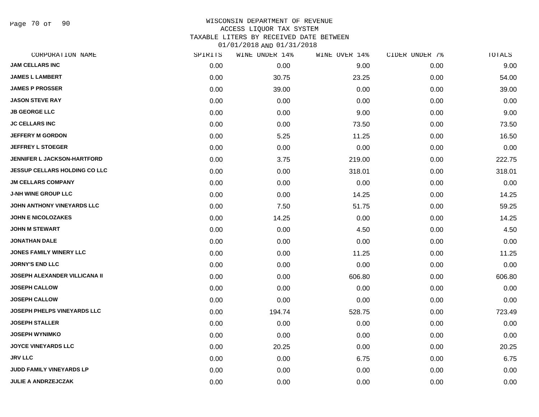Page 70 of 90

### WISCONSIN DEPARTMENT OF REVENUE ACCESS LIQUOR TAX SYSTEM TAXABLE LITERS BY RECEIVED DATE BETWEEN

| CORPORATION NAME                     | SPIRITS | WINE UNDER 14% | WINE OVER 14% | CIDER UNDER 7% | TOTALS |
|--------------------------------------|---------|----------------|---------------|----------------|--------|
| <b>JAM CELLARS INC</b>               | 0.00    | 0.00           | 9.00          | 0.00           | 9.00   |
| <b>JAMES L LAMBERT</b>               | 0.00    | 30.75          | 23.25         | 0.00           | 54.00  |
| <b>JAMES P PROSSER</b>               | 0.00    | 39.00          | 0.00          | 0.00           | 39.00  |
| <b>JASON STEVE RAY</b>               | 0.00    | 0.00           | 0.00          | 0.00           | 0.00   |
| <b>JB GEORGE LLC</b>                 | 0.00    | 0.00           | 9.00          | 0.00           | 9.00   |
| <b>JC CELLARS INC</b>                | 0.00    | 0.00           | 73.50         | 0.00           | 73.50  |
| <b>JEFFERY M GORDON</b>              | 0.00    | 5.25           | 11.25         | 0.00           | 16.50  |
| <b>JEFFREY L STOEGER</b>             | 0.00    | 0.00           | 0.00          | 0.00           | 0.00   |
| <b>JENNIFER L JACKSON-HARTFORD</b>   | 0.00    | 3.75           | 219.00        | 0.00           | 222.75 |
| <b>JESSUP CELLARS HOLDING CO LLC</b> | 0.00    | 0.00           | 318.01        | 0.00           | 318.01 |
| <b>JM CELLARS COMPANY</b>            | 0.00    | 0.00           | 0.00          | 0.00           | 0.00   |
| <b>J-NH WINE GROUP LLC</b>           | 0.00    | 0.00           | 14.25         | 0.00           | 14.25  |
| JOHN ANTHONY VINEYARDS LLC           | 0.00    | 7.50           | 51.75         | 0.00           | 59.25  |
| <b>JOHN E NICOLOZAKES</b>            | 0.00    | 14.25          | 0.00          | 0.00           | 14.25  |
| <b>JOHN M STEWART</b>                | 0.00    | 0.00           | 4.50          | 0.00           | 4.50   |
| <b>JONATHAN DALE</b>                 | 0.00    | 0.00           | 0.00          | 0.00           | 0.00   |
| <b>JONES FAMILY WINERY LLC</b>       | 0.00    | 0.00           | 11.25         | 0.00           | 11.25  |
| <b>JORNY'S END LLC</b>               | 0.00    | 0.00           | 0.00          | 0.00           | 0.00   |
| <b>JOSEPH ALEXANDER VILLICANA II</b> | 0.00    | 0.00           | 606.80        | 0.00           | 606.80 |
| <b>JOSEPH CALLOW</b>                 | 0.00    | 0.00           | 0.00          | 0.00           | 0.00   |
| <b>JOSEPH CALLOW</b>                 | 0.00    | 0.00           | 0.00          | 0.00           | 0.00   |
| <b>JOSEPH PHELPS VINEYARDS LLC</b>   | 0.00    | 194.74         | 528.75        | 0.00           | 723.49 |
| <b>JOSEPH STALLER</b>                | 0.00    | 0.00           | 0.00          | 0.00           | 0.00   |
| <b>JOSEPH WYNIMKO</b>                | 0.00    | 0.00           | 0.00          | 0.00           | 0.00   |
| <b>JOYCE VINEYARDS LLC</b>           | 0.00    | 20.25          | 0.00          | 0.00           | 20.25  |
| <b>JRV LLC</b>                       | 0.00    | 0.00           | 6.75          | 0.00           | 6.75   |
| JUDD FAMILY VINEYARDS LP             | 0.00    | 0.00           | 0.00          | 0.00           | 0.00   |
| <b>JULIE A ANDRZEJCZAK</b>           | 0.00    | 0.00           | 0.00          | 0.00           | 0.00   |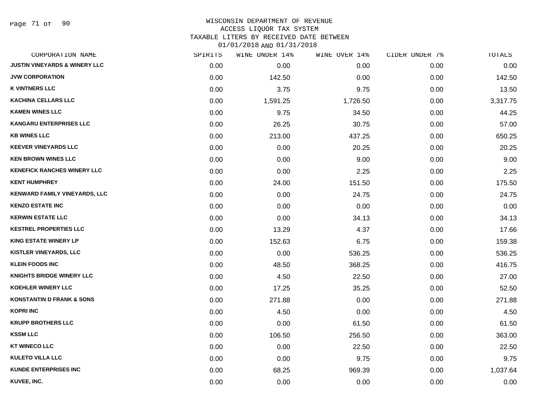Page 71 of 90

#### WISCONSIN DEPARTMENT OF REVENUE ACCESS LIQUOR TAX SYSTEM

TAXABLE LITERS BY RECEIVED DATE BETWEEN

| CORPORATION NAME                         | SPIRITS | WINE UNDER 14% | WINE OVER 14% | CIDER UNDER 7% | TOTALS   |
|------------------------------------------|---------|----------------|---------------|----------------|----------|
| <b>JUSTIN VINEYARDS &amp; WINERY LLC</b> | 0.00    | 0.00           | 0.00          | 0.00           | 0.00     |
| <b>JVW CORPORATION</b>                   | 0.00    | 142.50         | 0.00          | 0.00           | 142.50   |
| <b>K VINTNERS LLC</b>                    | 0.00    | 3.75           | 9.75          | 0.00           | 13.50    |
| <b>KACHINA CELLARS LLC</b>               | 0.00    | 1,591.25       | 1,726.50      | 0.00           | 3,317.75 |
| <b>KAMEN WINES LLC</b>                   | 0.00    | 9.75           | 34.50         | 0.00           | 44.25    |
| <b>KANGARU ENTERPRISES LLC</b>           | 0.00    | 26.25          | 30.75         | 0.00           | 57.00    |
| <b>KB WINES LLC</b>                      | 0.00    | 213.00         | 437.25        | 0.00           | 650.25   |
| <b>KEEVER VINEYARDS LLC</b>              | 0.00    | 0.00           | 20.25         | 0.00           | 20.25    |
| <b>KEN BROWN WINES LLC</b>               | 0.00    | 0.00           | 9.00          | 0.00           | 9.00     |
| <b>KENEFICK RANCHES WINERY LLC</b>       | 0.00    | 0.00           | 2.25          | 0.00           | 2.25     |
| <b>KENT HUMPHREY</b>                     | 0.00    | 24.00          | 151.50        | 0.00           | 175.50   |
| KENWARD FAMILY VINEYARDS, LLC            | 0.00    | 0.00           | 24.75         | 0.00           | 24.75    |
| <b>KENZO ESTATE INC</b>                  | 0.00    | 0.00           | 0.00          | 0.00           | 0.00     |
| <b>KERWIN ESTATE LLC</b>                 | 0.00    | 0.00           | 34.13         | 0.00           | 34.13    |
| <b>KESTREL PROPERTIES LLC</b>            | 0.00    | 13.29          | 4.37          | 0.00           | 17.66    |
| <b>KING ESTATE WINERY LP</b>             | 0.00    | 152.63         | 6.75          | 0.00           | 159.38   |
| <b>KISTLER VINEYARDS, LLC</b>            | 0.00    | 0.00           | 536.25        | 0.00           | 536.25   |
| <b>KLEIN FOODS INC</b>                   | 0.00    | 48.50          | 368.25        | 0.00           | 416.75   |
| <b>KNIGHTS BRIDGE WINERY LLC</b>         | 0.00    | 4.50           | 22.50         | 0.00           | 27.00    |
| <b>KOEHLER WINERY LLC</b>                | 0.00    | 17.25          | 35.25         | 0.00           | 52.50    |
| <b>KONSTANTIN D FRANK &amp; SONS</b>     | 0.00    | 271.88         | 0.00          | 0.00           | 271.88   |
| <b>KOPRI INC</b>                         | 0.00    | 4.50           | 0.00          | 0.00           | 4.50     |
| <b>KRUPP BROTHERS LLC</b>                | 0.00    | 0.00           | 61.50         | 0.00           | 61.50    |
| <b>KSSM LLC</b>                          | 0.00    | 106.50         | 256.50        | 0.00           | 363.00   |
| <b>KT WINECO LLC</b>                     | 0.00    | 0.00           | 22.50         | 0.00           | 22.50    |
| <b>KULETO VILLA LLC</b>                  | 0.00    | 0.00           | 9.75          | 0.00           | 9.75     |
| <b>KUNDE ENTERPRISES INC</b>             | 0.00    | 68.25          | 969.39        | 0.00           | 1,037.64 |
| KUVEE, INC.                              | 0.00    | 0.00           | 0.00          | 0.00           | 0.00     |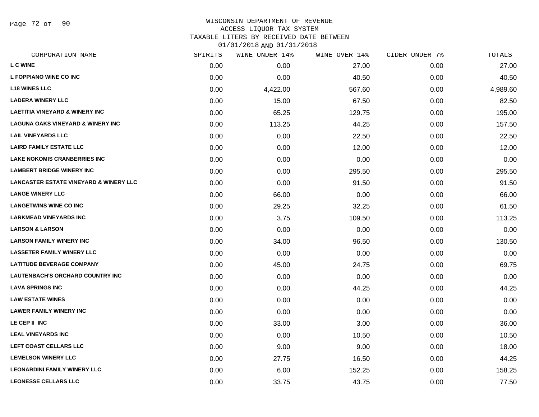Page 72 of 90

### WISCONSIN DEPARTMENT OF REVENUE ACCESS LIQUOR TAX SYSTEM TAXABLE LITERS BY RECEIVED DATE BETWEEN

| CORPORATION NAME                                  | SPIRITS | WINE UNDER 14% | WINE OVER 14% | CIDER UNDER 7% | TOTALS   |
|---------------------------------------------------|---------|----------------|---------------|----------------|----------|
| <b>LCWINE</b>                                     | 0.00    | 0.00           | 27.00         | 0.00           | 27.00    |
| L FOPPIANO WINE CO INC                            | 0.00    | 0.00           | 40.50         | 0.00           | 40.50    |
| <b>L18 WINES LLC</b>                              | 0.00    | 4,422.00       | 567.60        | 0.00           | 4,989.60 |
| <b>LADERA WINERY LLC</b>                          | 0.00    | 15.00          | 67.50         | 0.00           | 82.50    |
| <b>LAETITIA VINEYARD &amp; WINERY INC</b>         | 0.00    | 65.25          | 129.75        | 0.00           | 195.00   |
| <b>LAGUNA OAKS VINEYARD &amp; WINERY INC</b>      | 0.00    | 113.25         | 44.25         | 0.00           | 157.50   |
| <b>LAIL VINEYARDS LLC</b>                         | 0.00    | 0.00           | 22.50         | 0.00           | 22.50    |
| <b>LAIRD FAMILY ESTATE LLC</b>                    | 0.00    | 0.00           | 12.00         | 0.00           | 12.00    |
| <b>LAKE NOKOMIS CRANBERRIES INC</b>               | 0.00    | 0.00           | 0.00          | 0.00           | 0.00     |
| <b>LAMBERT BRIDGE WINERY INC</b>                  | 0.00    | 0.00           | 295.50        | 0.00           | 295.50   |
| <b>LANCASTER ESTATE VINEYARD &amp; WINERY LLC</b> | 0.00    | 0.00           | 91.50         | 0.00           | 91.50    |
| <b>LANGE WINERY LLC</b>                           | 0.00    | 66.00          | 0.00          | 0.00           | 66.00    |
| <b>LANGETWINS WINE CO INC</b>                     | 0.00    | 29.25          | 32.25         | 0.00           | 61.50    |
| <b>LARKMEAD VINEYARDS INC</b>                     | 0.00    | 3.75           | 109.50        | 0.00           | 113.25   |
| <b>LARSON &amp; LARSON</b>                        | 0.00    | 0.00           | 0.00          | 0.00           | 0.00     |
| <b>LARSON FAMILY WINERY INC</b>                   | 0.00    | 34.00          | 96.50         | 0.00           | 130.50   |
| <b>LASSETER FAMILY WINERY LLC</b>                 | 0.00    | 0.00           | 0.00          | 0.00           | 0.00     |
| <b>LATITUDE BEVERAGE COMPANY</b>                  | 0.00    | 45.00          | 24.75         | 0.00           | 69.75    |
| LAUTENBACH'S ORCHARD COUNTRY INC                  | 0.00    | 0.00           | 0.00          | 0.00           | 0.00     |
| <b>LAVA SPRINGS INC</b>                           | 0.00    | 0.00           | 44.25         | 0.00           | 44.25    |
| <b>LAW ESTATE WINES</b>                           | 0.00    | 0.00           | 0.00          | 0.00           | 0.00     |
| <b>LAWER FAMILY WINERY INC</b>                    | 0.00    | 0.00           | 0.00          | 0.00           | 0.00     |
| LE CEP II INC                                     | 0.00    | 33.00          | 3.00          | 0.00           | 36.00    |
| <b>LEAL VINEYARDS INC</b>                         | 0.00    | 0.00           | 10.50         | 0.00           | 10.50    |
| LEFT COAST CELLARS LLC                            | 0.00    | 9.00           | 9.00          | 0.00           | 18.00    |
| <b>LEMELSON WINERY LLC</b>                        | 0.00    | 27.75          | 16.50         | 0.00           | 44.25    |
| <b>LEONARDINI FAMILY WINERY LLC</b>               | 0.00    | 6.00           | 152.25        | 0.00           | 158.25   |
| <b>LEONESSE CELLARS LLC</b>                       | 0.00    | 33.75          | 43.75         | 0.00           | 77.50    |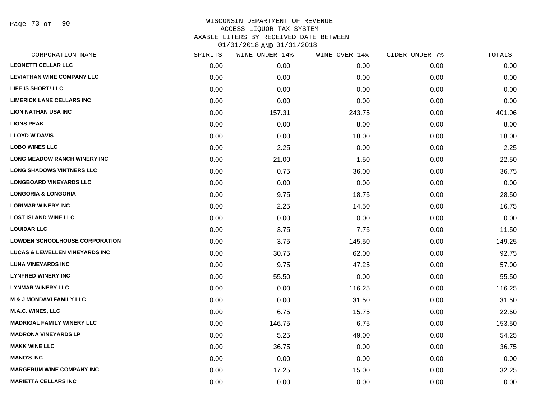Page 73 of 90

## WISCONSIN DEPARTMENT OF REVENUE ACCESS LIQUOR TAX SYSTEM TAXABLE LITERS BY RECEIVED DATE BETWEEN

| CORPORATION NAME                          | SPIRITS | WINE UNDER 14% | WINE OVER 14% | CIDER UNDER 7% | TOTALS |
|-------------------------------------------|---------|----------------|---------------|----------------|--------|
| <b>LEONETTI CELLAR LLC</b>                | 0.00    | 0.00           | 0.00          | 0.00           | 0.00   |
| <b>LEVIATHAN WINE COMPANY LLC</b>         | 0.00    | 0.00           | 0.00          | 0.00           | 0.00   |
| LIFE IS SHORT! LLC                        | 0.00    | 0.00           | 0.00          | 0.00           | 0.00   |
| <b>LIMERICK LANE CELLARS INC</b>          | 0.00    | 0.00           | 0.00          | 0.00           | 0.00   |
| <b>LION NATHAN USA INC</b>                | 0.00    | 157.31         | 243.75        | 0.00           | 401.06 |
| <b>LIONS PEAK</b>                         | 0.00    | 0.00           | 8.00          | 0.00           | 8.00   |
| <b>LLOYD W DAVIS</b>                      | 0.00    | 0.00           | 18.00         | 0.00           | 18.00  |
| <b>LOBO WINES LLC</b>                     | 0.00    | 2.25           | 0.00          | 0.00           | 2.25   |
| LONG MEADOW RANCH WINERY INC              | 0.00    | 21.00          | 1.50          | 0.00           | 22.50  |
| <b>LONG SHADOWS VINTNERS LLC</b>          | 0.00    | 0.75           | 36.00         | 0.00           | 36.75  |
| <b>LONGBOARD VINEYARDS LLC</b>            | 0.00    | 0.00           | 0.00          | 0.00           | 0.00   |
| <b>LONGORIA &amp; LONGORIA</b>            | 0.00    | 9.75           | 18.75         | 0.00           | 28.50  |
| <b>LORIMAR WINERY INC</b>                 | 0.00    | 2.25           | 14.50         | 0.00           | 16.75  |
| <b>LOST ISLAND WINE LLC</b>               | 0.00    | 0.00           | 0.00          | 0.00           | 0.00   |
| <b>LOUIDAR LLC</b>                        | 0.00    | 3.75           | 7.75          | 0.00           | 11.50  |
| <b>LOWDEN SCHOOLHOUSE CORPORATION</b>     | 0.00    | 3.75           | 145.50        | 0.00           | 149.25 |
| <b>LUCAS &amp; LEWELLEN VINEYARDS INC</b> | 0.00    | 30.75          | 62.00         | 0.00           | 92.75  |
| <b>LUNA VINEYARDS INC</b>                 | 0.00    | 9.75           | 47.25         | 0.00           | 57.00  |
| <b>LYNFRED WINERY INC</b>                 | 0.00    | 55.50          | 0.00          | 0.00           | 55.50  |
| <b>LYNMAR WINERY LLC</b>                  | 0.00    | 0.00           | 116.25        | 0.00           | 116.25 |
| <b>M &amp; J MONDAVI FAMILY LLC</b>       | 0.00    | 0.00           | 31.50         | 0.00           | 31.50  |
| M.A.C. WINES, LLC                         | 0.00    | 6.75           | 15.75         | 0.00           | 22.50  |
| <b>MADRIGAL FAMILY WINERY LLC</b>         | 0.00    | 146.75         | 6.75          | 0.00           | 153.50 |
| <b>MADRONA VINEYARDS LP</b>               | 0.00    | 5.25           | 49.00         | 0.00           | 54.25  |
| <b>MAKK WINE LLC</b>                      | 0.00    | 36.75          | 0.00          | 0.00           | 36.75  |
| <b>MANO'S INC</b>                         | 0.00    | 0.00           | 0.00          | 0.00           | 0.00   |
| <b>MARGERUM WINE COMPANY INC</b>          | 0.00    | 17.25          | 15.00         | 0.00           | 32.25  |
| <b>MARIETTA CELLARS INC</b>               | 0.00    | 0.00           | 0.00          | 0.00           | 0.00   |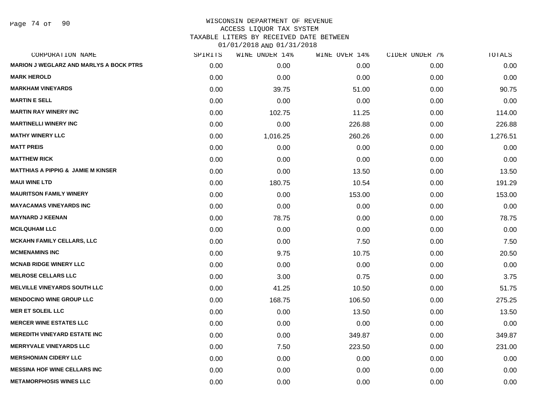Page 74 of 90

| CORPORATION NAME                               | SPIRITS | WINE UNDER 14% | WINE OVER 14% | CIDER UNDER 7% | TOTALS   |
|------------------------------------------------|---------|----------------|---------------|----------------|----------|
| <b>MARION J WEGLARZ AND MARLYS A BOCK PTRS</b> | 0.00    | 0.00           | 0.00          | 0.00           | 0.00     |
| <b>MARK HEROLD</b>                             | 0.00    | 0.00           | 0.00          | 0.00           | 0.00     |
| <b>MARKHAM VINEYARDS</b>                       | 0.00    | 39.75          | 51.00         | 0.00           | 90.75    |
| <b>MARTIN E SELL</b>                           | 0.00    | 0.00           | 0.00          | 0.00           | 0.00     |
| <b>MARTIN RAY WINERY INC</b>                   | 0.00    | 102.75         | 11.25         | 0.00           | 114.00   |
| <b>MARTINELLI WINERY INC</b>                   | 0.00    | 0.00           | 226.88        | 0.00           | 226.88   |
| <b>MATHY WINERY LLC</b>                        | 0.00    | 1,016.25       | 260.26        | 0.00           | 1,276.51 |
| <b>MATT PREIS</b>                              | 0.00    | 0.00           | 0.00          | 0.00           | 0.00     |
| <b>MATTHEW RICK</b>                            | 0.00    | 0.00           | 0.00          | 0.00           | 0.00     |
| <b>MATTHIAS A PIPPIG &amp; JAMIE M KINSER</b>  | 0.00    | 0.00           | 13.50         | 0.00           | 13.50    |
| <b>MAUI WINE LTD</b>                           | 0.00    | 180.75         | 10.54         | 0.00           | 191.29   |
| <b>MAURITSON FAMILY WINERY</b>                 | 0.00    | 0.00           | 153.00        | 0.00           | 153.00   |
| <b>MAYACAMAS VINEYARDS INC</b>                 | 0.00    | 0.00           | 0.00          | 0.00           | 0.00     |
| <b>MAYNARD J KEENAN</b>                        | 0.00    | 78.75          | 0.00          | 0.00           | 78.75    |
| <b>MCILQUHAM LLC</b>                           | 0.00    | 0.00           | 0.00          | 0.00           | 0.00     |
| <b>MCKAHN FAMILY CELLARS, LLC</b>              | 0.00    | 0.00           | 7.50          | 0.00           | 7.50     |
| <b>MCMENAMINS INC</b>                          | 0.00    | 9.75           | 10.75         | 0.00           | 20.50    |
| <b>MCNAB RIDGE WINERY LLC</b>                  | 0.00    | 0.00           | 0.00          | 0.00           | 0.00     |
| <b>MELROSE CELLARS LLC</b>                     | 0.00    | 3.00           | 0.75          | 0.00           | 3.75     |
| <b>MELVILLE VINEYARDS SOUTH LLC</b>            | 0.00    | 41.25          | 10.50         | 0.00           | 51.75    |
| <b>MENDOCINO WINE GROUP LLC</b>                | 0.00    | 168.75         | 106.50        | 0.00           | 275.25   |
| <b>MER ET SOLEIL LLC</b>                       | 0.00    | 0.00           | 13.50         | 0.00           | 13.50    |
| <b>MERCER WINE ESTATES LLC</b>                 | 0.00    | 0.00           | 0.00          | 0.00           | 0.00     |
| <b>MEREDITH VINEYARD ESTATE INC</b>            | 0.00    | 0.00           | 349.87        | 0.00           | 349.87   |
| <b>MERRYVALE VINEYARDS LLC</b>                 | 0.00    | 7.50           | 223.50        | 0.00           | 231.00   |
| <b>MERSHONIAN CIDERY LLC</b>                   | 0.00    | 0.00           | 0.00          | 0.00           | 0.00     |
| <b>MESSINA HOF WINE CELLARS INC</b>            | 0.00    | 0.00           | 0.00          | 0.00           | 0.00     |
| <b>METAMORPHOSIS WINES LLC</b>                 | 0.00    | 0.00           | 0.00          | 0.00           | 0.00     |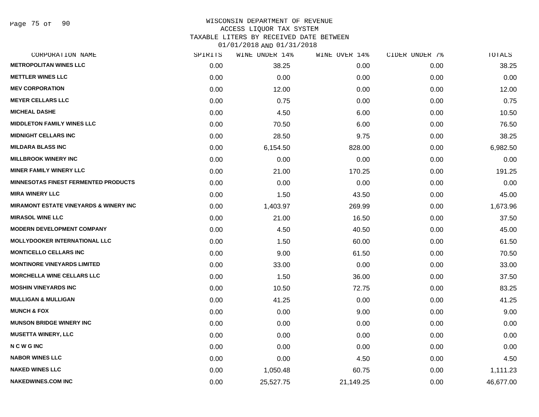#### WISCONSIN DEPARTMENT OF REVENUE ACCESS LIQUOR TAX SYSTEM

TAXABLE LITERS BY RECEIVED DATE BETWEEN

| CORPORATION NAME                                  | SPIRITS | WINE UNDER 14% | WINE OVER 14% | CIDER UNDER 7% | TOTALS    |
|---------------------------------------------------|---------|----------------|---------------|----------------|-----------|
| <b>METROPOLITAN WINES LLC</b>                     | 0.00    | 38.25          | 0.00          | 0.00           | 38.25     |
| <b>METTLER WINES LLC</b>                          | 0.00    | 0.00           | 0.00          | 0.00           | 0.00      |
| <b>MEV CORPORATION</b>                            | 0.00    | 12.00          | 0.00          | 0.00           | 12.00     |
| <b>MEYER CELLARS LLC</b>                          | 0.00    | 0.75           | 0.00          | 0.00           | 0.75      |
| <b>MICHEAL DASHE</b>                              | 0.00    | 4.50           | 6.00          | 0.00           | 10.50     |
| <b>MIDDLETON FAMILY WINES LLC</b>                 | 0.00    | 70.50          | 6.00          | 0.00           | 76.50     |
| <b>MIDNIGHT CELLARS INC</b>                       | 0.00    | 28.50          | 9.75          | 0.00           | 38.25     |
| <b>MILDARA BLASS INC</b>                          | 0.00    | 6,154.50       | 828.00        | 0.00           | 6,982.50  |
| <b>MILLBROOK WINERY INC</b>                       | 0.00    | 0.00           | 0.00          | 0.00           | 0.00      |
| <b>MINER FAMILY WINERY LLC</b>                    | 0.00    | 21.00          | 170.25        | 0.00           | 191.25    |
| <b>MINNESOTAS FINEST FERMENTED PRODUCTS</b>       | 0.00    | 0.00           | 0.00          | 0.00           | 0.00      |
| <b>MIRA WINERY LLC</b>                            | 0.00    | 1.50           | 43.50         | 0.00           | 45.00     |
| <b>MIRAMONT ESTATE VINEYARDS &amp; WINERY INC</b> | 0.00    | 1,403.97       | 269.99        | 0.00           | 1,673.96  |
| <b>MIRASOL WINE LLC</b>                           | 0.00    | 21.00          | 16.50         | 0.00           | 37.50     |
| <b>MODERN DEVELOPMENT COMPANY</b>                 | 0.00    | 4.50           | 40.50         | 0.00           | 45.00     |
| <b>MOLLYDOOKER INTERNATIONAL LLC</b>              | 0.00    | 1.50           | 60.00         | 0.00           | 61.50     |
| <b>MONTICELLO CELLARS INC</b>                     | 0.00    | 9.00           | 61.50         | 0.00           | 70.50     |
| <b>MONTINORE VINEYARDS LIMITED</b>                | 0.00    | 33.00          | 0.00          | 0.00           | 33.00     |
| <b>MORCHELLA WINE CELLARS LLC</b>                 | 0.00    | 1.50           | 36.00         | 0.00           | 37.50     |
| <b>MOSHIN VINEYARDS INC</b>                       | 0.00    | 10.50          | 72.75         | 0.00           | 83.25     |
| <b>MULLIGAN &amp; MULLIGAN</b>                    | 0.00    | 41.25          | 0.00          | 0.00           | 41.25     |
| <b>MUNCH &amp; FOX</b>                            | 0.00    | 0.00           | 9.00          | 0.00           | 9.00      |
| <b>MUNSON BRIDGE WINERY INC</b>                   | 0.00    | 0.00           | 0.00          | 0.00           | 0.00      |
| <b>MUSETTA WINERY, LLC</b>                        | 0.00    | 0.00           | 0.00          | 0.00           | 0.00      |
| <b>NCWGING</b>                                    | 0.00    | 0.00           | 0.00          | 0.00           | 0.00      |
| <b>NABOR WINES LLC</b>                            | 0.00    | 0.00           | 4.50          | 0.00           | 4.50      |
| <b>NAKED WINES LLC</b>                            | 0.00    | 1,050.48       | 60.75         | 0.00           | 1,111.23  |
| <b>NAKEDWINES.COM INC</b>                         | 0.00    | 25,527.75      | 21,149.25     | 0.00           | 46,677.00 |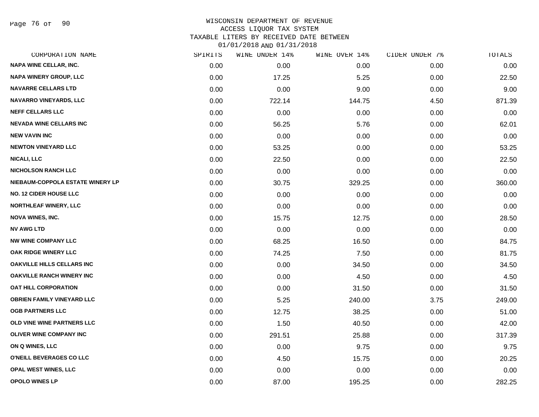Page 76 of 90

#### WISCONSIN DEPARTMENT OF REVENUE ACCESS LIQUOR TAX SYSTEM TAXABLE LITERS BY RECEIVED DATE BETWEEN

| CORPORATION NAME                  | SPIRITS | WINE UNDER 14% | WINE OVER 14% | CIDER UNDER 7% | TOTALS |
|-----------------------------------|---------|----------------|---------------|----------------|--------|
| NAPA WINE CELLAR, INC.            | 0.00    | 0.00           | 0.00          | 0.00           | 0.00   |
| NAPA WINERY GROUP, LLC            | 0.00    | 17.25          | 5.25          | 0.00           | 22.50  |
| <b>NAVARRE CELLARS LTD</b>        | 0.00    | 0.00           | 9.00          | 0.00           | 9.00   |
| <b>NAVARRO VINEYARDS, LLC</b>     | 0.00    | 722.14         | 144.75        | 4.50           | 871.39 |
| <b>NEFF CELLARS LLC</b>           | 0.00    | 0.00           | 0.00          | 0.00           | 0.00   |
| <b>NEVADA WINE CELLARS INC</b>    | 0.00    | 56.25          | 5.76          | 0.00           | 62.01  |
| <b>NEW VAVIN INC</b>              | 0.00    | 0.00           | 0.00          | 0.00           | 0.00   |
| <b>NEWTON VINEYARD LLC</b>        | 0.00    | 53.25          | 0.00          | 0.00           | 53.25  |
| <b>NICALI, LLC</b>                | 0.00    | 22.50          | 0.00          | 0.00           | 22.50  |
| <b>NICHOLSON RANCH LLC</b>        | 0.00    | 0.00           | 0.00          | 0.00           | 0.00   |
| NIEBAUM-COPPOLA ESTATE WINERY LP  | 0.00    | 30.75          | 329.25        | 0.00           | 360.00 |
| NO. 12 CIDER HOUSE LLC            | 0.00    | 0.00           | 0.00          | 0.00           | 0.00   |
| <b>NORTHLEAF WINERY, LLC</b>      | 0.00    | 0.00           | 0.00          | 0.00           | 0.00   |
| <b>NOVA WINES, INC.</b>           | 0.00    | 15.75          | 12.75         | 0.00           | 28.50  |
| <b>NV AWG LTD</b>                 | 0.00    | 0.00           | 0.00          | 0.00           | 0.00   |
| <b>NW WINE COMPANY LLC</b>        | 0.00    | 68.25          | 16.50         | 0.00           | 84.75  |
| OAK RIDGE WINERY LLC              | 0.00    | 74.25          | 7.50          | 0.00           | 81.75  |
| OAKVILLE HILLS CELLARS INC        | 0.00    | 0.00           | 34.50         | 0.00           | 34.50  |
| <b>OAKVILLE RANCH WINERY INC</b>  | 0.00    | 0.00           | 4.50          | 0.00           | 4.50   |
| OAT HILL CORPORATION              | 0.00    | 0.00           | 31.50         | 0.00           | 31.50  |
| <b>OBRIEN FAMILY VINEYARD LLC</b> | 0.00    | 5.25           | 240.00        | 3.75           | 249.00 |
| <b>OGB PARTNERS LLC</b>           | 0.00    | 12.75          | 38.25         | 0.00           | 51.00  |
| OLD VINE WINE PARTNERS LLC        | 0.00    | 1.50           | 40.50         | 0.00           | 42.00  |
| OLIVER WINE COMPANY INC           | 0.00    | 291.51         | 25.88         | 0.00           | 317.39 |
| ON Q WINES, LLC                   | 0.00    | 0.00           | 9.75          | 0.00           | 9.75   |
| O'NEILL BEVERAGES CO LLC          | 0.00    | 4.50           | 15.75         | 0.00           | 20.25  |
| OPAL WEST WINES, LLC              | 0.00    | 0.00           | 0.00          | 0.00           | 0.00   |
| <b>OPOLO WINES LP</b>             | 0.00    | 87.00          | 195.25        | 0.00           | 282.25 |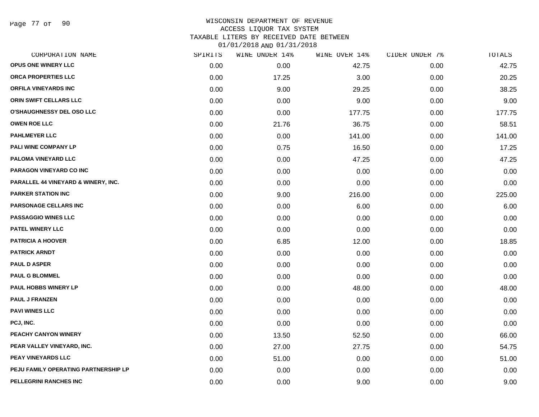Page 77 of 90

#### WISCONSIN DEPARTMENT OF REVENUE ACCESS LIQUOR TAX SYSTEM TAXABLE LITERS BY RECEIVED DATE BETWEEN

| CORPORATION NAME                     | SPIRITS | WINE UNDER 14% | WINE OVER 14% | CIDER UNDER 7% | TOTALS |
|--------------------------------------|---------|----------------|---------------|----------------|--------|
| OPUS ONE WINERY LLC                  | 0.00    | 0.00           | 42.75         | 0.00           | 42.75  |
| ORCA PROPERTIES LLC                  | 0.00    | 17.25          | 3.00          | 0.00           | 20.25  |
| ORFILA VINEYARDS INC                 | 0.00    | 9.00           | 29.25         | 0.00           | 38.25  |
| <b>ORIN SWIFT CELLARS LLC</b>        | 0.00    | 0.00           | 9.00          | 0.00           | 9.00   |
| <b>O'SHAUGHNESSY DEL OSO LLC</b>     | 0.00    | 0.00           | 177.75        | 0.00           | 177.75 |
| <b>OWEN ROE LLC</b>                  | 0.00    | 21.76          | 36.75         | 0.00           | 58.51  |
| <b>PAHLMEYER LLC</b>                 | 0.00    | 0.00           | 141.00        | 0.00           | 141.00 |
| PALI WINE COMPANY LP                 | 0.00    | 0.75           | 16.50         | 0.00           | 17.25  |
| PALOMA VINEYARD LLC                  | 0.00    | 0.00           | 47.25         | 0.00           | 47.25  |
| PARAGON VINEYARD CO INC              | 0.00    | 0.00           | 0.00          | 0.00           | 0.00   |
| PARALLEL 44 VINEYARD & WINERY, INC.  | 0.00    | 0.00           | 0.00          | 0.00           | 0.00   |
| <b>PARKER STATION INC</b>            | 0.00    | 9.00           | 216.00        | 0.00           | 225.00 |
| PARSONAGE CELLARS INC                | 0.00    | 0.00           | 6.00          | 0.00           | 6.00   |
| <b>PASSAGGIO WINES LLC</b>           | 0.00    | 0.00           | 0.00          | 0.00           | 0.00   |
| PATEL WINERY LLC                     | 0.00    | 0.00           | 0.00          | 0.00           | 0.00   |
| <b>PATRICIA A HOOVER</b>             | 0.00    | 6.85           | 12.00         | 0.00           | 18.85  |
| <b>PATRICK ARNDT</b>                 | 0.00    | 0.00           | 0.00          | 0.00           | 0.00   |
| <b>PAUL D ASPER</b>                  | 0.00    | 0.00           | 0.00          | 0.00           | 0.00   |
| <b>PAUL G BLOMMEL</b>                | 0.00    | 0.00           | 0.00          | 0.00           | 0.00   |
| <b>PAUL HOBBS WINERY LP</b>          | 0.00    | 0.00           | 48.00         | 0.00           | 48.00  |
| <b>PAUL J FRANZEN</b>                | 0.00    | 0.00           | 0.00          | 0.00           | 0.00   |
| <b>PAVI WINES LLC</b>                | 0.00    | 0.00           | 0.00          | 0.00           | 0.00   |
| PCJ, INC.                            | 0.00    | 0.00           | 0.00          | 0.00           | 0.00   |
| PEACHY CANYON WINERY                 | 0.00    | 13.50          | 52.50         | 0.00           | 66.00  |
| PEAR VALLEY VINEYARD, INC.           | 0.00    | 27.00          | 27.75         | 0.00           | 54.75  |
| <b>PEAY VINEYARDS LLC</b>            | 0.00    | 51.00          | 0.00          | 0.00           | 51.00  |
| PEJU FAMILY OPERATING PARTNERSHIP LP | 0.00    | 0.00           | 0.00          | 0.00           | 0.00   |
| PELLEGRINI RANCHES INC               | 0.00    | 0.00           | 9.00          | 0.00           | 9.00   |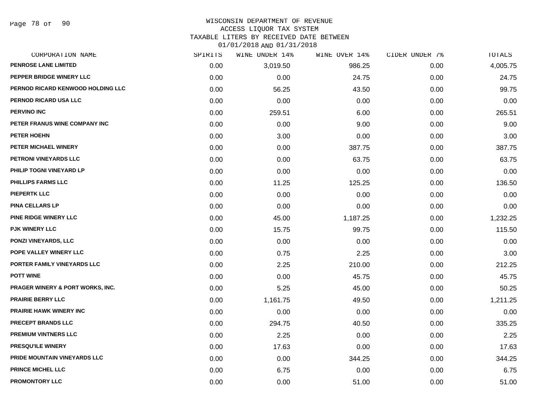Page 78 of 90

# WISCONSIN DEPARTMENT OF REVENUE

#### ACCESS LIQUOR TAX SYSTEM

TAXABLE LITERS BY RECEIVED DATE BETWEEN

| CORPORATION NAME                            | SPIRITS | WINE UNDER 14% | WINE OVER 14% | CIDER UNDER 7% | TOTALS   |
|---------------------------------------------|---------|----------------|---------------|----------------|----------|
| PENROSE LANE LIMITED                        | 0.00    | 3,019.50       | 986.25        | 0.00           | 4,005.75 |
| PEPPER BRIDGE WINERY LLC                    | 0.00    | 0.00           | 24.75         | 0.00           | 24.75    |
| PERNOD RICARD KENWOOD HOLDING LLC           | 0.00    | 56.25          | 43.50         | 0.00           | 99.75    |
| PERNOD RICARD USA LLC                       | 0.00    | 0.00           | 0.00          | 0.00           | 0.00     |
| <b>PERVINO INC</b>                          | 0.00    | 259.51         | 6.00          | 0.00           | 265.51   |
| PETER FRANUS WINE COMPANY INC               | 0.00    | 0.00           | 9.00          | 0.00           | 9.00     |
| PETER HOEHN                                 | 0.00    | 3.00           | 0.00          | 0.00           | 3.00     |
| PETER MICHAEL WINERY                        | 0.00    | 0.00           | 387.75        | 0.00           | 387.75   |
| PETRONI VINEYARDS LLC                       | 0.00    | 0.00           | 63.75         | 0.00           | 63.75    |
| PHILIP TOGNI VINEYARD LP                    | 0.00    | 0.00           | 0.00          | 0.00           | 0.00     |
| <b>PHILLIPS FARMS LLC</b>                   | 0.00    | 11.25          | 125.25        | 0.00           | 136.50   |
| <b>PIEPERTK LLC</b>                         | 0.00    | 0.00           | 0.00          | 0.00           | 0.00     |
| <b>PINA CELLARS LP</b>                      | 0.00    | 0.00           | 0.00          | 0.00           | 0.00     |
| <b>PINE RIDGE WINERY LLC</b>                | 0.00    | 45.00          | 1,187.25      | 0.00           | 1,232.25 |
| PJK WINERY LLC                              | 0.00    | 15.75          | 99.75         | 0.00           | 115.50   |
| PONZI VINEYARDS, LLC                        | 0.00    | 0.00           | 0.00          | 0.00           | 0.00     |
| POPE VALLEY WINERY LLC                      | 0.00    | 0.75           | 2.25          | 0.00           | 3.00     |
| PORTER FAMILY VINEYARDS LLC                 | 0.00    | 2.25           | 210.00        | 0.00           | 212.25   |
| <b>POTT WINE</b>                            | 0.00    | 0.00           | 45.75         | 0.00           | 45.75    |
| <b>PRAGER WINERY &amp; PORT WORKS, INC.</b> | 0.00    | 5.25           | 45.00         | 0.00           | 50.25    |
| <b>PRAIRIE BERRY LLC</b>                    | 0.00    | 1,161.75       | 49.50         | 0.00           | 1,211.25 |
| <b>PRAIRIE HAWK WINERY INC</b>              | 0.00    | 0.00           | 0.00          | 0.00           | 0.00     |
| PRECEPT BRANDS LLC                          | 0.00    | 294.75         | 40.50         | 0.00           | 335.25   |
| <b>PREMIUM VINTNERS LLC</b>                 | 0.00    | 2.25           | 0.00          | 0.00           | 2.25     |
| <b>PRESQU'ILE WINERY</b>                    | 0.00    | 17.63          | 0.00          | 0.00           | 17.63    |
| PRIDE MOUNTAIN VINEYARDS LLC                | 0.00    | 0.00           | 344.25        | 0.00           | 344.25   |
| PRINCE MICHEL LLC                           | 0.00    | 6.75           | 0.00          | 0.00           | 6.75     |
| <b>PROMONTORY LLC</b>                       | 0.00    | 0.00           | 51.00         | 0.00           | 51.00    |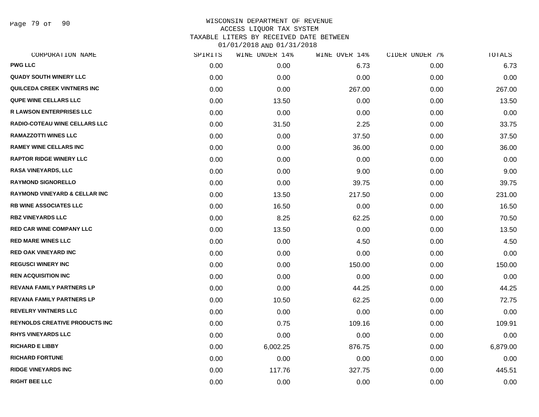Page 79 of 90

## WISCONSIN DEPARTMENT OF REVENUE ACCESS LIQUOR TAX SYSTEM TAXABLE LITERS BY RECEIVED DATE BETWEEN

| CORPORATION NAME                         | SPIRITS | WINE UNDER 14% | WINE OVER 14% | CIDER UNDER 7% | TOTALS   |
|------------------------------------------|---------|----------------|---------------|----------------|----------|
| <b>PWG LLC</b>                           | 0.00    | 0.00           | 6.73          | 0.00           | 6.73     |
| <b>QUADY SOUTH WINERY LLC</b>            | 0.00    | 0.00           | 0.00          | 0.00           | 0.00     |
| <b>QUILCEDA CREEK VINTNERS INC</b>       | 0.00    | 0.00           | 267.00        | 0.00           | 267.00   |
| <b>QUPE WINE CELLARS LLC</b>             | 0.00    | 13.50          | 0.00          | 0.00           | 13.50    |
| <b>R LAWSON ENTERPRISES LLC</b>          | 0.00    | 0.00           | 0.00          | 0.00           | 0.00     |
| RADIO-COTEAU WINE CELLARS LLC            | 0.00    | 31.50          | 2.25          | 0.00           | 33.75    |
| <b>RAMAZZOTTI WINES LLC</b>              | 0.00    | 0.00           | 37.50         | 0.00           | 37.50    |
| <b>RAMEY WINE CELLARS INC</b>            | 0.00    | 0.00           | 36.00         | 0.00           | 36.00    |
| <b>RAPTOR RIDGE WINERY LLC</b>           | 0.00    | 0.00           | 0.00          | 0.00           | 0.00     |
| <b>RASA VINEYARDS, LLC</b>               | 0.00    | 0.00           | 9.00          | 0.00           | 9.00     |
| <b>RAYMOND SIGNORELLO</b>                | 0.00    | 0.00           | 39.75         | 0.00           | 39.75    |
| <b>RAYMOND VINEYARD &amp; CELLAR INC</b> | 0.00    | 13.50          | 217.50        | 0.00           | 231.00   |
| <b>RB WINE ASSOCIATES LLC</b>            | 0.00    | 16.50          | 0.00          | 0.00           | 16.50    |
| <b>RBZ VINEYARDS LLC</b>                 | 0.00    | 8.25           | 62.25         | 0.00           | 70.50    |
| <b>RED CAR WINE COMPANY LLC</b>          | 0.00    | 13.50          | 0.00          | 0.00           | 13.50    |
| <b>RED MARE WINES LLC</b>                | 0.00    | 0.00           | 4.50          | 0.00           | 4.50     |
| <b>RED OAK VINEYARD INC</b>              | 0.00    | 0.00           | 0.00          | 0.00           | 0.00     |
| <b>REGUSCI WINERY INC</b>                | 0.00    | 0.00           | 150.00        | 0.00           | 150.00   |
| <b>REN ACQUISITION INC</b>               | 0.00    | 0.00           | 0.00          | 0.00           | 0.00     |
| <b>REVANA FAMILY PARTNERS LP</b>         | 0.00    | 0.00           | 44.25         | 0.00           | 44.25    |
| <b>REVANA FAMILY PARTNERS LP</b>         | 0.00    | 10.50          | 62.25         | 0.00           | 72.75    |
| <b>REVELRY VINTNERS LLC</b>              | 0.00    | 0.00           | 0.00          | 0.00           | 0.00     |
| <b>REYNOLDS CREATIVE PRODUCTS INC</b>    | 0.00    | 0.75           | 109.16        | 0.00           | 109.91   |
| <b>RHYS VINEYARDS LLC</b>                | 0.00    | 0.00           | 0.00          | 0.00           | 0.00     |
| <b>RICHARD E LIBBY</b>                   | 0.00    | 6,002.25       | 876.75        | 0.00           | 6,879.00 |
| <b>RICHARD FORTUNE</b>                   | 0.00    | 0.00           | 0.00          | 0.00           | 0.00     |
| <b>RIDGE VINEYARDS INC</b>               | 0.00    | 117.76         | 327.75        | 0.00           | 445.51   |
| <b>RIGHT BEE LLC</b>                     | 0.00    | 0.00           | 0.00          | 0.00           | 0.00     |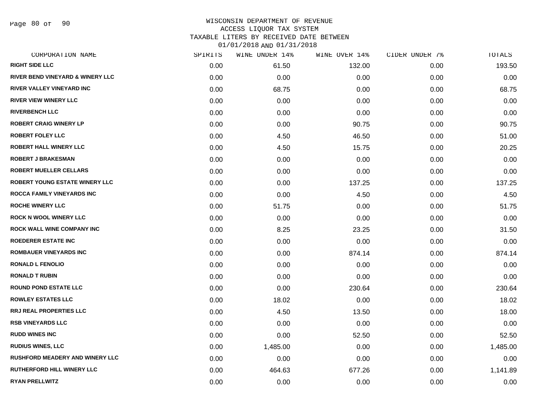Page 80 of 90

| CORPORATION NAME                       | SPIRITS | WINE UNDER 14% | WINE OVER 14% | CIDER UNDER 7% | TOTALS   |
|----------------------------------------|---------|----------------|---------------|----------------|----------|
| <b>RIGHT SIDE LLC</b>                  | 0.00    | 61.50          | 132.00        | 0.00           | 193.50   |
| RIVER BEND VINEYARD & WINERY LLC       | 0.00    | 0.00           | 0.00          | 0.00           | 0.00     |
| RIVER VALLEY VINEYARD INC              | 0.00    | 68.75          | 0.00          | 0.00           | 68.75    |
| <b>RIVER VIEW WINERY LLC</b>           | 0.00    | 0.00           | 0.00          | 0.00           | 0.00     |
| <b>RIVERBENCH LLC</b>                  | 0.00    | 0.00           | 0.00          | 0.00           | 0.00     |
| <b>ROBERT CRAIG WINERY LP</b>          | 0.00    | 0.00           | 90.75         | 0.00           | 90.75    |
| <b>ROBERT FOLEY LLC</b>                | 0.00    | 4.50           | 46.50         | 0.00           | 51.00    |
| <b>ROBERT HALL WINERY LLC</b>          | 0.00    | 4.50           | 15.75         | 0.00           | 20.25    |
| <b>ROBERT J BRAKESMAN</b>              | 0.00    | 0.00           | 0.00          | 0.00           | 0.00     |
| <b>ROBERT MUELLER CELLARS</b>          | 0.00    | 0.00           | 0.00          | 0.00           | 0.00     |
| ROBERT YOUNG ESTATE WINERY LLC         | 0.00    | 0.00           | 137.25        | 0.00           | 137.25   |
| <b>ROCCA FAMILY VINEYARDS INC</b>      | 0.00    | 0.00           | 4.50          | 0.00           | 4.50     |
| <b>ROCHE WINERY LLC</b>                | 0.00    | 51.75          | 0.00          | 0.00           | 51.75    |
| <b>ROCK N WOOL WINERY LLC</b>          | 0.00    | 0.00           | 0.00          | 0.00           | 0.00     |
| <b>ROCK WALL WINE COMPANY INC</b>      | 0.00    | 8.25           | 23.25         | 0.00           | 31.50    |
| <b>ROEDERER ESTATE INC</b>             | 0.00    | 0.00           | 0.00          | 0.00           | 0.00     |
| <b>ROMBAUER VINEYARDS INC</b>          | 0.00    | 0.00           | 874.14        | 0.00           | 874.14   |
| <b>RONALD L FENOLIO</b>                | 0.00    | 0.00           | 0.00          | 0.00           | 0.00     |
| <b>RONALD T RUBIN</b>                  | 0.00    | 0.00           | 0.00          | 0.00           | 0.00     |
| <b>ROUND POND ESTATE LLC</b>           | 0.00    | 0.00           | 230.64        | 0.00           | 230.64   |
| <b>ROWLEY ESTATES LLC</b>              | 0.00    | 18.02          | 0.00          | 0.00           | 18.02    |
| <b>RRJ REAL PROPERTIES LLC</b>         | 0.00    | 4.50           | 13.50         | 0.00           | 18.00    |
| <b>RSB VINEYARDS LLC</b>               | 0.00    | 0.00           | 0.00          | 0.00           | 0.00     |
| <b>RUDD WINES INC</b>                  | 0.00    | 0.00           | 52.50         | 0.00           | 52.50    |
| <b>RUDIUS WINES, LLC</b>               | 0.00    | 1,485.00       | 0.00          | 0.00           | 1,485.00 |
| <b>RUSHFORD MEADERY AND WINERY LLC</b> | 0.00    | 0.00           | 0.00          | 0.00           | 0.00     |
| <b>RUTHERFORD HILL WINERY LLC</b>      | 0.00    | 464.63         | 677.26        | 0.00           | 1,141.89 |
| <b>RYAN PRELLWITZ</b>                  | 0.00    | 0.00           | 0.00          | 0.00           | 0.00     |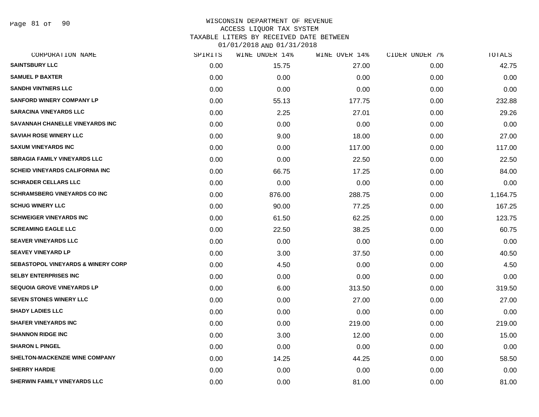Page 81 of 90

## WISCONSIN DEPARTMENT OF REVENUE ACCESS LIQUOR TAX SYSTEM TAXABLE LITERS BY RECEIVED DATE BETWEEN

| CORPORATION NAME                              | SPIRITS | WINE UNDER 14% | WINE OVER 14% | CIDER UNDER 7% | TOTALS   |
|-----------------------------------------------|---------|----------------|---------------|----------------|----------|
| <b>SAINTSBURY LLC</b>                         | 0.00    | 15.75          | 27.00         | 0.00           | 42.75    |
| <b>SAMUEL P BAXTER</b>                        | 0.00    | 0.00           | 0.00          | 0.00           | 0.00     |
| <b>SANDHI VINTNERS LLC</b>                    | 0.00    | 0.00           | 0.00          | 0.00           | 0.00     |
| <b>SANFORD WINERY COMPANY LP</b>              | 0.00    | 55.13          | 177.75        | 0.00           | 232.88   |
| <b>SARACINA VINEYARDS LLC</b>                 | 0.00    | 2.25           | 27.01         | 0.00           | 29.26    |
| SAVANNAH CHANELLE VINEYARDS INC               | 0.00    | 0.00           | 0.00          | 0.00           | 0.00     |
| <b>SAVIAH ROSE WINERY LLC</b>                 | 0.00    | 9.00           | 18.00         | 0.00           | 27.00    |
| <b>SAXUM VINEYARDS INC</b>                    | 0.00    | 0.00           | 117.00        | 0.00           | 117.00   |
| <b>SBRAGIA FAMILY VINEYARDS LLC</b>           | 0.00    | 0.00           | 22.50         | 0.00           | 22.50    |
| <b>SCHEID VINEYARDS CALIFORNIA INC</b>        | 0.00    | 66.75          | 17.25         | 0.00           | 84.00    |
| <b>SCHRADER CELLARS LLC</b>                   | 0.00    | 0.00           | 0.00          | 0.00           | 0.00     |
| <b>SCHRAMSBERG VINEYARDS CO INC</b>           | 0.00    | 876.00         | 288.75        | 0.00           | 1,164.75 |
| <b>SCHUG WINERY LLC</b>                       | 0.00    | 90.00          | 77.25         | 0.00           | 167.25   |
| <b>SCHWEIGER VINEYARDS INC</b>                | 0.00    | 61.50          | 62.25         | 0.00           | 123.75   |
| <b>SCREAMING EAGLE LLC</b>                    | 0.00    | 22.50          | 38.25         | 0.00           | 60.75    |
| <b>SEAVER VINEYARDS LLC</b>                   | 0.00    | 0.00           | 0.00          | 0.00           | 0.00     |
| <b>SEAVEY VINEYARD LP</b>                     | 0.00    | 3.00           | 37.50         | 0.00           | 40.50    |
| <b>SEBASTOPOL VINEYARDS &amp; WINERY CORP</b> | 0.00    | 4.50           | 0.00          | 0.00           | 4.50     |
| <b>SELBY ENTERPRISES INC</b>                  | 0.00    | 0.00           | 0.00          | 0.00           | 0.00     |
| <b>SEQUOIA GROVE VINEYARDS LP</b>             | 0.00    | 6.00           | 313.50        | 0.00           | 319.50   |
| <b>SEVEN STONES WINERY LLC</b>                | 0.00    | 0.00           | 27.00         | 0.00           | 27.00    |
| <b>SHADY LADIES LLC</b>                       | 0.00    | 0.00           | 0.00          | 0.00           | 0.00     |
| <b>SHAFER VINEYARDS INC</b>                   | 0.00    | 0.00           | 219.00        | 0.00           | 219.00   |
| <b>SHANNON RIDGE INC</b>                      | 0.00    | 3.00           | 12.00         | 0.00           | 15.00    |
| <b>SHARON L PINGEL</b>                        | 0.00    | 0.00           | 0.00          | 0.00           | 0.00     |
| SHELTON-MACKENZIE WINE COMPANY                | 0.00    | 14.25          | 44.25         | 0.00           | 58.50    |
| <b>SHERRY HARDIE</b>                          | 0.00    | 0.00           | 0.00          | 0.00           | 0.00     |
| SHERWIN FAMILY VINEYARDS LLC                  | 0.00    | 0.00           | 81.00         | 0.00           | 81.00    |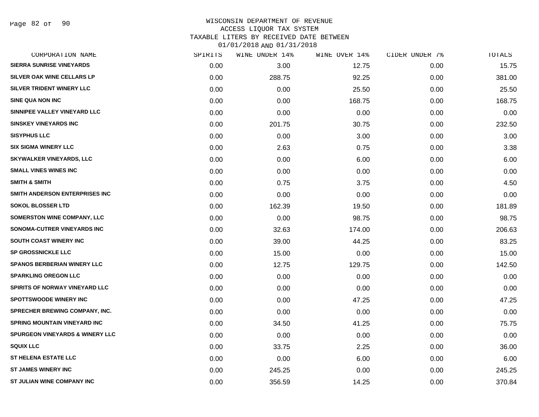#### WISCONSIN DEPARTMENT OF REVENUE ACCESS LIQUOR TAX SYSTEM TAXABLE LITERS BY RECEIVED DATE BETWEEN

| CORPORATION NAME                           | SPIRITS | WINE UNDER 14% | WINE OVER 14% | CIDER UNDER 7% | TOTALS |
|--------------------------------------------|---------|----------------|---------------|----------------|--------|
| <b>SIERRA SUNRISE VINEYARDS</b>            | 0.00    | 3.00           | 12.75         | 0.00           | 15.75  |
| <b>SILVER OAK WINE CELLARS LP</b>          | 0.00    | 288.75         | 92.25         | 0.00           | 381.00 |
| SILVER TRIDENT WINERY LLC                  | 0.00    | 0.00           | 25.50         | 0.00           | 25.50  |
| <b>SINE QUA NON INC</b>                    | 0.00    | 0.00           | 168.75        | 0.00           | 168.75 |
| SINNIPEE VALLEY VINEYARD LLC               | 0.00    | 0.00           | 0.00          | 0.00           | 0.00   |
| <b>SINSKEY VINEYARDS INC</b>               | 0.00    | 201.75         | 30.75         | 0.00           | 232.50 |
| <b>SISYPHUS LLC</b>                        | 0.00    | 0.00           | 3.00          | 0.00           | 3.00   |
| <b>SIX SIGMA WINERY LLC</b>                | 0.00    | 2.63           | 0.75          | 0.00           | 3.38   |
| SKYWALKER VINEYARDS, LLC                   | 0.00    | 0.00           | 6.00          | 0.00           | 6.00   |
| <b>SMALL VINES WINES INC</b>               | 0.00    | 0.00           | 0.00          | 0.00           | 0.00   |
| <b>SMITH &amp; SMITH</b>                   | 0.00    | 0.75           | 3.75          | 0.00           | 4.50   |
| SMITH ANDERSON ENTERPRISES INC             | 0.00    | 0.00           | 0.00          | 0.00           | 0.00   |
| <b>SOKOL BLOSSER LTD</b>                   | 0.00    | 162.39         | 19.50         | 0.00           | 181.89 |
| SOMERSTON WINE COMPANY, LLC                | 0.00    | 0.00           | 98.75         | 0.00           | 98.75  |
| SONOMA-CUTRER VINEYARDS INC                | 0.00    | 32.63          | 174.00        | 0.00           | 206.63 |
| SOUTH COAST WINERY INC                     | 0.00    | 39.00          | 44.25         | 0.00           | 83.25  |
| <b>SP GROSSNICKLE LLC</b>                  | 0.00    | 15.00          | 0.00          | 0.00           | 15.00  |
| <b>SPANOS BERBERIAN WINERY LLC</b>         | 0.00    | 12.75          | 129.75        | 0.00           | 142.50 |
| <b>SPARKLING OREGON LLC</b>                | 0.00    | 0.00           | 0.00          | 0.00           | 0.00   |
| SPIRITS OF NORWAY VINEYARD LLC             | 0.00    | 0.00           | 0.00          | 0.00           | 0.00   |
| <b>SPOTTSWOODE WINERY INC</b>              | 0.00    | 0.00           | 47.25         | 0.00           | 47.25  |
| <b>SPRECHER BREWING COMPANY, INC.</b>      | 0.00    | 0.00           | 0.00          | 0.00           | 0.00   |
| <b>SPRING MOUNTAIN VINEYARD INC</b>        | 0.00    | 34.50          | 41.25         | 0.00           | 75.75  |
| <b>SPURGEON VINEYARDS &amp; WINERY LLC</b> | 0.00    | 0.00           | 0.00          | 0.00           | 0.00   |
| <b>SQUIX LLC</b>                           | 0.00    | 33.75          | 2.25          | 0.00           | 36.00  |
| <b>ST HELENA ESTATE LLC</b>                | 0.00    | 0.00           | 6.00          | 0.00           | 6.00   |
| <b>ST JAMES WINERY INC</b>                 | 0.00    | 245.25         | 0.00          | 0.00           | 245.25 |
| ST JULIAN WINE COMPANY INC                 | 0.00    | 356.59         | 14.25         | 0.00           | 370.84 |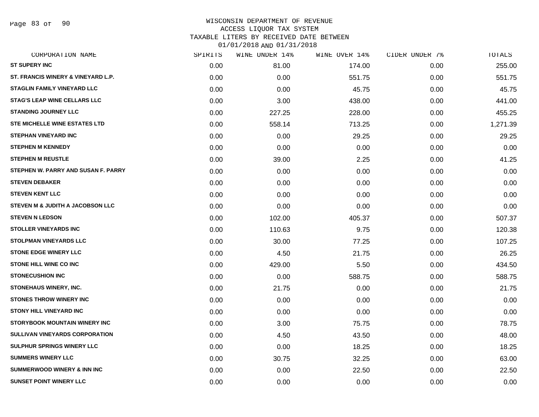Page 83 of 90

| CORPORATION NAME                       | SPIRITS | WINE UNDER 14% | WINE OVER 14% | CIDER UNDER 7% | TOTALS   |
|----------------------------------------|---------|----------------|---------------|----------------|----------|
| <b>ST SUPERY INC</b>                   | 0.00    | 81.00          | 174.00        | 0.00           | 255.00   |
| ST. FRANCIS WINERY & VINEYARD L.P.     | 0.00    | 0.00           | 551.75        | 0.00           | 551.75   |
| <b>STAGLIN FAMILY VINEYARD LLC</b>     | 0.00    | 0.00           | 45.75         | 0.00           | 45.75    |
| <b>STAG'S LEAP WINE CELLARS LLC</b>    | 0.00    | 3.00           | 438.00        | 0.00           | 441.00   |
| <b>STANDING JOURNEY LLC</b>            | 0.00    | 227.25         | 228.00        | 0.00           | 455.25   |
| <b>STE MICHELLE WINE ESTATES LTD</b>   | 0.00    | 558.14         | 713.25        | 0.00           | 1,271.39 |
| <b>STEPHAN VINEYARD INC</b>            | 0.00    | 0.00           | 29.25         | 0.00           | 29.25    |
| <b>STEPHEN M KENNEDY</b>               | 0.00    | 0.00           | 0.00          | 0.00           | 0.00     |
| <b>STEPHEN M REUSTLE</b>               | 0.00    | 39.00          | 2.25          | 0.00           | 41.25    |
| STEPHEN W. PARRY AND SUSAN F. PARRY    | 0.00    | 0.00           | 0.00          | 0.00           | 0.00     |
| <b>STEVEN DEBAKER</b>                  | 0.00    | 0.00           | 0.00          | 0.00           | 0.00     |
| <b>STEVEN KENT LLC</b>                 | 0.00    | 0.00           | 0.00          | 0.00           | 0.00     |
| STEVEN M & JUDITH A JACOBSON LLC       | 0.00    | 0.00           | 0.00          | 0.00           | 0.00     |
| <b>STEVEN N LEDSON</b>                 | 0.00    | 102.00         | 405.37        | 0.00           | 507.37   |
| <b>STOLLER VINEYARDS INC</b>           | 0.00    | 110.63         | 9.75          | 0.00           | 120.38   |
| <b>STOLPMAN VINEYARDS LLC</b>          | 0.00    | 30.00          | 77.25         | 0.00           | 107.25   |
| <b>STONE EDGE WINERY LLC</b>           | 0.00    | 4.50           | 21.75         | 0.00           | 26.25    |
| STONE HILL WINE CO INC                 | 0.00    | 429.00         | 5.50          | 0.00           | 434.50   |
| <b>STONECUSHION INC</b>                | 0.00    | 0.00           | 588.75        | 0.00           | 588.75   |
| STONEHAUS WINERY, INC.                 | 0.00    | 21.75          | 0.00          | 0.00           | 21.75    |
| <b>STONES THROW WINERY INC</b>         | 0.00    | 0.00           | 0.00          | 0.00           | 0.00     |
| <b>STONY HILL VINEYARD INC</b>         | 0.00    | 0.00           | 0.00          | 0.00           | 0.00     |
| <b>STORYBOOK MOUNTAIN WINERY INC</b>   | 0.00    | 3.00           | 75.75         | 0.00           | 78.75    |
| <b>SULLIVAN VINEYARDS CORPORATION</b>  | 0.00    | 4.50           | 43.50         | 0.00           | 48.00    |
| <b>SULPHUR SPRINGS WINERY LLC</b>      | 0.00    | 0.00           | 18.25         | 0.00           | 18.25    |
| <b>SUMMERS WINERY LLC</b>              | 0.00    | 30.75          | 32.25         | 0.00           | 63.00    |
| <b>SUMMERWOOD WINERY &amp; INN INC</b> | 0.00    | 0.00           | 22.50         | 0.00           | 22.50    |
| <b>SUNSET POINT WINERY LLC</b>         | 0.00    | 0.00           | 0.00          | 0.00           | 0.00     |
|                                        |         |                |               |                |          |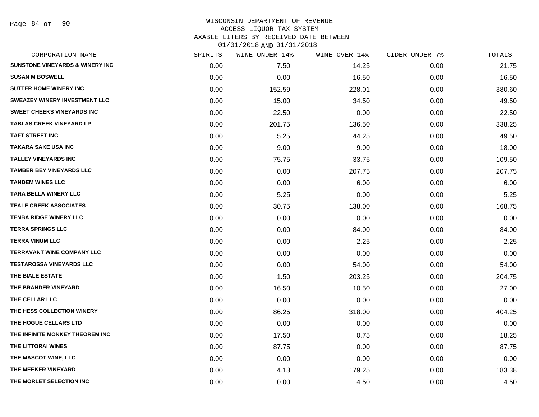| CORPORATION NAME                           | SPIRITS | WINE UNDER 14% | WINE OVER 14% | CIDER UNDER 7% | TOTALS |
|--------------------------------------------|---------|----------------|---------------|----------------|--------|
| <b>SUNSTONE VINEYARDS &amp; WINERY INC</b> | 0.00    | 7.50           | 14.25         | 0.00           | 21.75  |
| <b>SUSAN M BOSWELL</b>                     | 0.00    | 0.00           | 16.50         | 0.00           | 16.50  |
| <b>SUTTER HOME WINERY INC</b>              | 0.00    | 152.59         | 228.01        | 0.00           | 380.60 |
| <b>SWEAZEY WINERY INVESTMENT LLC</b>       | 0.00    | 15.00          | 34.50         | 0.00           | 49.50  |
| <b>SWEET CHEEKS VINEYARDS INC</b>          | 0.00    | 22.50          | 0.00          | 0.00           | 22.50  |
| <b>TABLAS CREEK VINEYARD LP</b>            | 0.00    | 201.75         | 136.50        | 0.00           | 338.25 |
| <b>TAFT STREET INC</b>                     | 0.00    | 5.25           | 44.25         | 0.00           | 49.50  |
| <b>TAKARA SAKE USA INC</b>                 | 0.00    | 9.00           | 9.00          | 0.00           | 18.00  |
| <b>TALLEY VINEYARDS INC</b>                | 0.00    | 75.75          | 33.75         | 0.00           | 109.50 |
| <b>TAMBER BEY VINEYARDS LLC</b>            | 0.00    | 0.00           | 207.75        | 0.00           | 207.75 |
| <b>TANDEM WINES LLC</b>                    | 0.00    | 0.00           | 6.00          | 0.00           | 6.00   |
| TARA BELLA WINERY LLC                      | 0.00    | 5.25           | 0.00          | 0.00           | 5.25   |
| <b>TEALE CREEK ASSOCIATES</b>              | 0.00    | 30.75          | 138.00        | 0.00           | 168.75 |
| <b>TENBA RIDGE WINERY LLC</b>              | 0.00    | 0.00           | 0.00          | 0.00           | 0.00   |
| <b>TERRA SPRINGS LLC</b>                   | 0.00    | 0.00           | 84.00         | 0.00           | 84.00  |
| <b>TERRA VINUM LLC</b>                     | 0.00    | 0.00           | 2.25          | 0.00           | 2.25   |
| <b>TERRAVANT WINE COMPANY LLC</b>          | 0.00    | 0.00           | 0.00          | 0.00           | 0.00   |
| <b>TESTAROSSA VINEYARDS LLC</b>            | 0.00    | 0.00           | 54.00         | 0.00           | 54.00  |
| THE BIALE ESTATE                           | 0.00    | 1.50           | 203.25        | 0.00           | 204.75 |
| THE BRANDER VINEYARD                       | 0.00    | 16.50          | 10.50         | 0.00           | 27.00  |
| THE CELLAR LLC                             | 0.00    | 0.00           | 0.00          | 0.00           | 0.00   |
| THE HESS COLLECTION WINERY                 | 0.00    | 86.25          | 318.00        | 0.00           | 404.25 |
| THE HOGUE CELLARS LTD                      | 0.00    | 0.00           | 0.00          | 0.00           | 0.00   |
| THE INFINITE MONKEY THEOREM INC            | 0.00    | 17.50          | 0.75          | 0.00           | 18.25  |
| THE LITTORAI WINES                         | 0.00    | 87.75          | 0.00          | 0.00           | 87.75  |
| THE MASCOT WINE, LLC                       | 0.00    | 0.00           | 0.00          | 0.00           | 0.00   |
| THE MEEKER VINEYARD                        | 0.00    | 4.13           | 179.25        | 0.00           | 183.38 |
| THE MORLET SELECTION INC                   | 0.00    | 0.00           | 4.50          | 0.00           | 4.50   |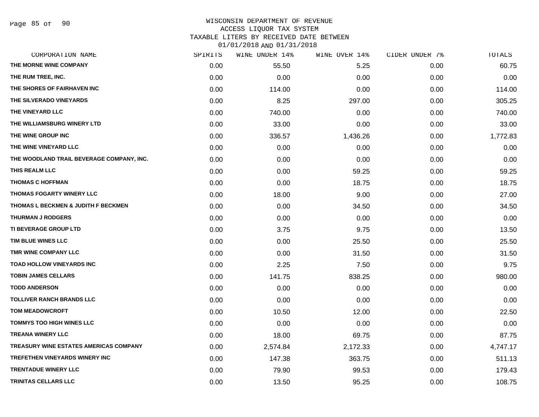#### WISCONSIN DEPARTMENT OF REVENUE ACCESS LIQUOR TAX SYSTEM TAXABLE LITERS BY RECEIVED DATE BETWEEN

| CORPORATION NAME                              | SPIRITS | WINE UNDER 14% | WINE OVER 14% | CIDER UNDER 7% | TOTALS   |
|-----------------------------------------------|---------|----------------|---------------|----------------|----------|
| THE MORNE WINE COMPANY                        | 0.00    | 55.50          | 5.25          | 0.00           | 60.75    |
| THE RUM TREE, INC.                            | 0.00    | 0.00           | 0.00          | 0.00           | 0.00     |
| THE SHORES OF FAIRHAVEN INC                   | 0.00    | 114.00         | 0.00          | 0.00           | 114.00   |
| THE SILVERADO VINEYARDS                       | 0.00    | 8.25           | 297.00        | 0.00           | 305.25   |
| THE VINEYARD LLC                              | 0.00    | 740.00         | 0.00          | 0.00           | 740.00   |
| THE WILLIAMSBURG WINERY LTD                   | 0.00    | 33.00          | 0.00          | 0.00           | 33.00    |
| THE WINE GROUP INC                            | 0.00    | 336.57         | 1,436.26      | 0.00           | 1,772.83 |
| THE WINE VINEYARD LLC                         | 0.00    | 0.00           | 0.00          | 0.00           | 0.00     |
| THE WOODLAND TRAIL BEVERAGE COMPANY, INC.     | 0.00    | 0.00           | 0.00          | 0.00           | 0.00     |
| THIS REALM LLC                                | 0.00    | 0.00           | 59.25         | 0.00           | 59.25    |
| <b>THOMAS C HOFFMAN</b>                       | 0.00    | 0.00           | 18.75         | 0.00           | 18.75    |
| THOMAS FOGARTY WINERY LLC                     | 0.00    | 18.00          | 9.00          | 0.00           | 27.00    |
| THOMAS L BECKMEN & JUDITH F BECKMEN           | 0.00    | 0.00           | 34.50         | 0.00           | 34.50    |
| <b>THURMAN J RODGERS</b>                      | 0.00    | 0.00           | 0.00          | 0.00           | 0.00     |
| <b>TI BEVERAGE GROUP LTD</b>                  | 0.00    | 3.75           | 9.75          | 0.00           | 13.50    |
| TIM BLUE WINES LLC                            | 0.00    | 0.00           | 25.50         | 0.00           | 25.50    |
| TMR WINE COMPANY LLC                          | 0.00    | 0.00           | 31.50         | 0.00           | 31.50    |
| TOAD HOLLOW VINEYARDS INC                     | 0.00    | 2.25           | 7.50          | 0.00           | 9.75     |
| <b>TOBIN JAMES CELLARS</b>                    | 0.00    | 141.75         | 838.25        | 0.00           | 980.00   |
| <b>TODD ANDERSON</b>                          | 0.00    | 0.00           | 0.00          | 0.00           | 0.00     |
| <b>TOLLIVER RANCH BRANDS LLC</b>              | 0.00    | 0.00           | 0.00          | 0.00           | 0.00     |
| <b>TOM MEADOWCROFT</b>                        | 0.00    | 10.50          | 12.00         | 0.00           | 22.50    |
| <b>TOMMYS TOO HIGH WINES LLC</b>              | 0.00    | 0.00           | 0.00          | 0.00           | 0.00     |
| <b>TREANA WINERY LLC</b>                      | 0.00    | 18.00          | 69.75         | 0.00           | 87.75    |
| <b>TREASURY WINE ESTATES AMERICAS COMPANY</b> | 0.00    | 2,574.84       | 2,172.33      | 0.00           | 4,747.17 |
| TREFETHEN VINEYARDS WINERY INC                | 0.00    | 147.38         | 363.75        | 0.00           | 511.13   |
| <b>TRENTADUE WINERY LLC</b>                   | 0.00    | 79.90          | 99.53         | 0.00           | 179.43   |
| <b>TRINITAS CELLARS LLC</b>                   | 0.00    | 13.50          | 95.25         | 0.00           | 108.75   |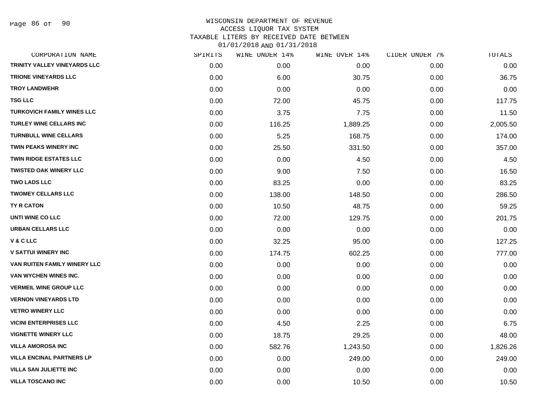| CORPORATION NAME                 | SPIRITS | WINE UNDER 14% | WINE OVER 14% | CIDER UNDER 7% | TOTALS   |
|----------------------------------|---------|----------------|---------------|----------------|----------|
| TRINITY VALLEY VINEYARDS LLC     | 0.00    | 0.00           | 0.00          | 0.00           | 0.00     |
| <b>TRIONE VINEYARDS LLC</b>      | 0.00    | 6.00           | 30.75         | 0.00           | 36.75    |
| <b>TROY LANDWEHR</b>             | 0.00    | 0.00           | 0.00          | 0.00           | 0.00     |
| <b>TSG LLC</b>                   | 0.00    | 72.00          | 45.75         | 0.00           | 117.75   |
| TURKOVICH FAMILY WINES LLC       | 0.00    | 3.75           | 7.75          | 0.00           | 11.50    |
| <b>TURLEY WINE CELLARS INC</b>   | 0.00    | 116.25         | 1,889.25      | 0.00           | 2,005.50 |
| <b>TURNBULL WINE CELLARS</b>     | 0.00    | 5.25           | 168.75        | 0.00           | 174.00   |
| TWIN PEAKS WINERY INC            | 0.00    | 25.50          | 331.50        | 0.00           | 357.00   |
| TWIN RIDGE ESTATES LLC           | 0.00    | 0.00           | 4.50          | 0.00           | 4.50     |
| <b>TWISTED OAK WINERY LLC</b>    | 0.00    | 9.00           | 7.50          | 0.00           | 16.50    |
| <b>TWO LADS LLC</b>              | 0.00    | 83.25          | 0.00          | 0.00           | 83.25    |
| <b>TWOMEY CELLARS LLC</b>        | 0.00    | 138.00         | 148.50        | 0.00           | 286.50   |
| TY R CATON                       | 0.00    | 10.50          | 48.75         | 0.00           | 59.25    |
| UNTI WINE CO LLC                 | 0.00    | 72.00          | 129.75        | 0.00           | 201.75   |
| <b>URBAN CELLARS LLC</b>         | 0.00    | 0.00           | 0.00          | 0.00           | 0.00     |
| V & C LLC                        | 0.00    | 32.25          | 95.00         | 0.00           | 127.25   |
| <b>V SATTUI WINERY INC</b>       | 0.00    | 174.75         | 602.25        | 0.00           | 777.00   |
| VAN RUITEN FAMILY WINERY LLC     | 0.00    | 0.00           | 0.00          | 0.00           | 0.00     |
| VAN WYCHEN WINES INC.            | 0.00    | 0.00           | 0.00          | 0.00           | 0.00     |
| <b>VERMEIL WINE GROUP LLC</b>    | 0.00    | 0.00           | 0.00          | 0.00           | 0.00     |
| <b>VERNON VINEYARDS LTD</b>      | 0.00    | 0.00           | 0.00          | 0.00           | 0.00     |
| <b>VETRO WINERY LLC</b>          | 0.00    | 0.00           | 0.00          | 0.00           | 0.00     |
| <b>VICINI ENTERPRISES LLC</b>    | 0.00    | 4.50           | 2.25          | 0.00           | 6.75     |
| <b>VIGNETTE WINERY LLC</b>       | 0.00    | 18.75          | 29.25         | 0.00           | 48.00    |
| <b>VILLA AMOROSA INC</b>         | 0.00    | 582.76         | 1,243.50      | 0.00           | 1,826.26 |
| <b>VILLA ENCINAL PARTNERS LP</b> | 0.00    | 0.00           | 249.00        | 0.00           | 249.00   |
| <b>VILLA SAN JULIETTE INC</b>    | 0.00    | 0.00           | 0.00          | 0.00           | 0.00     |
| <b>VILLA TOSCANO INC</b>         | 0.00    | 0.00           | 10.50         | 0.00           | 10.50    |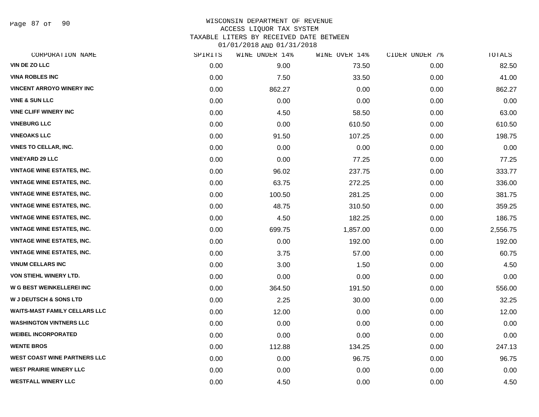Page 87 of 90

## WISCONSIN DEPARTMENT OF REVENUE ACCESS LIQUOR TAX SYSTEM TAXABLE LITERS BY RECEIVED DATE BETWEEN

| CORPORATION NAME                     | SPIRITS | WINE UNDER 14% | WINE OVER 14% | CIDER UNDER 7% | TOTALS   |
|--------------------------------------|---------|----------------|---------------|----------------|----------|
| <b>VIN DE ZO LLC</b>                 | 0.00    | 9.00           | 73.50         | 0.00           | 82.50    |
| <b>VINA ROBLES INC</b>               | 0.00    | 7.50           | 33.50         | 0.00           | 41.00    |
| <b>VINCENT ARROYO WINERY INC</b>     | 0.00    | 862.27         | 0.00          | 0.00           | 862.27   |
| <b>VINE &amp; SUN LLC</b>            | 0.00    | 0.00           | 0.00          | 0.00           | 0.00     |
| <b>VINE CLIFF WINERY INC</b>         | 0.00    | 4.50           | 58.50         | 0.00           | 63.00    |
| <b>VINEBURG LLC</b>                  | 0.00    | 0.00           | 610.50        | 0.00           | 610.50   |
| <b>VINEOAKS LLC</b>                  | 0.00    | 91.50          | 107.25        | 0.00           | 198.75   |
| <b>VINES TO CELLAR, INC.</b>         | 0.00    | 0.00           | 0.00          | 0.00           | 0.00     |
| <b>VINEYARD 29 LLC</b>               | 0.00    | 0.00           | 77.25         | 0.00           | 77.25    |
| <b>VINTAGE WINE ESTATES, INC.</b>    | 0.00    | 96.02          | 237.75        | 0.00           | 333.77   |
| <b>VINTAGE WINE ESTATES, INC.</b>    | 0.00    | 63.75          | 272.25        | 0.00           | 336.00   |
| <b>VINTAGE WINE ESTATES, INC.</b>    | 0.00    | 100.50         | 281.25        | 0.00           | 381.75   |
| <b>VINTAGE WINE ESTATES, INC.</b>    | 0.00    | 48.75          | 310.50        | 0.00           | 359.25   |
| <b>VINTAGE WINE ESTATES, INC.</b>    | 0.00    | 4.50           | 182.25        | 0.00           | 186.75   |
| <b>VINTAGE WINE ESTATES, INC.</b>    | 0.00    | 699.75         | 1,857.00      | 0.00           | 2,556.75 |
| <b>VINTAGE WINE ESTATES, INC.</b>    | 0.00    | 0.00           | 192.00        | 0.00           | 192.00   |
| <b>VINTAGE WINE ESTATES, INC.</b>    | 0.00    | 3.75           | 57.00         | 0.00           | 60.75    |
| <b>VINUM CELLARS INC</b>             | 0.00    | 3.00           | 1.50          | 0.00           | 4.50     |
| VON STIEHL WINERY LTD.               | 0.00    | 0.00           | 0.00          | 0.00           | 0.00     |
| <b>W G BEST WEINKELLEREI INC</b>     | 0.00    | 364.50         | 191.50        | 0.00           | 556.00   |
| <b>W J DEUTSCH &amp; SONS LTD</b>    | 0.00    | 2.25           | 30.00         | 0.00           | 32.25    |
| <b>WAITS-MAST FAMILY CELLARS LLC</b> | 0.00    | 12.00          | 0.00          | 0.00           | 12.00    |
| <b>WASHINGTON VINTNERS LLC</b>       | 0.00    | 0.00           | 0.00          | 0.00           | 0.00     |
| <b>WEIBEL INCORPORATED</b>           | 0.00    | 0.00           | 0.00          | 0.00           | 0.00     |
| <b>WENTE BROS</b>                    | 0.00    | 112.88         | 134.25        | 0.00           | 247.13   |
| <b>WEST COAST WINE PARTNERS LLC</b>  | 0.00    | 0.00           | 96.75         | 0.00           | 96.75    |
| <b>WEST PRAIRIE WINERY LLC</b>       | 0.00    | 0.00           | 0.00          | 0.00           | 0.00     |
| <b>WESTFALL WINERY LLC</b>           | 0.00    | 4.50           | 0.00          | 0.00           | 4.50     |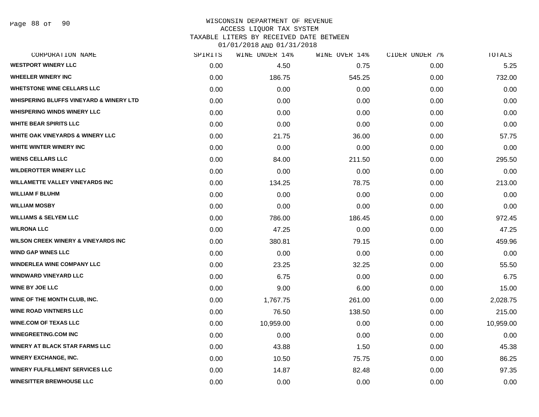#### WISCONSIN DEPARTMENT OF REVENUE ACCESS LIQUOR TAX SYSTEM

TAXABLE LITERS BY RECEIVED DATE BETWEEN

| CORPORATION NAME                                   | SPIRITS | WINE UNDER 14% | WINE OVER 14% | CIDER UNDER 7% | TOTALS    |
|----------------------------------------------------|---------|----------------|---------------|----------------|-----------|
| <b>WESTPORT WINERY LLC</b>                         | 0.00    | 4.50           | 0.75          | 0.00           | 5.25      |
| <b>WHEELER WINERY INC</b>                          | 0.00    | 186.75         | 545.25        | 0.00           | 732.00    |
| <b>WHETSTONE WINE CELLARS LLC</b>                  | 0.00    | 0.00           | 0.00          | 0.00           | 0.00      |
| <b>WHISPERING BLUFFS VINEYARD &amp; WINERY LTD</b> | 0.00    | 0.00           | 0.00          | 0.00           | 0.00      |
| <b>WHISPERING WINDS WINERY LLC</b>                 | 0.00    | 0.00           | 0.00          | 0.00           | 0.00      |
| <b>WHITE BEAR SPIRITS LLC</b>                      | 0.00    | 0.00           | 0.00          | 0.00           | 0.00      |
| <b>WHITE OAK VINEYARDS &amp; WINERY LLC</b>        | 0.00    | 21.75          | 36.00         | 0.00           | 57.75     |
| WHITE WINTER WINERY INC                            | 0.00    | 0.00           | 0.00          | 0.00           | 0.00      |
| <b>WIENS CELLARS LLC</b>                           | 0.00    | 84.00          | 211.50        | 0.00           | 295.50    |
| <b>WILDEROTTER WINERY LLC</b>                      | 0.00    | 0.00           | 0.00          | 0.00           | 0.00      |
| <b>WILLAMETTE VALLEY VINEYARDS INC</b>             | 0.00    | 134.25         | 78.75         | 0.00           | 213.00    |
| <b>WILLIAM F BLUHM</b>                             | 0.00    | 0.00           | 0.00          | 0.00           | 0.00      |
| <b>WILLIAM MOSBY</b>                               | 0.00    | 0.00           | 0.00          | 0.00           | 0.00      |
| <b>WILLIAMS &amp; SELYEM LLC</b>                   | 0.00    | 786.00         | 186.45        | 0.00           | 972.45    |
| <b>WILRONA LLC</b>                                 | 0.00    | 47.25          | 0.00          | 0.00           | 47.25     |
| <b>WILSON CREEK WINERY &amp; VINEYARDS INC</b>     | 0.00    | 380.81         | 79.15         | 0.00           | 459.96    |
| <b>WIND GAP WINES LLC</b>                          | 0.00    | 0.00           | 0.00          | 0.00           | 0.00      |
| <b>WINDERLEA WINE COMPANY LLC</b>                  | 0.00    | 23.25          | 32.25         | 0.00           | 55.50     |
| <b>WINDWARD VINEYARD LLC</b>                       | 0.00    | 6.75           | 0.00          | 0.00           | 6.75      |
| <b>WINE BY JOE LLC</b>                             | 0.00    | 9.00           | 6.00          | 0.00           | 15.00     |
| WINE OF THE MONTH CLUB, INC.                       | 0.00    | 1,767.75       | 261.00        | 0.00           | 2,028.75  |
| <b>WINE ROAD VINTNERS LLC</b>                      | 0.00    | 76.50          | 138.50        | 0.00           | 215.00    |
| <b>WINE.COM OF TEXAS LLC</b>                       | 0.00    | 10,959.00      | 0.00          | 0.00           | 10,959.00 |
| <b>WINEGREETING.COM INC</b>                        | 0.00    | 0.00           | 0.00          | 0.00           | 0.00      |
| <b>WINERY AT BLACK STAR FARMS LLC</b>              | 0.00    | 43.88          | 1.50          | 0.00           | 45.38     |
| <b>WINERY EXCHANGE, INC.</b>                       | 0.00    | 10.50          | 75.75         | 0.00           | 86.25     |
| <b>WINERY FULFILLMENT SERVICES LLC</b>             | 0.00    | 14.87          | 82.48         | 0.00           | 97.35     |
| <b>WINESITTER BREWHOUSE LLC</b>                    | 0.00    | 0.00           | 0.00          | 0.00           | 0.00      |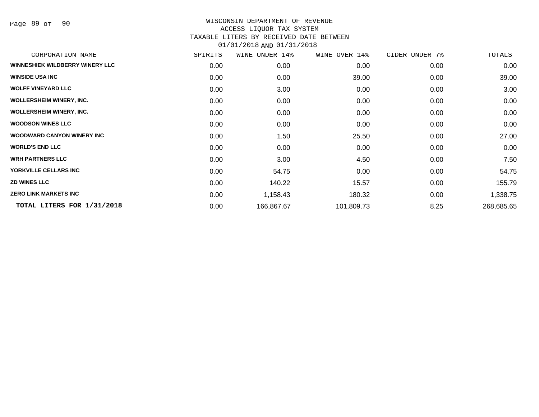Page 89 of 90

| SPIRITS | WINE UNDER 14% | WINE OVER 14% | CIDER UNDER 7% | TOTALS     |
|---------|----------------|---------------|----------------|------------|
| 0.00    | 0.00           | 0.00          | 0.00           | 0.00       |
| 0.00    | 0.00           | 39.00         | 0.00           | 39.00      |
| 0.00    | 3.00           | 0.00          | 0.00           | 3.00       |
| 0.00    | 0.00           | 0.00          | 0.00           | 0.00       |
| 0.00    | 0.00           | 0.00          | 0.00           | 0.00       |
| 0.00    | 0.00           | 0.00          | 0.00           | 0.00       |
| 0.00    | 1.50           | 25.50         | 0.00           | 27.00      |
| 0.00    | 0.00           | 0.00          | 0.00           | 0.00       |
| 0.00    | 3.00           | 4.50          | 0.00           | 7.50       |
| 0.00    | 54.75          | 0.00          | 0.00           | 54.75      |
| 0.00    | 140.22         | 15.57         | 0.00           | 155.79     |
| 0.00    | 1,158.43       | 180.32        | 0.00           | 1,338.75   |
| 0.00    | 166,867.67     | 101,809.73    | 8.25           | 268,685.65 |
|         |                |               |                |            |